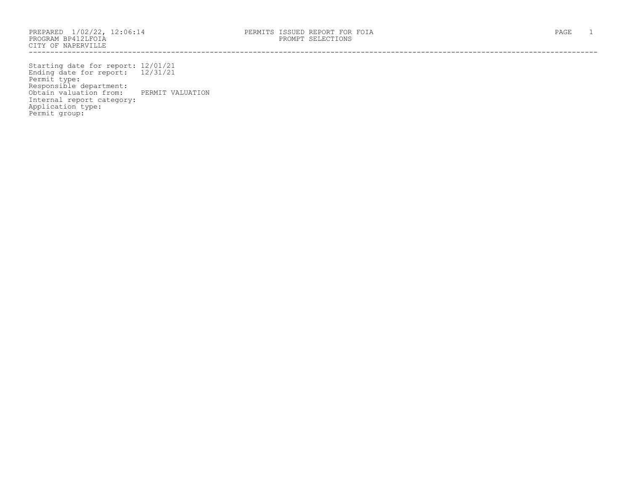PROGRAM BP412LFOIA PROMPT SELECTIONS CITY OF NAPERVILLE ------------------------------------------------------------------------------------------------------------------------------------

Starting date for report: 12/01/21 Ending date for report: 12/31/21 Permit type: Responsible department: Obtain valuation from: PERMIT VALUATION Internal report category: Application type: Permit group: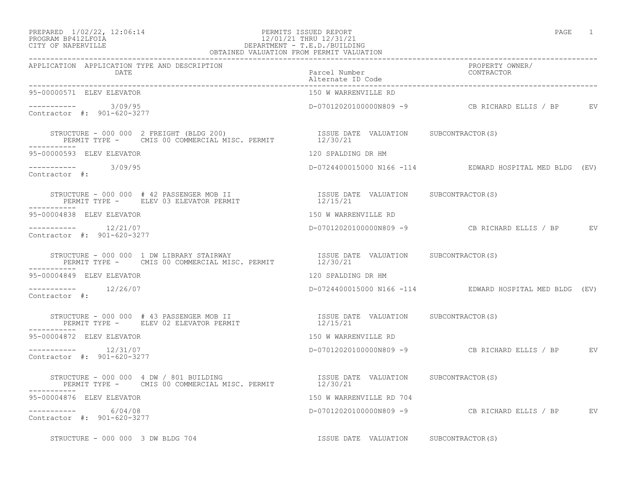## PREPARED  $1/02/22$ ,  $12:06:14$  PERMITS ISSUED REPORT PAGE 1 PROGRAM BP412LFOIA 12/01/21 THRU 12/31/21 CITY OF NAPERVILLE DEPARTMENT - T.E.D./BUILDING

| OBTAINED VALUATION FROM PERMIT VALUATION                                                                                                                                                                                                       |                                       |                                                         |  |
|------------------------------------------------------------------------------------------------------------------------------------------------------------------------------------------------------------------------------------------------|---------------------------------------|---------------------------------------------------------|--|
| APPLICATION APPLICATION TYPE AND DESCRIPTION<br>DATE                                                                                                                                                                                           | Parcel Number<br>Alternate ID Code    | PROPERTY OWNER/<br>CONTRACTOR                           |  |
| 95-00000571 ELEV ELEVATOR                                                                                                                                                                                                                      | 150 W WARRENVILLE RD                  |                                                         |  |
| $--------$ 3/09/95<br>Contractor #: 901-620-3277                                                                                                                                                                                               |                                       | D-07012020100000N809 -9 CB RICHARD ELLIS / BP EV        |  |
| STRUCTURE - 000 000 2 FREIGHT (BLDG 200)                               ISSUE DATE VALUATION     SUBCONTRACTOR(S)<br>PERMIT TYPE -     CMIS 00 COMMERCIAL MISC. PERMIT               12/30/21                                                   |                                       |                                                         |  |
| 95-00000593 ELEV ELEVATOR                                                                                                                                                                                                                      | 120 SPALDING DR HM                    |                                                         |  |
| $--------- 3/09/95$<br>Contractor #:                                                                                                                                                                                                           |                                       | D-0724400015000 N166 -114 EDWARD HOSPITAL MED BLDG (EV) |  |
| -----------                                                                                                                                                                                                                                    |                                       |                                                         |  |
| 95-00004838 ELEV ELEVATOR                                                                                                                                                                                                                      | 150 W WARRENVILLE RD                  |                                                         |  |
| $--------$ 12/21/07<br>Contractor #: 901-620-3277                                                                                                                                                                                              |                                       | $D-0701202010000000809 -9$ CB RICHARD ELLIS / BP EV     |  |
| STRUCTURE - 000 000 1 DW LIBRARY STAIRWAY                          ISSUE DATE VALUATION     SUBCONTRACTOR(S)<br>PERMIT TYPE -     CMIS 00 COMMERCIAL MISC. PERMIT              12/30/21                                                        |                                       |                                                         |  |
| 95-00004849 ELEV ELEVATOR                                                                                                                                                                                                                      | 120 SPALDING DR HM                    |                                                         |  |
| $--------- 12/26/07$<br>Contractor #:                                                                                                                                                                                                          |                                       | D-0724400015000 N166 -114 EDWARD HOSPITAL MED BLDG (EV) |  |
| STRUCTURE - 000 000 # 43 PASSENGER MOB II                            ISSUE DATE VALUATION     SUBCONTRACTOR(S)<br>PERMIT TYPE -      ELEV 02 ELEVATOR PERMIT                             12/15/21<br>STRUCTURE - 000 000 # 43 PASSENGER MOB II |                                       |                                                         |  |
| 95-00004872 ELEV ELEVATOR                                                                                                                                                                                                                      | 150 W WARRENVILLE RD                  |                                                         |  |
| $--------- 12/31/07$<br>Contractor #: 901-620-3277                                                                                                                                                                                             |                                       | D-070120201000000N809 -9 CB RICHARD ELLIS / BP EV       |  |
| STRUCTURE - 000 000 4 DW / 801 BUILDING                         ISSUE DATE VALUATION     SUBCONTRACTOR(S)<br>PERMIT TYPE -     CMIS 00 COMMERCIAL MISC. PERMIT           12/30/21                                                              |                                       |                                                         |  |
| 95-00004876 ELEV ELEVATOR                                                                                                                                                                                                                      | 150 W WARRENVILLE RD 704              |                                                         |  |
| $--------- 6/04/08$<br>Contractor #: 901-620-3277                                                                                                                                                                                              |                                       | D-07012020100000N809 -9 CB RICHARD ELLIS / BP EV        |  |
| STRUCTURE - 000 000 3 DW BLDG 704                                                                                                                                                                                                              | ISSUE DATE VALUATION SUBCONTRACTOR(S) |                                                         |  |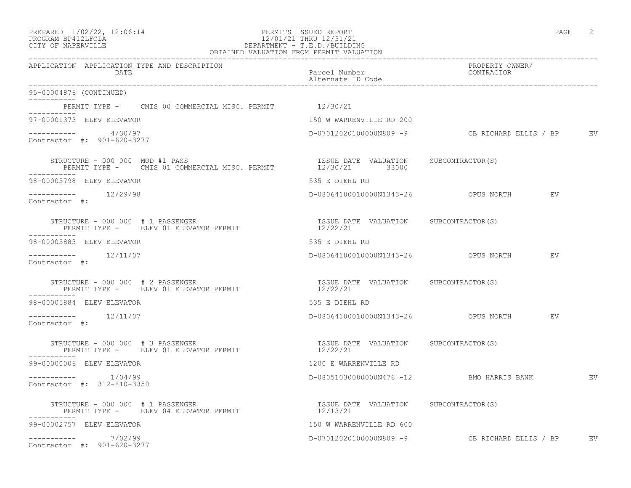## PREPARED  $1/02/22$ ,  $12:06:14$  PERMITS ISSUED REPORT PAGE 2 PROGRAM BP412LFOIA 12/01/21 THRU 12/31/21 CITY OF NAPERVILLE DEPARTMENT - T.E.D./BUILDING

| OBTAINED VALUATION FROM PERMIT VALUATION                                                                            |                                                   |                                                  |  |
|---------------------------------------------------------------------------------------------------------------------|---------------------------------------------------|--------------------------------------------------|--|
| APPLICATION APPLICATION TYPE AND DESCRIPTION<br>DATE                                                                | Parcel Number<br>Alternate ID Code                | PROPERTY OWNER/<br>CONTRACTOR                    |  |
| 95-00004876 (CONTINUED)                                                                                             |                                                   |                                                  |  |
| PERMIT TYPE - CMIS 00 COMMERCIAL MISC. PERMIT 12/30/21<br>-----------                                               |                                                   |                                                  |  |
| 97-00001373 ELEV ELEVATOR                                                                                           | 150 W WARRENVILLE RD 200                          |                                                  |  |
| $--------- 4/30/97$<br>Contractor #: 901-620-3277                                                                   |                                                   |                                                  |  |
| STRUCTURE - 000 000 MOD #1 PASS<br>PERMIT TYPE - CMIS 01 COMMERCIAL MISC. PERMIT 12/30/21 33000                     | ISSUE DATE VALUATION SUBCONTRACTOR (S)            |                                                  |  |
| 98-00005798 ELEV ELEVATOR                                                                                           | 535 E DIEHL RD                                    |                                                  |  |
| $-------- 12/29/98$<br>Contractor #:                                                                                |                                                   | D-08064100010000N1343-26 OPUS NORTH<br>EV        |  |
| STRUCTURE - 000 000 # 1 PASSENGER<br>PERMIT TYPE - ELEV 01 ELEVATOR PERMIT<br>___________                           | ISSUE DATE VALUATION SUBCONTRACTOR(S)<br>12/22/21 |                                                  |  |
| 98-00005883 ELEV ELEVATOR                                                                                           | 535 E DIEHL RD                                    |                                                  |  |
| $--------- 12/11/07$<br>Contractor #:                                                                               |                                                   | EV                                               |  |
| STRUCTURE - 000 000 # 2 PASSENGER<br>PERMIT TYPE - ELEV 01 ELEVATOR PERMIT                                          | ISSUE DATE VALUATION SUBCONTRACTOR(S)<br>12/22/21 |                                                  |  |
| 98-00005884 ELEV ELEVATOR                                                                                           | 535 E DIEHL RD                                    |                                                  |  |
| $--------- 12/11/07$<br>Contractor #:                                                                               |                                                   |                                                  |  |
| STRUCTURE - 000 000 # 3 PASSENGER<br>PERMIT TYPE - ELEV 01 ELEVATOR PERMIT                                          | ISSUE DATE VALUATION SUBCONTRACTOR(S)<br>12/22/21 |                                                  |  |
| 99-00000006 ELEV ELEVATOR                                                                                           | 1200 E WARRENVILLE RD                             |                                                  |  |
| $--------- 1/04/99$<br>Contractor #: 312-810-3350                                                                   |                                                   | D-08051030080000N476 -12 BMO HARRIS BANK EV      |  |
| STRUCTURE - 000 000 # 1 PASSENGER<br>STRUCTURE - UUU UUU # 1 PASSENGER<br>PERMIT TYPE -     ELEV 04 ELEVATOR PERMIT | ISSUE DATE VALUATION SUBCONTRACTOR(S)<br>12/13/21 |                                                  |  |
| -----------<br>99-00002757 ELEV ELEVATOR                                                                            | 150 W WARRENVILLE RD 600                          |                                                  |  |
| ----------- 7/02/99<br>Contractor #: 901-620-3277                                                                   |                                                   | D-07012020100000N809 -9 CB RICHARD ELLIS / BP EV |  |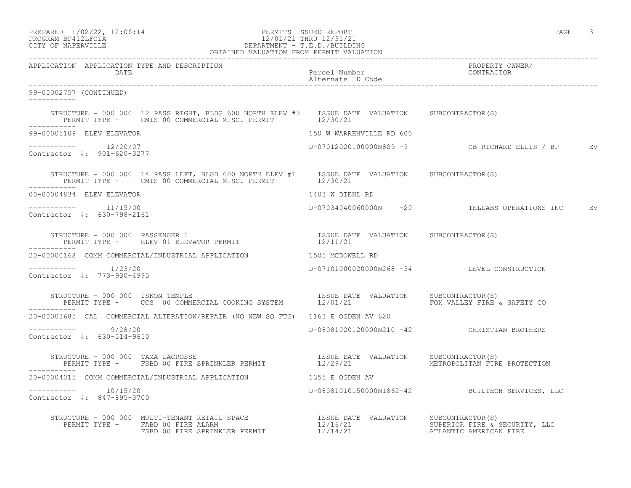# PROGRAM BP412LFOIA 12/01/21 THRU 12/31/21 CITY OF NAPERVILLE DEPARTMENT - T.E.D./BUILDING

| OBTAINED VALUATION FROM PERMIT VALUATION                                                                                                                                                                                       |                                             |                                                  |  |
|--------------------------------------------------------------------------------------------------------------------------------------------------------------------------------------------------------------------------------|---------------------------------------------|--------------------------------------------------|--|
| APPLICATION APPLICATION TYPE AND DESCRIPTION                                                                                                                                                                                   |                                             | PROPERTY OWNER/                                  |  |
| 99-00002757 (CONTINUED)                                                                                                                                                                                                        |                                             |                                                  |  |
| STRUCTURE - 000 000 12 PASS RIGHT, BLDG 600 NORTH ELEV #3 ISSUE DATE VALUATION SUBCONTRACTOR(S)<br>PERMIT TYPE - CMIS 00 COMMERCIAL MISC. PERMIT 12/30/21                                                                      |                                             |                                                  |  |
| 99-00005109 ELEV ELEVATOR                                                                                                                                                                                                      | 150 W WARRENVILLE RD 600                    |                                                  |  |
| $--------- 12/20/07$<br>Contractor #: 901-620-3277                                                                                                                                                                             |                                             | D-07012020100000N809 -9 CB RICHARD ELLIS / BP EV |  |
| STRUCTURE - 000 000 14 PASS LEFT, BLGD 600 NORTH ELEV #1 ISSUE DATE VALUATION SUBCONTRACTOR(S)<br>PERMIT TYPE - CMIS 00 COMMERCIAL MISC. PERMIT 12/30/21<br>------------                                                       |                                             |                                                  |  |
| 00-00004834 ELEV ELEVATOR                                                                                                                                                                                                      | 1403 W DIEHL RD                             |                                                  |  |
| $--------- 11/15/00$<br>Contractor #: 630-798-2161                                                                                                                                                                             |                                             | D-07034040060000N -20 TELLABS OPERATIONS INC EV  |  |
|                                                                                                                                                                                                                                |                                             |                                                  |  |
| 20-00000168 COMM COMMERCIAL/INDUSTRIAL APPLICATION 1505 MCDOWELL RD                                                                                                                                                            |                                             |                                                  |  |
| $--------- 1/23/20$<br>Contractor #: 773-930-4995                                                                                                                                                                              |                                             | D-07101000020000N268 -34 LEVEL CONSTRUCTION      |  |
|                                                                                                                                                                                                                                |                                             |                                                  |  |
| 20-00003685 CAL COMMERCIAL ALTERATION/REPAIR (NO NEW SO FTG) 1163 E OGDEN AV 620                                                                                                                                               |                                             |                                                  |  |
| $--------- 9/28/20$<br>Contractor #: 630-514-9650                                                                                                                                                                              | D-08081020120000N210 -42 CHRISTIAN BROTHERS |                                                  |  |
| STRUCTURE - 000 000 TAMA LACROSSE                                   ISSUE DATE VALUATION     SUBCONTRACTOR(S)<br>PERMIT TYPE -   FSBD 00 FIRE SPRINKLER PERMIT               12/29/21         METROPOLITAN FIRE<br>___________ |                                             | METROPOLITAN FIRE PROTECTION                     |  |
| 20-00004015 COMM COMMERCIAL/INDUSTRIAL APPLICATION 1355 E OGDEN AV                                                                                                                                                             |                                             |                                                  |  |
| $--------- 10/15/20$<br>Contractor #: 847-895-3700                                                                                                                                                                             |                                             | D-08081010150000N1862-42 BUILTECH SERVICES, LLC  |  |
|                                                                                                                                                                                                                                |                                             |                                                  |  |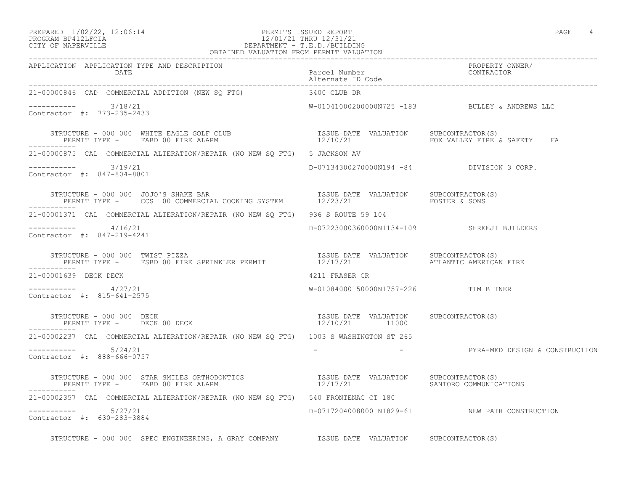### PREPARED  $1/02/22$ ,  $12:06:14$  PERMITS ISSUED REPORT PAGE 4 PROGRAM BP412LFOIA 12/01/21 THRU 12/31/21 CITY OF NAPERVILLE DEPARTMENT - T.E.D./BUILDING

| OBTAINED VALUATION FROM PERMIT VALUATION                                                                                                                                                                                         |                                                         |                                                              |
|----------------------------------------------------------------------------------------------------------------------------------------------------------------------------------------------------------------------------------|---------------------------------------------------------|--------------------------------------------------------------|
| APPLICATION APPLICATION TYPE AND DESCRIPTION<br>DATE                                                                                                                                                                             | Parcel Number<br>Alternate ID Code                      | PROPERTY OWNER/<br>CONTRACTOR                                |
| 21-00000846 CAD COMMERCIAL ADDITION (NEW SO FTG) 3400 CLUB DR                                                                                                                                                                    |                                                         |                                                              |
| $--------$ 3/18/21<br>Contractor #: 773-235-2433                                                                                                                                                                                 |                                                         | W-01041000200000N725 -183 BULLEY & ANDREWS LLC               |
| STRUCTURE – 000 000 WHITE EAGLE GOLF CLUB                        ISSUE DATE VALUATION   SUBCONTRACTOR(S)<br>PERMIT TYPE –    FABD 00 FIRE ALARM                                 12/10/21                       FOX VALLEY FIRE & |                                                         |                                                              |
| 21-00000875 CAL COMMERCIAL ALTERATION/REPAIR (NO NEW SQ FTG) 5 JACKSON AV                                                                                                                                                        |                                                         |                                                              |
| $--------- 3/19/21$<br>Contractor #: 847-804-8801                                                                                                                                                                                | D-07134300270000N194 -84 DIVISION 3 CORP.               |                                                              |
|                                                                                                                                                                                                                                  |                                                         |                                                              |
| 21-00001371 CAL COMMERCIAL ALTERATION/REPAIR (NO NEW SO FTG) 936 S ROUTE 59 104                                                                                                                                                  |                                                         |                                                              |
| $------ 4/16/21$<br>Contractor #: 847-219-4241                                                                                                                                                                                   | D-07223000360000N1134-109 SHREEJI BUILDERS              |                                                              |
| STRUCTURE – 000 000 TWIST PIZZA<br>PERMIT TYPE – FSBD 00 FIRE SPRINKLER PERMIT                 12/17/21                  ATLANTIC AMERICAN FIRE<br>-----------                                                                   |                                                         |                                                              |
| 21-00001639 DECK DECK                                                                                                                                                                                                            | 4211 FRASER CR                                          |                                                              |
| $--------- 4/27/21$<br>Contractor #: 815-641-2575                                                                                                                                                                                | W-01084000150000N1757-226 TIM BITNER                    |                                                              |
| STRUCTURE - 000 000 DECK<br>PERMIT TYPE - DECK 00 DECK                                                                                                                                                                           | ISSUE DATE VALUATION SUBCONTRACTOR(S)<br>12/10/21 11000 |                                                              |
| 21-00002237 CAL COMMERCIAL ALTERATION/REPAIR (NO NEW SO FTG) 1003 S WASHINGTON ST 265                                                                                                                                            |                                                         |                                                              |
| $--------- 5/24/21$<br>Contractor #: 888-666-0757                                                                                                                                                                                |                                                         | -                             PYRA-MED DESIGN & CONSTRUCTION |
| STRUCTURE - 000 000 STAR SMILES ORTHODONTICS                   ISSUE DATE VALUATION   SUBCONTRACTOR(S)<br>PERMIT TYPE -   FABD 00 FIRE ALARM                         12/17/21         SANTORO COMMUNICATIONS                     |                                                         |                                                              |
| 21-00002357 CAL COMMERCIAL ALTERATION/REPAIR (NO NEW SQ FTG) 540 FRONTENAC CT 180                                                                                                                                                |                                                         |                                                              |
| $--------- 5/27/21$<br>Contractor #: 630-283-3884                                                                                                                                                                                |                                                         | D-0717204008000 N1829-61 NEW PATH CONSTRUCTION               |
| STRUCTURE - 000 000 SPEC ENGINEERING, A GRAY COMPANY SISSUE DATE VALUATION SUBCONTRACTOR(S)                                                                                                                                      |                                                         |                                                              |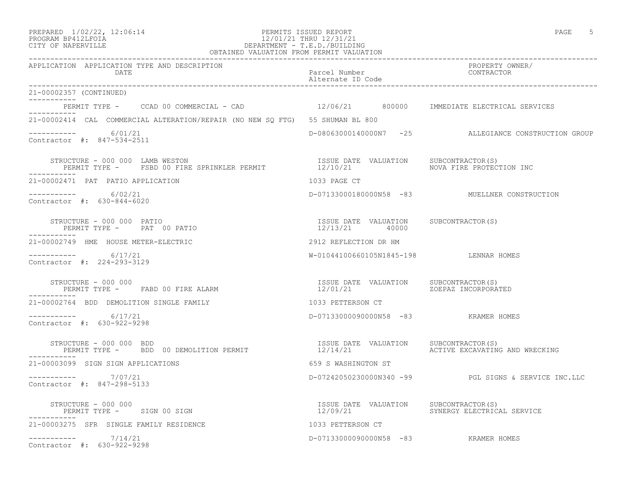### PREPARED  $1/02/22$ ,  $12:06:14$  PERMITS ISSUED REPORT PAGE 5 PROGRAM BP412LFOIA 12/01/21 THRU 12/31/21 CITY OF NAPERVILLE DEPARTMENT - T.E.D./BUILDING OBTAINED VALUATION FROM PERMIT VALUATION

------------------------------------------------------------------------------------------------------------------------------------ APPLICATION APPLICATION TYPE AND DESCRIPTION PROPERTY OWNER/ DATE Parcel Number CONTRACTOR

|                                                                                                                                                   | Alternate ID Code                                       |                                                      |
|---------------------------------------------------------------------------------------------------------------------------------------------------|---------------------------------------------------------|------------------------------------------------------|
| 21-00002357 (CONTINUED)                                                                                                                           |                                                         |                                                      |
| PERMIT TYPE -     CCAD 00 COMMERCIAL - CAD                     12/06/21        800000    IMMEDIATE ELECTRICAL SERVICES                            |                                                         |                                                      |
| 21-00002414 CAL COMMERCIAL ALTERATION/REPAIR (NO NEW SO FTG) 55 SHUMAN BL 800                                                                     |                                                         |                                                      |
| $--------- 6/01/21$<br>Contractor #: 847-534-2511                                                                                                 |                                                         | D-08063000140000N7 -25 ALLEGIANCE CONSTRUCTION GROUP |
| STRUCTURE - 000 000 LAMB WESTON                                                                                                                   | ISSUE DATE VALUATION SUBCONTRACTOR(S)                   | NOVA FIRE PROTECTION INC                             |
| 21-00002471 PAT PATIO APPLICATION                                                                                                                 | 1033 PAGE CT                                            |                                                      |
| $--------- 6/02/21$<br>Contractor #: 630-844-6020                                                                                                 |                                                         | D-07133000180000N58 -83 MUELLNER CONSTRUCTION        |
| STRUCTURE - 000 000 PATIO<br>PERMIT TYPE - PAT 00 PATIO                                                                                           | ISSUE DATE VALUATION SUBCONTRACTOR(S)<br>12/13/21 40000 |                                                      |
| 21-00002749 HME HOUSE METER-ELECTRIC                                                                                                              | 2912 REFLECTION DR HM                                   |                                                      |
| -----------     6/17/21<br>Contractor #: 224-293-3129                                                                                             | W-01044100660105N1845-198 LENNAR HOMES                  |                                                      |
| PERMIT TYPE - FABD 00 FIRE ALARM<br>--------<br>-----------                                                                                       | ISSUE DATE VALUATION SUBCONTRACTOR(S)<br>12/01/21       | ZOEPAZ INCORPORATED                                  |
| 21-00002764 BDD DEMOLITION SINGLE FAMILY                                                                                                          | 1033 PETTERSON CT                                       |                                                      |
| $---------$ 6/17/21<br>Contractor #: 630-922-9298                                                                                                 | D-07133000090000N58 -83 KRAMER HOMES                    |                                                      |
| STRUCTURE - 000 000 BDD<br>PERMIT TYPE -   BDD 00 DEMOLITION PERMIT                             12/14/21<br>STRUCTURE - 000 000 BDD<br>---------- | ISSUE DATE VALUATION SUBCONTRACTOR(S)                   | ACTIVE EXCAVATING AND WRECKING                       |
| 21-00003099 SIGN SIGN APPLICATIONS                                                                                                                | 659 S WASHINGTON ST                                     |                                                      |
| ----------- 7/07/21<br>Contractor #: 847-298-5133                                                                                                 |                                                         | D-07242050230000N340 -99 PGL SIGNS & SERVICE INC.LLC |
| STRUCTURE - 000 000<br>PERMIT TYPE - SIGN 00 SIGN                                                                                                 | ISSUE DATE VALUATION SUBCONTRACTOR(S)                   | 12/09/21 SYNERGY ELECTRICAL SERVICE                  |
| 21-00003275 SFR SINGLE FAMILY RESIDENCE                                                                                                           | 1033 PETTERSON CT                                       |                                                      |
| $--------- 7/14/21$<br>Contractor #: 630-922-9298                                                                                                 | D-07133000090000N58 -83 KRAMER HOMES                    |                                                      |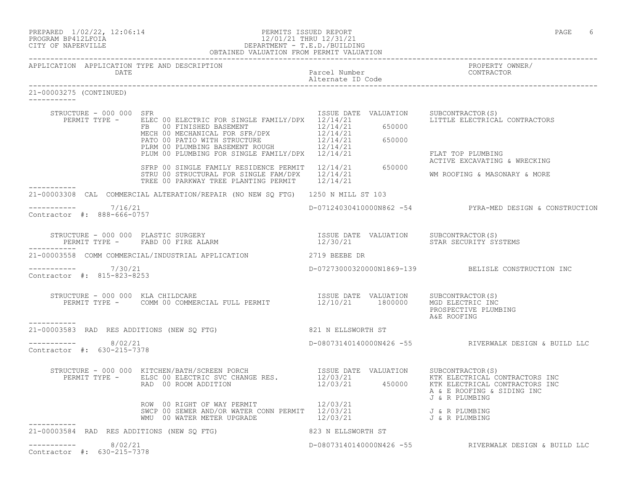|                                                   | PREPARED $1/02/22$ , $12:06:14$<br>PROGRAM BP412LFOIA<br>CITY OF NAPERVILLE<br>CITY OF NAPERVILLE<br>PROGRAM BPATILE<br>PROGRAM BERVILLE<br>PROGRAM BERVILLE<br>PROGRAM BERVILLE<br>PROGRAM BERVILLE<br>PROGRAM BERVILLE<br>PROGRAM BERVILLE                                                       |                      | PAGE<br>6                                                                      |
|---------------------------------------------------|----------------------------------------------------------------------------------------------------------------------------------------------------------------------------------------------------------------------------------------------------------------------------------------------------|----------------------|--------------------------------------------------------------------------------|
| DATE                                              |                                                                                                                                                                                                                                                                                                    |                      | Parcel Number (2008) PROPERTY OWNER<br>CONTRACTOR                              |
| 21-00003275 (CONTINUED)                           |                                                                                                                                                                                                                                                                                                    |                      |                                                                                |
| STRUCTURE - 000 000 SFR                           | PERMIT TYPE - ELEC 00 ELECTRIC FOR SINGLE FAMILY/DPX 12/14/21<br>ER 00 FINISHED BASEMENT<br>MECH 00 MECHANICAL FOR SFR/DPX 12/14/21 650000<br>MECH 00 MECHANICAL FOR SFR/DPX 12/14/21 650000<br>PLIM 00 PLUMBING BASEMENT ROUGH 12/14/21 650000<br>PLIM 00 PLUMBING FOR SINGLE FAMILY/DPX 12/14/21 | ISSUE DATE VALUATION | SUBCONTRACTOR(S)<br>LITTLE ELECTRICAL CONTRACTORS<br>FLAT TOP PLUMBING         |
|                                                   | SFRP 00 SINGLE FAMILY RESIDENCE PERMIT 12/14/21 650000<br>STRU 00 STRUCTURAL FOR SINGLE FAM/DPX 12/14/21<br>TREE 00 PARKWAY TREE PLANTING PERMIT 12/14/21                                                                                                                                          |                      | ACTIVE EXCAVATING & WRECKING<br>WM ROOFING & MASONARY & MORE                   |
|                                                   | 21-00003308 CAL COMMERCIAL ALTERATION/REPAIR (NO NEW SQ FTG) 1250 N MILL ST 103                                                                                                                                                                                                                    |                      |                                                                                |
| $--------- 7/16/21$<br>Contractor #: 888-666-0757 |                                                                                                                                                                                                                                                                                                    |                      | D-07124030410000N862 -54 PYRA-MED DESIGN & CONSTRUCTION                        |
| -----------                                       |                                                                                                                                                                                                                                                                                                    |                      |                                                                                |
|                                                   | 21-00003558 COMM COMMERCIAL/INDUSTRIAL APPLICATION 2719 BEEBE DR                                                                                                                                                                                                                                   |                      |                                                                                |
| $--------- 7/30/21$<br>Contractor #: 815-823-8253 |                                                                                                                                                                                                                                                                                                    |                      | D-07273000320000N1869-139 BELISLE CONSTRUCTION INC                             |
|                                                   | STRUCTURE - 000 000 KLA CHILDCARE (S)<br>PERMIT TYPE - COMM 00 COMMERCIAL FULL PERMIT (12/10/21 1800000 MGD ELECTRIC INC                                                                                                                                                                           |                      | PROSPECTIVE PLUMBING<br>A&E ROOFING                                            |
| 21-00003583 RAD RES ADDITIONS (NEW SQ FTG)        |                                                                                                                                                                                                                                                                                                    | 821 N ELLSWORTH ST   |                                                                                |
| $--------- 8/02/21$<br>Contractor #: 630-215-7378 |                                                                                                                                                                                                                                                                                                    |                      | D-08073140140000N426 -55 RIVERWALK DESIGN & BUILD LLC                          |
|                                                   | STRUCTURE - 000 000 KITCHEN/BATH/SCREEN PORCH<br>PERMIT TYPE - ELSC 00 ELECTRICAL CONTRACTOR (S) SERMIT TYPE - ELSC 00 ELECTRICAL CONTRACTOR (S) SERMIT TYPE -<br>RAD 00 ROOM ADDITION 6 12/03/21 450000 KTK ELECTRICAL CONTRACTORS INC                                                            |                      | KTK ELECTRICAL CONTRACTORS INC<br>A & E ROOFING & SIDING INC<br>J & R PLUMBING |
|                                                   | ROW 00 RIGHT OF WAY PERMIT<br>SWCP 00 SEWER AND/OR WATER CONN PERMIT 12/03/21<br>WMU 00 WATER METER UPGRADE                                                                                                                                                                                        | 12/03/21<br>12/03/21 | J & R PLUMBING<br>J & R PLUMBING                                               |
| 21-00003584 RAD RES ADDITIONS (NEW SQ FTG)        |                                                                                                                                                                                                                                                                                                    | 823 N ELLSWORTH ST   |                                                                                |
| $--------- 8/02/21$<br>Contractor #: 630-215-7378 |                                                                                                                                                                                                                                                                                                    |                      | D-08073140140000N426 -55 RIVERWALK DESIGN & BUILD LLC                          |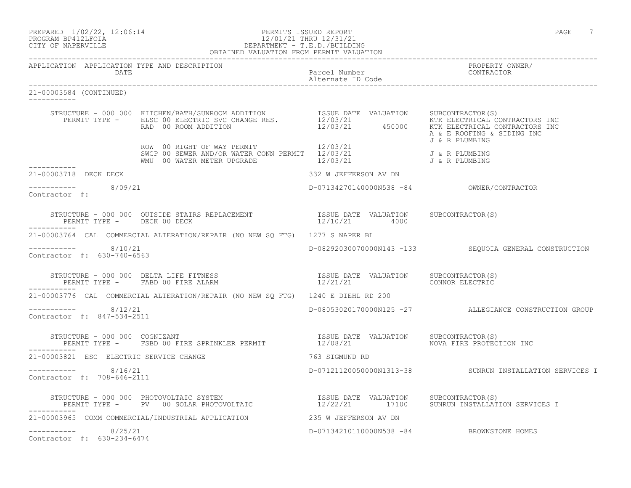## PROGRAM BP412LFOIA 12/01/21 THRU 12/31/21 CITY OF NAPERVILLE DEPARTMENT - T.E.D./BUILDING OBTAINED VALUATION FROM PERMIT VALUATION

------------------------------------------------------------------------------------------------------------------------------------ APPLICATION APPLICATION TYPE AND DESCRIPTION<br>DATE DATE DATE DATE DATE Parcel Number CONTRACTOR Alternate ID Code ------------------------------------------------------------------------------------------------------------------------------------ 21-00003584 (CONTINUED) ----------- STRUCTURE - 000 000 KITCHEN/BATH/SUNROOM ADDITION ISSUE DATE VALUATION SUBCONTRACTOR(S) PERMIT TYPE - ELSC 00 ELECTRIC SVC CHANGE RES.  $12/03/21$  KTK ELECTRICAL CONTRACTORS INC RAD 00 ROOM ADDITION 12/03/21 450000 KTK ELECTRICAL CONTRACTORS INC A & E ROOFING & SIDING INC J & R PLUMBING ROW 00 RIGHT OF WAY PERMIT 12/03/21 SWCP 00 SEWER AND/OR WATER CONN PERMIT 12/03/21 J & R PLUMBING WMU 00 WATER METER UPGRADE 12/03/21 J & R PLUMBING 21-00003718 DECK DECK 21-00003718 DECK DECK 332 W JEFFERSON AV DN ----------- 8/09/21 ----------- 8/09/21 D-07134270140000N538 -84 OWNER/CONTRACTOR Contractor #: STRUCTURE - 000 000 OUTSIDE STAIRS REPLACEMENT ISSUE DATE VALUATION SUBCONTRACTOR(S) PERMIT TYPE - DECK 00 DECK 12/10/21 4000 ----------- 21-00003764 CAL COMMERCIAL ALTERATION/REPAIR (NO NEW SQ FTG) 1277 S NAPER BL ----------- 8/10/21 D-08292030070000N143 -133 SEQUOIA GENERAL CONSTRUCTION Contractor #: 630-740-6563 STRUCTURE - 000 000 DELTA LIFE FITNESS ISSUE DATE VALUATION SUBCONTRACTOR(S) PERMIT TYPE - FABD 00 FIRE ALARM 12/21/21 CONNOR ELECTRIC ----------- 21-00003776 CAL COMMERCIAL ALTERATION/REPAIR (NO NEW SQ FTG) 1240 E DIEHL RD 200 ----------- 8/12/21 D-08053020170000N125 -27 ALLEGIANCE CONSTRUCTION GROUP Contractor #: 847-534-2511 STRUCTURE - 000 000 COGNIZANT<br>PERMIT TYPE - FSBD 00 FIRE SPRINKLER PERMIT 12/08/21 21 12008/21 PERMIT TYPE - FSBD 00 FIRE SPRINKLER PERMIT ----------- 21-00003821 ESC ELECTRIC SERVICE CHANGE 763 SIGMUND RD ----------- 8/16/21 D-07121120050000N1313-38 SUNRUN INSTALLATION SERVICES I Contractor #: 708-646-2111 STRUCTURE - 000 000 PHOTOVOLTAIC SYSTEM ISSUE DATE VALUATION SUBCONTRACTOR(S) PERMIT TYPE - PV 00 SOLAR PHOTOVOLTAIC 12/22/21 17100 SUNRUN INSTALLATION SERVICES I ----------- 21-00003965 COMM COMMERCIAL/INDUSTRIAL APPLICATION 235 W JEFFERSON AV DN ----------- 8/25/21 D-07134210110000N538 -84 BROWNSTONE HOMES Contractor #: 630-234-6474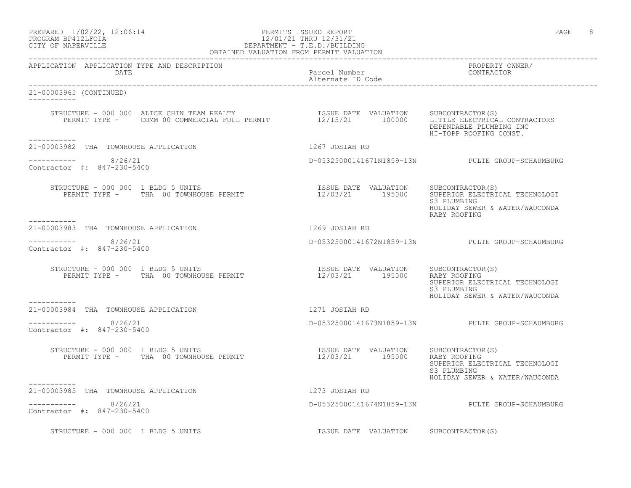### PROGRAM BP412LFOIA 12/01/21 THRU 12/31/21 CITY OF NAPERVILLE DEPARTMENT - T.E.D./BUILDING OBTAINED VALUATION FROM PERMIT VALUATION

------------------------------------------------------------------------------------------------------------------------------------

APPLICATION APPLICATION TYPE AND DESCRIPTION PROPERTY OWNER/ Parcel Number Alternate ID Code ------------------------------------------------------------------------------------------------------------------------------------ 21-00003965 (CONTINUED) ----------- STRUCTURE - 000 000 ALICE CHIN TEAM REALTY ISSUE DATE VALUATION SUBCONTRACTOR(S) PERMIT TYPE - COMM 00 COMMERCIAL FULL PERMIT 12/15/21 100000 LITTLE ELECTRICAL CONTRACTORS DEPENDABLE PLUMBING INC HI-TOPP ROOFING CONST. ----------- 21-00003982 THA TOWNHOUSE APPLICATION 1267 JOSIAH RD  $--------- 8/26/21$ ----------- 8/26/21 D-05325000141671N1859-13N PULTE GROUP-SCHAUMBURG Contractor #: 847-230-5400 STRUCTURE - 000 000 1 BLDG 5 UNITS<br>PERMIT TYPE - THA 00 TOWNHOUSE PERMIT ISSUE DATE VALUATION SUBCONTRACTOR(S)<br>12/03/21 195000 SUPERIOR ELECTRICAL TECHNOLOGI<br>S3 PLUMBING S3 PLUMBING HOLIDAY SEWER & WATER/WAUCONDA RABY ROOFING ----------- 21-00003983 THA TOWNHOUSE APPLICATION 1269 JOSIAH RD ----------- 8/26/21 D-05325000141672N1859-13N PULTE GROUP-SCHAUMBURG Contractor #: 847-230-5400 STRUCTURE - 000 000 1 BLDG 5 UNITS ISSUE DATE VALUATION SUBCONTRACTOR(S) PERMIT TYPE - THA 00 TOWNHOUSE PERMIT 12/03/21 195000 RABY ROOFING SUPERIOR ELECTRICAL TECHNOLOGI<br>S3 PLUMBING S3 PLUMBING HOLIDAY SEWER & WATER/WAUCONDA ----------- 21-00003984 THA TOWNHOUSE APPLICATION 1271 JOSIAH RD  $--------- 8/26/21$ ----------- 8/26/21 D-05325000141673N1859-13N PULTE GROUP-SCHAUMBURG Contractor #: 847-230-5400 STRUCTURE - 000 000 1 BLDG 5 UNITS ISSUE DATE VALUATION SUBCONTRACTOR(S) PERMIT TYPE - THA 00 TOWNHOUSE PERMIT 12/03/21 195000 RABY ROOFING SUPERIOR ELECTRICAL TECHNOLOGI S3 PLUMBING HOLIDAY SEWER & WATER/WAUCONDA ----------- 21-00003985 THA TOWNHOUSE APPLICATION 1273 JOSIAH RD  $--------- 8/26/21$ D-05325000141674N1859-13N PULTE GROUP-SCHAUMBURG Contractor #: 847-230-5400 STRUCTURE - 000 000 1 BLDG 5 UNITS TASHER SUBCONTRACTOR(S)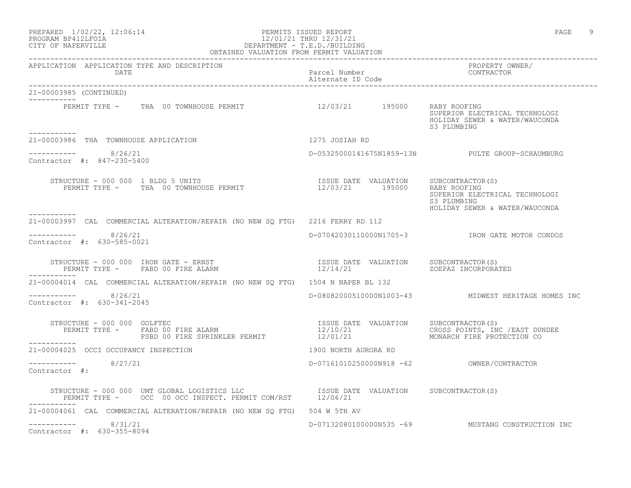## PROGRAM BP412LFOIA 12/01/21 THRU 12/31/21 CITY OF NAPERVILLE DEPARTMENT - T.E.D./BUILDING OBTAINED VALUATION FROM PERMIT VALUATION ------------------------------------------------------------------------------------------------------------------------------------

APPLICATION APPLICATION TYPE AND DESCRIPTION PROPERTY OWNER/

| DATE                                                                                                                                           | Parcel Number CONTRACTOR<br>Alternate ID Code |                                                                                                 |
|------------------------------------------------------------------------------------------------------------------------------------------------|-----------------------------------------------|-------------------------------------------------------------------------------------------------|
| 21-00003985 (CONTINUED)<br>------------                                                                                                        |                                               |                                                                                                 |
| PERMIT TYPE - THA 00 TOWNHOUSE PERMIT 12/03/21 195000<br>__________                                                                            |                                               | RABY ROOFING<br>SUPERIOR ELECTRICAL TECHNOLOGI<br>HOLIDAY SEWER & WATER/WAUCONDA<br>S3 PLUMBING |
| 21-00003986 THA TOWNHOUSE APPLICATION                                                                                                          | 1275 JOSIAH RD                                |                                                                                                 |
| $--------- 8/26/21$<br>Contractor #: 847-230-5400                                                                                              |                                               | D-05325000141675N1859-13N PULTE GROUP-SCHAUMBURG                                                |
| STRUCTURE - 000 000 1 BLDG 5 UNITS<br>RUCTURE – 000 000 1 BLDG 5 UNITS<br>PERMIT TYPE – THA 00 TOWNHOUSE PERMIT – 12/03/21 195000 RABY ROOFING |                                               | SUPERIOR ELECTRICAL TECHNOLOGI<br>S3 PLUMBING<br>HOLIDAY SEWER & WATER/WAUCONDA                 |
| 21-00003997 CAL COMMERCIAL ALTERATION/REPAIR (NO NEW SO FTG) 2216 FERRY RD 112                                                                 |                                               |                                                                                                 |
| $--------- 8/26/21$<br>Contractor #: 630-585-0021                                                                                              |                                               | D-07042030110000N1705-3 TRON GATE MOTOR CONDOS                                                  |
| STRUCTURE - 000 000 IRON GATE - ERNST<br>PERMIT TYPE -       FABD 00 FIRE ALARM<br>PERMIT TYPE - FABD 00 FIRE ALARM                            |                                               | ZOEPAZ INCORPORATED                                                                             |
| 21-00004014 CAL COMMERCIAL ALTERATION/REPAIR (NO NEW SO FTG) 1504 N NAPER BL 132                                                               |                                               |                                                                                                 |
| -----------    8/26/21<br>Contractor #: 630-341-2045                                                                                           |                                               | D-08082000510000N1003-43 MIDWEST HERITAGE HOMES INC                                             |
| STRUCTURE - 000 000 GOLFTEC<br>FSBD 00 FIRE SPRINKLER PERMIT 12/01/21<br>___________                                                           |                                               | CROSS POINTS, INC / EAST DUNDEE<br>MONARCH FIRE PROTECTION CO                                   |
| 21-00004025 OCCI OCCUPANCY INSPECTION                                                                                                          | 1900 NORTH AURORA RD                          |                                                                                                 |
| ----------- 8/27/21<br>Contractor #:                                                                                                           |                                               |                                                                                                 |
| STRUCTURE - 000 000 UMT GLOBAL LOGISTICS LLC<br>PERMIT TYPE - OCC 00 OCC INSPECT. PERMIT COM/RST 12/06/21                                      |                                               |                                                                                                 |
| 21-00004061 CAL COMMERCIAL ALTERATION/REPAIR (NO NEW SQ FTG) 504 W 5TH AV                                                                      |                                               |                                                                                                 |
| ----------- 8/31/21<br>Contractor #: 630-355-8094                                                                                              |                                               | D-07132080100000N535 -69 MUSTANG CONSTRUCTION INC                                               |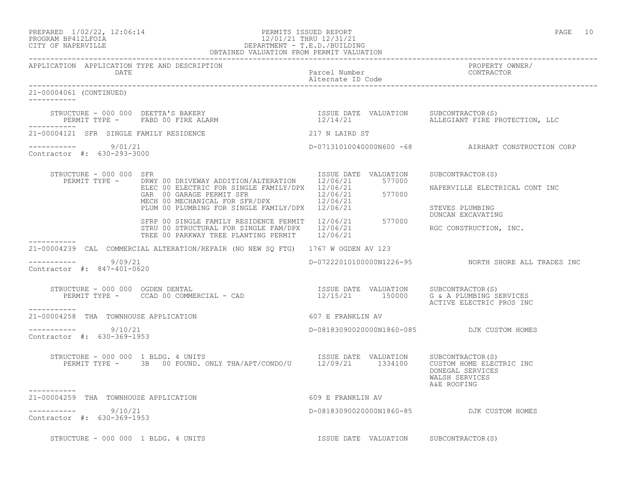### PREPARED  $1/02/22$ ,  $12:06:14$  PERMITS ISSUED REPORT PAGE 10 PROGRAM BP412LFOIA 12/01/21 THRU 12/31/21 CITY OF NAPERVILLE DEPARTMENT - T.E.D./BUILDING OBTAINED VALUATION FROM PERMIT VALUATION

------------------------------------------------------------------------------------------------------------------------------------ APPLICATION APPLICATION TYPE AND DESCRIPTION PROPERTY OWNER/ DATE Parcel Number Contractor of the Parcel Number Contractor of the Parcel Number Contractor of the Contractor of the Contractor of the Contractor of the Contractor of the Contractor of the Contractor of the Contractor of Alternate ID Code ------------------------------------------------------------------------------------------------------------------------------------ 21-00004061 (CONTINUED) ----------- STRUCTURE - 000 000 DEETTA'S BAKERY ISSUE DATE VALUATION SUBCONTRACTOR(S) PERMIT TYPE - FABD 00 FIRE ALARM ----------- 21-00004121 SFR SINGLE FAMILY RESIDENCE 217 N LAIRD ST ----------- 9/01/21 D-07131010040000N600 -68 AIRHART CONSTRUCTION CORP Contractor #: 630-293-3000 STRUCTURE - 000 000 SFR ISSUE DATE VALUATION SUBCONTRACTOR(S) PERMIT TYPE - DRWY 00 DRIVEWAY ADDITION/ALTERATION 12/06/21 577000 ELEC 00 ELECTRIC FOR SINGLE FAMILY/DPX 12/06/21 NAPERVILLE ELECTRICAL CONT INC GAR 00 GARAGE PERMIT SFR 12/06/21 577000 MECH 00 MECHANICAL FOR SFR/DPX 12/06/21 PLUM 00 PLUMBING FOR SINGLE FAMILY/DPX 12/06/21 STEVES PLUMBING DUNCAN EXCAVATING SFRP 00 SINGLE FAMILY RESIDENCE PERMIT 12/06/21 577000 STRU 00 STRUCTURAL FOR SINGLE FAM/DPX 12/06/21 RGC CONSTRUCTION, INC. TREE 00 PARKWAY TREE PLANTING PERMIT 12/06/21 ----------- 21-00004239 CAL COMMERCIAL ALTERATION/REPAIR (NO NEW SQ FTG) 1767 W OGDEN AV 123  $--------- 9/09/21$ D-07222010100000N1226-95 NORTH SHORE ALL TRADES INC Contractor #: 847-401-0620 STRUCTURE - 000 000 OGDEN DENTAL ISSUE DATE VALUATION SUBCONTRACTOR(S) PERMIT TYPE - CCAD 00 COMMERCIAL - CAD 12/15/21 150000 G & A PLUMBING SERVICES ACTIVE ELECTRIC PROS INC ----------- 21-00004258 THA TOWNHOUSE APPLICATION 607 E FRANKLIN AV ----------- 9/10/21 ----------- 9/10/21 D-08183090020000N1860-085 DJK CUSTOM HOMES Contractor #: 630-369-1953 STRUCTURE - 000 000 1 BLDG. 4 UNITS ISSUE DATE VALUATION SUBCONTRACTOR(S) PERMIT TYPE - 3B 00 FOUND. ONLY THA/APT/CONDO/U 12/09/21 1334100 CUSTOM HOME ELECTRIC INC DONEGAL SERVICES WALSH SERVICES<br>A&E ROOFING A&E ROOFING ----------- 21-00004259 THA TOWNHOUSE APPLICATION 609 E FRANKLIN AV ----------- 9/10/21 D-08183090020000N1860-85 DJK CUSTOM HOMES Contractor #: 630-369-1953 STRUCTURE - 000 000 1 BLDG. 4 UNITS TESSUE DATE VALUATION SUBCONTRACTOR(S)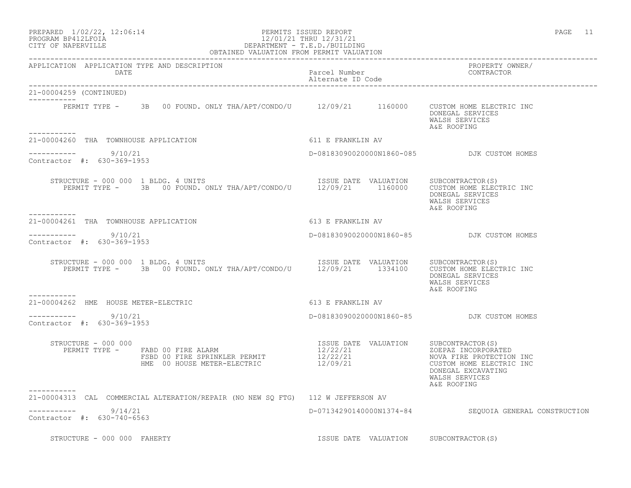### PREPARED  $1/02/22$ ,  $12:06:14$  PERMITS ISSUED REPORT PAGE 11 PROGRAM BP412LFOIA 12/01/21 THRU 12/31/21 CITY OF NAPERVILLE DEPARTMENT - T.E.D./BUILDING OBTAINED VALUATION FROM PERMIT VALUATION

------------------------------------------------------------------------------------------------------------------------------------

APPLICATION APPLICATION TYPE AND DESCRIPTION PROPERTY OWNER/ DATE Parcel Number Alternate ID Code ------------------------------------------------------------------------------------------------------------------------------------ 21-00004259 (CONTINUED) ----------- PERMIT TYPE - 3B 00 FOUND. ONLY THA/APT/CONDO/U 12/09/21 1160000 CUSTOM HOME ELECTRIC INC DONEGAL SERVICES WALSH SERVICES<br>A&E ROOFING A&E ROOFING ----------- 21-00004260 THA TOWNHOUSE APPLICATION 611 E FRANKLIN AV  $--------- 9/10/21$ ----------- 9/10/21 D-08183090020000N1860-085 DJK CUSTOM HOMES Contractor #: 630-369-1953 STRUCTURE - 000 000 1 BLDG. 4 UNITS **ISSUE DATE VALUATION** SUBCONTRACTOR(S) PERMIT TYPE - 3B 00 FOUND. ONLY THA/APT/CONDO/U 12/09/21 1160000 CUSTOM HOME ELECTRIC INC DONEGAL SERVICES WALSH SERVICES<br>A&E ROOFING A&E ROOFING ----------- 21-00004261 THA TOWNHOUSE APPLICATION 613 E FRANKLIN AV ----------- 9/10/21 D-08183090020000N1860-85 DJK CUSTOM HOMES Contractor #: 630-369-1953 STRUCTURE - 000 000 1 BLDG. 4 UNITS ISSUE DATE VALUATION SUBCONTRACTOR(S) PERMIT TYPE - 3B 00 FOUND. ONLY THA/APT/CONDO/U 12/09/21 1334100 CUSTOM HOME ELECTRIC INC DONEGAL SERVICES WALSH SERVICES<br>A&E ROOFING A&E ROOFING ----------- 21-00004262 HME HOUSE METER-ELECTRIC 613 E FRANKLIN AV  $--------- 9/10/21$ ----------- 9/10/21 D-08183090020000N1860-85 DJK CUSTOM HOMES Contractor #: 630-369-1953 STRUCTURE - 000 000 ISSUE DATE VALUATION SUBCONTRACTOR(S) PERMIT TYPE - FABD 00 FIRE ALARM 12/22/21 12/22/21 20EPAZ INCORPORATED FSBD 00 FIRE SPRINKLER PERMIT  $12/22/21$  NOVA FIRE PROTECTION INC HME 00 HOUSE METER-ELECTRIC 12/09/21 CUSTOM HOME ELECTRIC INC DONEGAL EXCAVATING WALSH SERVICES<br>A&E ROOFING A&E ROOFING ----------- 21-00004313 CAL COMMERCIAL ALTERATION/REPAIR (NO NEW SQ FTG) 112 W JEFFERSON AV ----------- 9/14/21 D-07134290140000N1374-84 SEQUOIA GENERAL CONSTRUCTION Contractor #: 630-740-6563

STRUCTURE - 000 000 FAHERTY **ISSUE DATE VALUATION** SUBCONTRACTOR(S)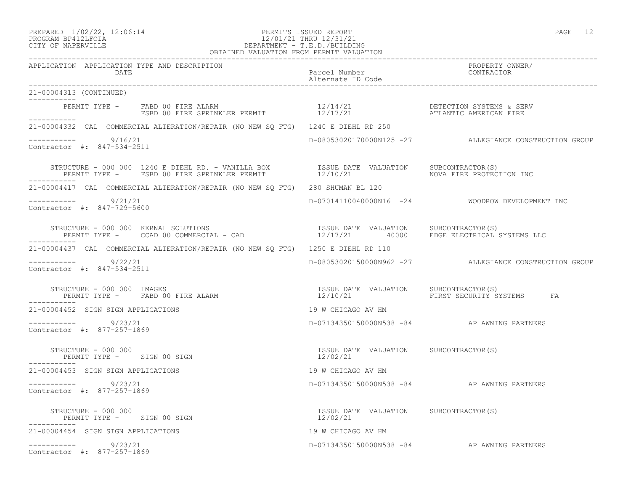## PREPARED  $1/02/22$ ,  $12:06:14$  PERMITS ISSUED REPORT PAGE 12 PROGRAM BP412LFOIA 12/01/21 THRU 12/31/21 CITY OF NAPERVILLE DEPARTMENT - T.E.D./BUILDING

| OBTAINED VALUATION FROM PERMIT VALUATION                                                                                                                                                                                |                                                   |                                                        |
|-------------------------------------------------------------------------------------------------------------------------------------------------------------------------------------------------------------------------|---------------------------------------------------|--------------------------------------------------------|
| APPLICATION APPLICATION TYPE AND DESCRIPTION<br>DATE                                                                                                                                                                    | Parcel Number<br>Alternate ID Code                | PROPERTY OWNER/<br>CONTRACTOR                          |
| 21-00004313 (CONTINUED)                                                                                                                                                                                                 |                                                   |                                                        |
| PERMIT TYPE – FABD 00 FIRE ALARM                         12/14/21               DETECTION SYSTEMS & SERV<br>FSBD 00 FIRE SPRINKLER PERMIT               12/17/21         ATLANTIC AMERICAN FIRE<br>___________          |                                                   |                                                        |
| 21-00004332 CAL COMMERCIAL ALTERATION/REPAIR (NO NEW SQ FTG) 1240 E DIEHL RD 250                                                                                                                                        |                                                   |                                                        |
| ---------- 9/16/21<br>Contractor #: 847-534-2511                                                                                                                                                                        |                                                   | D-08053020170000N125 -27 ALLEGIANCE CONSTRUCTION GROUP |
| STRUCTURE - 000 000 1240 E DIEHL RD. - VANILLA BOX            ISSUE DATE VALUATION    SUBCONTRACTOR(S)<br>PERMIT TYPE -    FSBD 00 FIRE SPRINKLER PERMIT              12/10/21                 NOVA FIRE PROTECTION INC |                                                   |                                                        |
| 21-00004417 CAL COMMERCIAL ALTERATION/REPAIR (NO NEW SO FTG) 280 SHUMAN BL 120                                                                                                                                          |                                                   |                                                        |
| -----------     9/21/21<br>Contractor #: 847-729-5600                                                                                                                                                                   |                                                   | D-07014110040000N16 -24 WOODROW DEVELOPMENT INC        |
| STRUCTURE - 000 000 KERNAL SOLUTIONS<br>PERMIT TYPE - CCAD 00 COMMERCIAL - CAD (2000 12/17/21 19000 EDGE ELECTRICAL SYSTEMS LLC<br>STRUCTURE - 000 000 KERNAL SOLUTIONS                                                 |                                                   |                                                        |
| 21-00004437 CAL COMMERCIAL ALTERATION/REPAIR (NO NEW SO FTG) 1250 E DIEHL RD 110                                                                                                                                        |                                                   |                                                        |
| ----------- 9/22/21<br>Contractor #: 847-534-2511                                                                                                                                                                       |                                                   | D-08053020150000N962 -27 ALLEGIANCE CONSTRUCTION GROUP |
| STRUCTURE - 000 000 IMAGES                                                                                                                                                                                              |                                                   |                                                        |
| 21-00004452 SIGN SIGN APPLICATIONS                                                                                                                                                                                      | 19 W CHICAGO AV HM                                |                                                        |
| $--------- 9/23/21$<br>Contractor #: 877-257-1869                                                                                                                                                                       |                                                   | D-07134350150000N538 -84 AP AWNING PARTNERS            |
| STRUCTURE - 000 000<br>PERMIT TYPE -     SIGN 00 SIGN<br>------<br>STRUCTURE - 000 000                                                                                                                                  | ISSUE DATE VALUATION SUBCONTRACTOR(S)<br>12/02/21 |                                                        |
| 21-00004453 SIGN SIGN APPLICATIONS                                                                                                                                                                                      | 19 W CHICAGO AV HM                                |                                                        |
| $--------$ 9/23/21<br>Contractor #: 877-257-1869                                                                                                                                                                        |                                                   | D-07134350150000N538 -84 AP AWNING PARTNERS            |
| STRUCTURE - 000 000<br>PERMIT TYPE - SIGN 00 SIGN                                                                                                                                                                       | ISSUE DATE VALUATION SUBCONTRACTOR(S)<br>12/02/21 |                                                        |
| 21-00004454 SIGN SIGN APPLICATIONS                                                                                                                                                                                      | 19 W CHICAGO AV HM                                |                                                        |
| $--------- 9/23/21$<br>Contractor #: 877-257-1869                                                                                                                                                                       |                                                   | D-07134350150000N538 -84 AP AWNING PARTNERS            |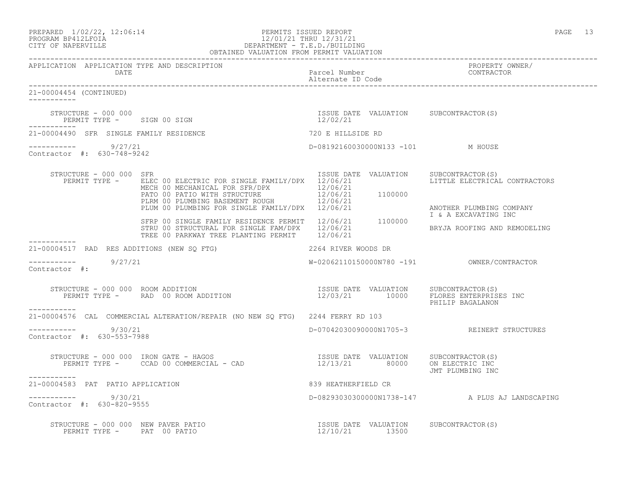| PREPARED 1/02/22, 12:06:14 | PERMITS ISSUED REPORT   | PAGE |  |
|----------------------------|-------------------------|------|--|
| PROCRAM RP412LFOIA         | 12/01/21 THRII 12/31/21 |      |  |

## PROGRAM BP412LFOIA 12/01/21 THRU 12/31/21 CITY OF NAPERVILLE DEPARTMENT - T.E.D./BUILDING OBTAINED VALUATION FROM PERMIT VALUATION

------------------------------------------------------------------------------------------------------------------------------------ APPLICATION APPLICATION TYPE AND DESCRIPTION PROPERTY OWNER/ DATE DATE Parcel Number<br>
Alternate ID Code Alternate ID Code ------------------------------------------------------------------------------------------------------------------------------------ 21-00004454 (CONTINUED) ----------- STRUCTURE – 000 000<br>
PERMIT TYPE – SIGN 00 SIGN CONTRACTOR (S) 2/02/21 PERMIT TYPE - SIGN 00 SIGN ----------- 21-00004490 SFR SINGLE FAMILY RESIDENCE 720 E HILLSIDE RD ----------- 9/27/21 D-08192160030000N133 -101 M HOUSE Contractor #: 630-748-9242 STRUCTURE - 000 000 SFR<br>PERMIT TYPE - ELEC 00 ELECTRIC FOR SINGLE FAMILY/DPX 12/06/21 12/06/21 LITTLE ELECTRICAL CONTRACTORS PERMIT TYPE - ELEC 00 ELECTRIC FOR SINGLE FAMILY/DPX 12/06/21 MECH 00 MECHANICAL FOR SFR/DPX 12/06/21 PATO 00 PATIO WITH STRUCTURE  $12/06/21$  1100000 PLRM 00 PLUMBING BASEMENT ROUGH  $12/06/21$ PLUM 00 PLUMBING FOR SINGLE FAMILY/DPX 12/06/21 ANOTHER PLUMBING COMPANY I & A EXCAVATING INC SFRP 00 SINGLE FAMILY RESIDENCE PERMIT 12/06/21 1100000 STRU 00 STRUCTURAL FOR SINGLE FAM/DPX  $12/06/21$  BRYJA ROOFING AND REMODELING TREE 00 PARKWAY TREE PLANTING PERMIT 12/06/21 ----------- 21-00004517 RAD RES ADDITIONS (NEW SQ FTG) 2264 RIVER WOODS DR  $--------- 9/27/21$ W-02062110150000N780 -191 OWNER/CONTRACTOR Contractor #: STRUCTURE - 000 000 ROOM ADDITION ISSUE DATE VALUATION SUBCONTRACTOR(S) PERMIT TYPE - RAD 00 ROOM ADDITION 12/03/21 10000 FLORES ENTERPRISES INC PHILIP BAGALANON ----------- 21-00004576 CAL COMMERCIAL ALTERATION/REPAIR (NO NEW SQ FTG) 2244 FERRY RD 103 \_\_\_\_\_\_\_\_\_\_\_ ----------- 9/30/21 D-07042030090000N1705-3 REINERT STRUCTURES Contractor #: 630-553-7988 STRUCTURE - 000 000 IRON GATE - HAGOS ISSUE DATE VALUATION SUBCONTRACTOR(S) PERMIT TYPE - CCAD 00 COMMERCIAL - CAD 12/13/21 80000 ON ELECTRIC INC JMT PLUMBING INC 21-00004583 PAT PATIO APPLICATION 839 HEATHERFIELD CR \_\_\_\_\_\_\_\_\_\_\_\_ ----------- 9/30/21 D-08293030300000N1738-147 A PLUS AJ LANDSCAPING Contractor #: 630-820-9555 STRUCTURE - 000 000 NEW PAVER PATIO ISSUE DATE VALUATION SUBCONTRACTOR(S) PERMIT TYPE - PAT 00 PATIO 12/10/21 13500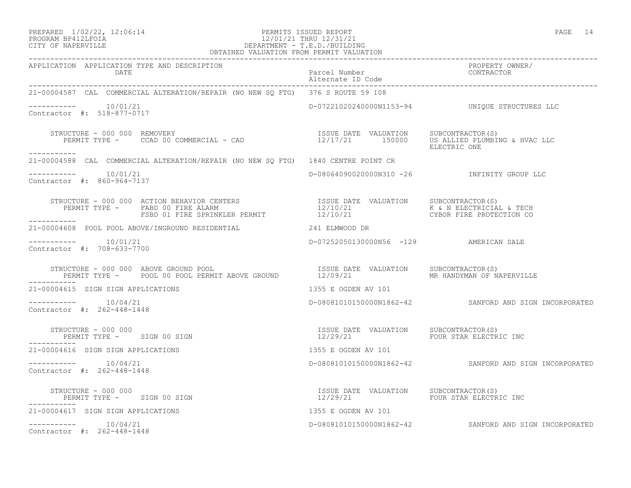### PREPARED  $1/02/22$ ,  $12:06:14$  PERMITS ISSUED REPORT PAGE 14 PROGRAM BP412LFOIA 12/01/21 THRU 12/31/21 CITY OF NAPERVILLE DEPARTMENT - T.E.D./BUILDING

| OBTAINED VALUATION FROM PERMIT VALUATION                                                                                                                                                                                                                                                                                                                                                                                                                                   |                                        |                                                        |
|----------------------------------------------------------------------------------------------------------------------------------------------------------------------------------------------------------------------------------------------------------------------------------------------------------------------------------------------------------------------------------------------------------------------------------------------------------------------------|----------------------------------------|--------------------------------------------------------|
| APPLICATION APPLICATION TYPE AND DESCRIPTION                                                                                                                                                                                                                                                                                                                                                                                                                               |                                        | PROPERTY OWNER/                                        |
| 21-00004587 CAL COMMERCIAL ALTERATION/REPAIR (NO NEW SQ FTG) 376 S ROUTE 59 108                                                                                                                                                                                                                                                                                                                                                                                            |                                        |                                                        |
| $--------- 10/01/21$<br>Contractor #: 518-877-0717                                                                                                                                                                                                                                                                                                                                                                                                                         |                                        | D-07221020240000N1153-94    UNIQUE STRUCTURES LLC      |
| STRUCTURE - 000 000 REMOVERY (S)<br>PERMIT TYPE - CCAD 00 COMMERCIAL - CAD (S) THE SUBLEMAN SUBCONTRACTOR (S)<br>ELECTRIC ONE ELECTRIC ONE                                                                                                                                                                                                                                                                                                                                 |                                        |                                                        |
| 21-00004588 CAL COMMERCIAL ALTERATION/REPAIR (NO NEW SQ FTG) 1840 CENTRE POINT CR                                                                                                                                                                                                                                                                                                                                                                                          |                                        |                                                        |
| Contractor #: 860-964-7137                                                                                                                                                                                                                                                                                                                                                                                                                                                 |                                        | D-08064090020000N310 -26 INFINITY GROUP LLC            |
| $\begin{array}{cccc} \texttt{STRUCTURE} & - & 000 & 000 & \texttt{ACTION} & \texttt{BEHAVIOR} & \texttt{CENTERS} & \texttt{ISSUE} & \texttt{DATE} & \texttt{VALUATION} & \texttt{SUBCONTRACTOR(S)} \\ \texttt{PERMIT TYPE} & - & \texttt{FABD} & 00 & \texttt{FIRE} & \texttt{ALDARM} & 12/10/21 & \texttt{K} & \texttt{N ELECTRICIAL} & \texttt{TECH} \\ \texttt{FSBD} & 01 & \texttt{FIRE} & \texttt{SPRINKLER} & \texttt{PERMIT} & 12/10/21 & \texttt{$<br>------------ |                                        |                                                        |
| 21-00004608 POOL POOL ABOVE/INGROUND RESIDENTIAL 241 ELMWOOD DR                                                                                                                                                                                                                                                                                                                                                                                                            |                                        |                                                        |
| Contractor #: 708-633-7700                                                                                                                                                                                                                                                                                                                                                                                                                                                 | D-07252050130000N56 -129 AMERICAN SALE |                                                        |
| STRUCTURE - 000 000 ABOVE GROUND POOL                                 ISSUE DATE VALUATION     SUBCONTRACTOR(S)<br>PERMIT TYPE -     POOL 00 POOL PERMIT ABOVE GROUND             12/09/21               MR HANDYMAN OF NAPERVILL                                                                                                                                                                                                                                          |                                        |                                                        |
| 21-00004615 SIGN SIGN APPLICATIONS 1355 E OGDEN AV 101                                                                                                                                                                                                                                                                                                                                                                                                                     |                                        |                                                        |
| $--------- 10/04/21$<br>Contractor #: 262-448-1448                                                                                                                                                                                                                                                                                                                                                                                                                         |                                        | D-08081010150000N1862-42 SANFORD AND SIGN INCORPORATED |
|                                                                                                                                                                                                                                                                                                                                                                                                                                                                            |                                        |                                                        |
| 21-00004616 SIGN SIGN APPLICATIONS                                                                                                                                                                                                                                                                                                                                                                                                                                         | 1355 E OGDEN AV 101                    |                                                        |
| $--------- 10/04/21$<br>Contractor #: 262-448-1448                                                                                                                                                                                                                                                                                                                                                                                                                         |                                        | D-08081010150000N1862-42 SANFORD AND SIGN INCORPORATED |
|                                                                                                                                                                                                                                                                                                                                                                                                                                                                            |                                        |                                                        |
| 21-00004617 SIGN SIGN APPLICATIONS                                                                                                                                                                                                                                                                                                                                                                                                                                         | 1355 E OGDEN AV 101                    |                                                        |
| $--------- 10/04/21$<br>Contractor #: 262-448-1448                                                                                                                                                                                                                                                                                                                                                                                                                         |                                        | D-08081010150000N1862-42 SANFORD AND SIGN INCORPORATED |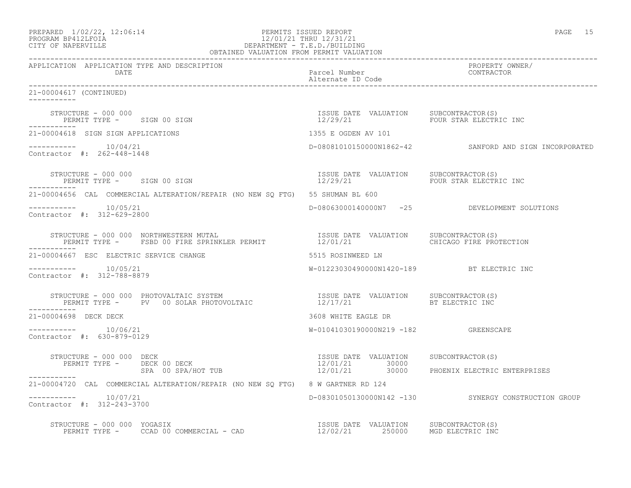| PREPARED | $1/02/22$ , $12:06:14$ |  |
|----------|------------------------|--|
|          | PROGRAM RP412LFOIA     |  |

## PERMITS ISSUED REPORT **PAGE 15** PROGRAM BP412LFOIA 12/01/21 THRU 12/31/21<br>CITY OF NAPERVILLE DEPARTMENT - T.E.D./BUILDII CITY OF NAPERVILLE DEPARTMENT - T.E.D./BUILDING

| OBTAINED VALUATION FROM PERMIT VALUATION                                                                                                                                                                                                          |                                                         |                                                        |  |
|---------------------------------------------------------------------------------------------------------------------------------------------------------------------------------------------------------------------------------------------------|---------------------------------------------------------|--------------------------------------------------------|--|
| APPLICATION APPLICATION TYPE AND DESCRIPTION                                                                                                                                                                                                      |                                                         | PROPERTY OWNER/                                        |  |
| 21-00004617 (CONTINUED)                                                                                                                                                                                                                           |                                                         |                                                        |  |
|                                                                                                                                                                                                                                                   |                                                         | FOUR STAR ELECTRIC INC                                 |  |
| 21-00004618 SIGN SIGN APPLICATIONS                                                                                                                                                                                                                | 1355 E OGDEN AV 101                                     |                                                        |  |
| Contractor #: 262-448-1448                                                                                                                                                                                                                        |                                                         | D-08081010150000N1862-42 SANFORD AND SIGN INCORPORATED |  |
| STRUCTURE - 000 000<br>PERMIT TYPE - SIGN 00 SIGN<br>------------                                                                                                                                                                                 |                                                         |                                                        |  |
| 21-00004656 CAL COMMERCIAL ALTERATION/REPAIR (NO NEW SQ FTG) 55 SHUMAN BL 600                                                                                                                                                                     |                                                         |                                                        |  |
| $--------- 10/05/21$<br>Contractor #: 312-629-2800                                                                                                                                                                                                |                                                         | D-08063000140000N7 -25 DEVELOPMENT SOLUTIONS           |  |
| STRUCTURE – 000 000 NORTHWESTERN MUTAL                                  ISSUE DATE VALUATION     SUBCONTRACTOR(S)<br>PERMIT TYPE –     FSBD 00 FIRE SPRINKLER PERMIT                 12/01/21                         CHICAGO FIR<br>------------ |                                                         |                                                        |  |
| 21-00004667 ESC ELECTRIC SERVICE CHANGE                                                                                                                                                                                                           | 5515 ROSINWEED LN                                       |                                                        |  |
| $--------- 10/05/21$<br>Contractor #: 312-788-8879                                                                                                                                                                                                | W-01223030490000N1420-189 BT ELECTRIC INC               |                                                        |  |
| ___________                                                                                                                                                                                                                                       |                                                         |                                                        |  |
| 21-00004698 DECK DECK                                                                                                                                                                                                                             | 3608 WHITE EAGLE DR                                     |                                                        |  |
| $--------- 10/06/21$<br>Contractor #: 630-879-0129                                                                                                                                                                                                | W-01041030190000N219 -182 GREENSCAPE                    |                                                        |  |
| STRUCTURE - 000 000 DECK<br>PERMIT TYPE - DECK 00 DECK<br>STRUCTURE - 000 000 DECK                                                                                                                                                                | ISSUE DATE VALUATION SUBCONTRACTOR(S)<br>12/01/21 30000 |                                                        |  |
| SPA 00 SPA/HOT TUB<br>------------                                                                                                                                                                                                                |                                                         | 12/01/21 30000 PHOENIX ELECTRIC ENTERPRISES            |  |
| 21-00004720 CAL COMMERCIAL ALTERATION/REPAIR (NO NEW SQ FTG) 8 W GARTNER RD 124                                                                                                                                                                   |                                                         |                                                        |  |
| $--------- 10/07/21$<br>Contractor #: 312-243-3700                                                                                                                                                                                                |                                                         | D-08301050130000N142 -130 SYNERGY CONSTRUCTION GROUP   |  |
| STRUCTURE - 000 000 YOGASIX<br>PERMIT TYPE - CCAD 00 COMMERCIAL - CAD COMPERTING THE STRUCTURE 250000 MGD ELECTRIC INC                                                                                                                            |                                                         |                                                        |  |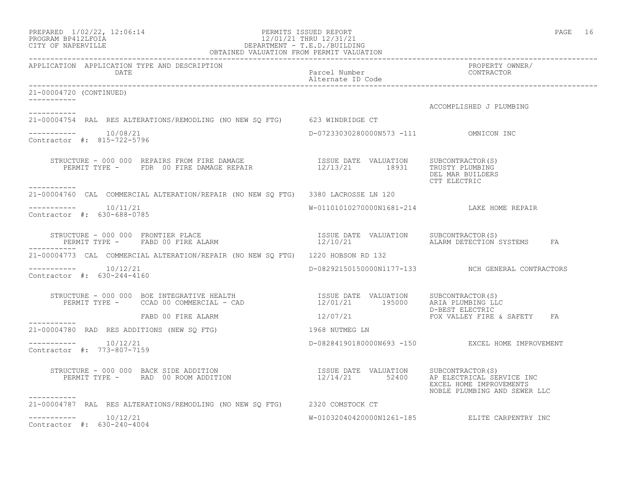| PREPARED | $1/02/22$ , $12:06:14$ |  |
|----------|------------------------|--|
|          | PROGRAM BP412LFOIA     |  |

### PREPARED  $1/02/22$ ,  $12:06:14$  PERMITS ISSUED REPORT PAGE 16 PROGRAM BP412LFOIA 12/01/21 THRU 12/31/21 CITY OF NAPERVILLE DEPARTMENT - T.E.D./BUILDING OBTAINED VALUATION FROM PERMIT VALUATION

------------------------------------------------------------------------------------------------------------------------------------ APPLICATION APPLICATION TYPE AND DESCRIPTION PROPERTY OWNER/ DATE CONTRACTOR CONTRACTOR DESCRIPTION DE PARTICIPATE DE CONTRACTOR DE CONTRACTOR DE CONTRACTOR DE CONTRACTOR <br>DE CONTRACTOR DE CONTRACTOR DE CONTRACTOR DE CONTRACTOR DE CONTRACTOR DE CONTRACTOR DE CONTRACTOR DE CONTRACTO Alternate ID Code ------------------------------------------------------------------------------------------------------------------------------------ 21-00004720 (CONTINUED) ----------- ACCOMPLISHED J PLUMBING ----------- 21-00004754 RAL RES ALTERATIONS/REMODLING (NO NEW SQ FTG) 623 WINDRIDGE CT  $--------- 10/08/21$ D-07233030280000N573 -111 OMNICON INC Contractor #: 815-722-5796 STRUCTURE - 000 000 REPAIRS FROM FIRE DAMAGE ISSUE DATE VALUATION SUBCONTRACTOR(S) PERMIT TYPE - FDR 00 FIRE DAMAGE REPAIR  $12/13/21$  18931 TRUSTY PLUMBING DEL MAR BUILDERS CTT ELECTRIC ----------- 21-00004760 CAL COMMERCIAL ALTERATION/REPAIR (NO NEW SQ FTG) 3380 LACROSSE LN 120 \_\_\_\_\_\_\_\_\_\_\_ ----------- 10/11/21 W-01101010270000N1681-214 LAKE HOME REPAIR Contractor #: 630-688-0785 STRUCTURE - 000 000 FRONTIER PLACE ISSUE DATE VALUATION SUBCONTRACTOR(S) PERMIT TYPE - FABD 00 FIRE ALARM 12/10/21 12/10/21 ALARM DETECTION SYSTEMS FA ----------- 21-00004773 CAL COMMERCIAL ALTERATION/REPAIR (NO NEW SQ FTG) 1220 HOBSON RD 132 ----------- 10/12/21 D-08292150150000N1177-133 NCH GENERAL CONTRACTORS Contractor #: 630-244-4160 STRUCTURE - 000 000 BOE INTEGRATIVE HEALTH ISSUE DATE VALUATION SUBCONTRACTOR(S) PERMIT TYPE - CCAD 00 COMMERCIAL - CAD 12/01/21 195000 ARIA PLUMBING LLC D-BEST ELECTRIC FABD 00 FIRE ALARM 12/07/21 FOX VALLEY FIRE & SAFETY FA ----------- 21-00004780 RAD RES ADDITIONS (NEW SQ FTG) 1968 NUTMEG LN  $--------- 10/12/21$ ----------- 10/12/21 D-08284190180000N693 -150 EXCEL HOME IMPROVEMENT Contractor #: 773-807-7159 STRUCTURE - 000 000 BACK SIDE ADDITION ISSUE DATE VALUATION SUBCONTRACTOR(S) PERMIT TYPE - RAD 00 ROOM ADDITION 12/14/21 52400 AP ELECTRICAL SERVICE INC EXCEL HOME IMPROVEMENTS NOBLE PLUMBING AND SEWER LLC ----------- 21-00004787 RAL RES ALTERATIONS/REMODLING (NO NEW SQ FTG) 2320 COMSTOCK CT

----------- 10/12/21 W-01032040420000N1261-185 ELITE CARPENTRY INC

 $--------- 10/12/21$ Contractor #: 630-240-4004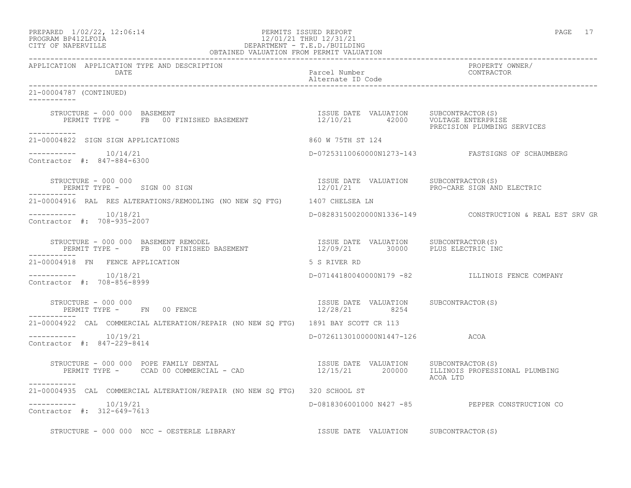## PREPARED  $1/02/22$ ,  $12:06:14$  PERMITS ISSUED REPORT PAGE 17 PROGRAM BP412LFOIA 12/01/21 THRU 12/31/21 CITY OF NAPERVILLE DEPARTMENT - T.E.D./BUILDING

| OBTAINED VALUATION FROM PERMIT VALUATION                                                                                                                             |                                                                        |                                                             |  |
|----------------------------------------------------------------------------------------------------------------------------------------------------------------------|------------------------------------------------------------------------|-------------------------------------------------------------|--|
| APPLICATION APPLICATION TYPE AND DESCRIPTION<br>DATE                                                                                                                 | Parcel Number<br>Alternate ID Code                                     | PROPERTY OWNER/<br>CONTRACTOR                               |  |
| 21-00004787 (CONTINUED)<br>-----------                                                                                                                               |                                                                        |                                                             |  |
| STRUCTURE - 000 000 BASEMENT<br>PERMIT TYPE - FB 00 FINISHED BASEMENT                      12/10/21        42000   VOLTAGE ENTERPRISE<br>PRECISION PLUMBING SERVICES |                                                                        |                                                             |  |
| -----------<br>21-00004822 SIGN SIGN APPLICATIONS                                                                                                                    | 860 W 75TH ST 124                                                      |                                                             |  |
| $--------- 10/14/21$<br>Contractor #: 847-884-6300                                                                                                                   |                                                                        | D-07253110060000N1273-143    FASTSIGNS OF SCHAUMBERG        |  |
| STRUCTURE - 000 000<br>PERMIT TYPE - SIGN 00 SIGN                                                                                                                    | ISSUE DATE VALUATION SUBCONTRACTOR(S)                                  | 12/01/21 PRO-CARE SIGN AND ELECTRIC                         |  |
| 21-00004916 RAL RES ALTERATIONS/REMODLING (NO NEW SO FTG) 1407 CHELSEA LN                                                                                            |                                                                        |                                                             |  |
| Contractor #: 708-935-2007                                                                                                                                           |                                                                        | D-08283150020000N1336-149    CONSTRUCTION & REAL EST SRV GR |  |
| STRUCTURE - 000 000 BASEMENT REMODEL                                                                                                                                 |                                                                        |                                                             |  |
| 21-00004918 FN FENCE APPLICATION                                                                                                                                     | 5 S RIVER RD                                                           |                                                             |  |
| Contractor #: 708-856-8999                                                                                                                                           |                                                                        | D-07144180040000N179 -82 ILLINOIS FENCE COMPANY             |  |
| STRUCTURE - 000 000<br>PERMIT TYPE - FN 00 FENCE                                                                                                                     | ISSUE DATE VALUATION SUBCONTRACTOR(S)<br>$\frac{13300}{22}/28/21$ 8254 |                                                             |  |
| 21-00004922 CAL COMMERCIAL ALTERATION/REPAIR (NO NEW SQ FTG) 1891 BAY SCOTT CR 113                                                                                   |                                                                        |                                                             |  |
| $--------- 10/19/21$<br>Contractor #: 847-229-8414                                                                                                                   | D-07261130100000N1447-126 ACOA                                         |                                                             |  |
| STRUCTURE - 000 000 POPE FAMILY DENTAL<br>PERMIT TYPE - CCAD 00 COMMERCIAL - CAD - 12/15/21 200000 ILLINOIS PROFESSIONAL PLUMBING                                    |                                                                        | ACOA LTD                                                    |  |
| -----------<br>21-00004935 CAL COMMERCIAL ALTERATION/REPAIR (NO NEW SQ FTG) 320 SCHOOL ST                                                                            |                                                                        |                                                             |  |
| $--------- 10/19/21$<br>Contractor #: 312-649-7613                                                                                                                   |                                                                        | D-0818306001000 N427 -85 PEPPER CONSTRUCTION CO             |  |
| STRUCTURE - 000 000 NCC - OESTERLE LIBRARY  SUBCONTRACTOR(S)                                                                                                         |                                                                        |                                                             |  |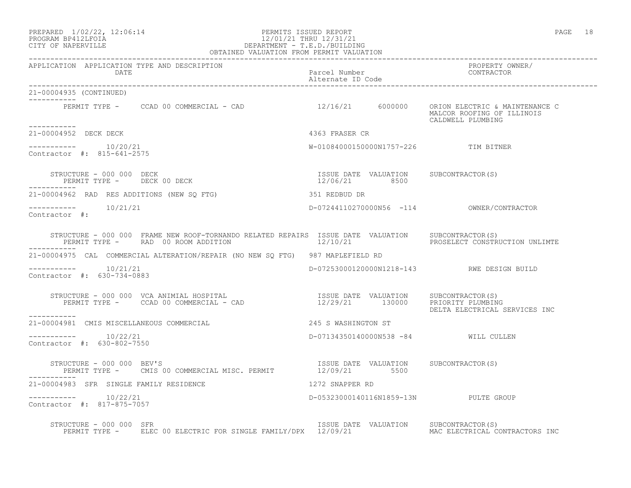### PREPARED  $1/02/22$ ,  $12:06:14$  PERMITS ISSUED REPORT PAGE 18 PROGRAM BP412LFOIA 12/01/21 THRU 12/31/21 CITY OF NAPERVILLE DEPARTMENT - T.E.D./BUILDING OBTAINED VALUATION FROM PERMIT VALUATION

------------------------------------------------------------------------------------------------------------------------------------ APPLICATION APPLICATION TYPE AND DESCRIPTION PROPERTY OWNER/ DATE Parcel Number CONTRACTOR Alternate ID Code ------------------------------------------------------------------------------------------------------------------------------------ 21-00004935 (CONTINUED) ----------- PERMIT TYPE - CCAD 00 COMMERCIAL - CAD 12/16/21 6000000 ORION ELECTRIC & MAINTENANCE C MALCOR ROOFING OF ILLINOIS CALDWELL PLUMBING ----------- 21-00004952 DECK DECK 4363 FRASER CR  $--------- 10/20/21$ W-01084000150000N1757-226 TIM BITNER Contractor #: 815-641-2575 STRUCTURE - 000 000 DECK ISSUE DATE VALUATION SUBCONTRACTOR(S) PERMIT TYPE - DECK 00 DECK 12/06/21 8500 ----------- 21-00004962 RAD RES ADDITIONS (NEW SQ FTG) 351 REDBUD DR ----------- 10/21/21 D-07244110270000N56 -114 OWNER/CONTRACTOR Contractor #: STRUCTURE - 000 000 FRAME NEW ROOF-TORNANDO RELATED REPAIRS ISSUE DATE VALUATION SUBCONTRACTOR(S)<br>PERMIT TYPE - RAD 00 ROOM ADDITION 12/10/21 PROSELECT CONSTRUCTION UNLIMTE PERMIT TYPE - RAD 00 ROOM ADDITION 12/10/21 ----------- 21-00004975 CAL COMMERCIAL ALTERATION/REPAIR (NO NEW SQ FTG) 987 MAPLEFIELD RD ----------- 10/21/21 D-07253000120000N1218-143 RWE DESIGN BUILD Contractor #: 630-734-0883 STRUCTURE - 000 000 VCA ANIMIAL HOSPITAL ISSUE DATE VALUATION SUBCONTRACTOR(S) PERMIT TYPE - CCAD 00 COMMERCIAL - CAD 12/29/21 130000 PRIORITY PLUMBING DELTA ELECTRICAL SERVICES INC ----------- 21-00004981 CMIS MISCELLANEOUS COMMERCIAL 245 S WASHINGTON ST \_\_\_\_\_\_\_\_\_\_\_ ----------- 10/22/21 D-07134350140000N538 -84 WILL CULLEN Contractor #: 630-802-7550 STRUCTURE - 000 000 BEV'S<br>
PERMIT TYPE - CMIS 00 COMMERCIAL MISC. PERMIT 12/09/21 5500 50BCONTRACTOR(S) PERMIT TYPE - CMIS 00 COMMERCIAL MISC. PERMIT 21-00004983 SFR SINGLE FAMILY RESIDENCE 1272 SNAPPER RD ----------- 10/22/21 D-05323000140116N1859-13N PULTE GROUP Contractor #: 817-875-7057 STRUCTURE - 000 000 SFR<br>PERMIT TYPE - ELEC 00 ELECTRIC FOR SINGLE FAMILY/DPX 12/09/21 MALUATION MAC ELECTRICAL CONTRACTORS INC PERMIT TYPE - ELEC 00 ELECTRIC FOR SINGLE FAMILY/DPX 12/09/21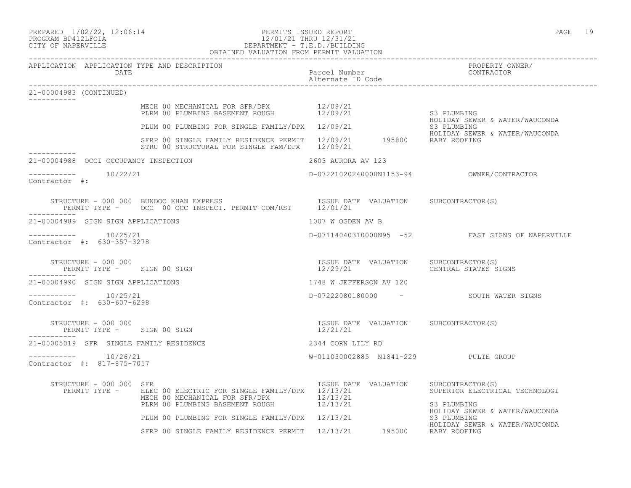## PROGRAM BP412LFOIA 12/01/21 THRU 12/31/21 CITY OF NAPERVILLE DEPARTMENT - T.E.D./BUILDING OBTAINED VALUATION FROM PERMIT VALUATION

| 21-00004983 (CONTINUED)                            |                                                                                                                                                                                  |                                                                                                                  |                                                  |
|----------------------------------------------------|----------------------------------------------------------------------------------------------------------------------------------------------------------------------------------|------------------------------------------------------------------------------------------------------------------|--------------------------------------------------|
|                                                    | MECH 00 MECHANICAL FOR SFR/DPX 12/09/21<br>PLRM 00 PLUMBING BASEMENT ROUGH 12/09/21<br>PLUM 00 PLUMBING FOR SINGLE FAMILY/DPX 12/09/21                                           |                                                                                                                  | S3 PLUMBING                                      |
|                                                    |                                                                                                                                                                                  |                                                                                                                  | HOLIDAY SEWER & WATER/WAUCONDA<br>S3 PLUMBING    |
|                                                    | HOLIDAY SEWEF تك 12/09/21 MOLIDAY SEWEF 12/09/21<br>STRU 00 STRUCTURAL FOR SINGLE FAM/DPX 12/09/21                                                                               |                                                                                                                  | HOLIDAY SEWER & WATER/WAUCONDA                   |
| 21-00004988 OCCI OCCUPANCY INSPECTION              |                                                                                                                                                                                  | 2603 AURORA AV 123                                                                                               |                                                  |
| -----------    10/22/21<br>Contractor #:           |                                                                                                                                                                                  |                                                                                                                  |                                                  |
|                                                    | STRUCTURE - 000 000 BUNDOO KHAN EXPRESS                           ISSUE DATE VALUATION     SUBCONTRACTOR(S)<br>PERMIT TYPE -     OCC 00 OCC INSPECT. PERMIT COM/RST     12/01/21 |                                                                                                                  |                                                  |
| 21-00004989 SIGN SIGN APPLICATIONS                 |                                                                                                                                                                                  | 1007 W OGDEN AV B                                                                                                |                                                  |
| $--------- 10/25/21$<br>Contractor #: 630-357-3278 |                                                                                                                                                                                  |                                                                                                                  | D-07114040310000N95 -52 FAST SIGNS OF NAPERVILLE |
| STRUCTURE - 000 000<br>PERMIT TYPE - SIGN 00 SIGN  |                                                                                                                                                                                  | ISSUE DATE VALUATION SUBCONTRACTOR(S)<br>12/29/21 CENTRAL STATES SIGNS                                           |                                                  |
| 21-00004990 SIGN SIGN APPLICATIONS                 |                                                                                                                                                                                  | 1748 W JEFFERSON AV 120                                                                                          |                                                  |
| $--------$ 10/25/21<br>Contractor #: 630-607-6298  |                                                                                                                                                                                  |                                                                                                                  | D-07222080180000 - SOUTH WATER SIGNS             |
| STRUCTURE - 000 000<br>PERMIT TYPE - SIGN 00 SIGN  |                                                                                                                                                                                  | ISSUE DATE VALUATION SUBCONTRACTOR(S)<br>12/21/21                                                                |                                                  |
| 21-00005019 SFR SINGLE FAMILY RESIDENCE            |                                                                                                                                                                                  | 2344 CORN LILY RD                                                                                                |                                                  |
| $--------$ 10/26/21<br>Contractor #: 817-875-7057  |                                                                                                                                                                                  | W-011030002885 N1841-229 PULTE GROUP                                                                             |                                                  |
| STRUCTURE - 000 000 SFR                            | PERMIT TYPE - ELEC 00 ELECTRIC FOR SINGLE FAMILY/DPX 12/13/21 SUPERIOR ELECTRICAL TECHNOLOGI                                                                                     | ISSUE DATE VALUATION SUBCONTRACTOR(S)                                                                            |                                                  |
|                                                    | MECH 00 MECHANICAL FOR SFR/DPX 12/13/21<br>PLRM 00 PLUMBING BASEMENT ROUGH 12/13/21                                                                                              | S3 PLUMBING<br>PLRM 00 PLUMBING BASEMENT ROUGH<br>PLUM 00 PLUMBING FOR SINGLE FAMILY/DPX 12/13/21<br>S3 PLUMBING | HOLIDAY SEWER & WATER/WAUCONDA                   |
|                                                    |                                                                                                                                                                                  |                                                                                                                  |                                                  |
|                                                    | EXAMPLE SEWER & WATER/WAUCONDA<br>SFRP 00 SINGLE FAMILY RESIDENCE PERMIT 12/13/21 195000 RABY ROOFING                                                                            |                                                                                                                  |                                                  |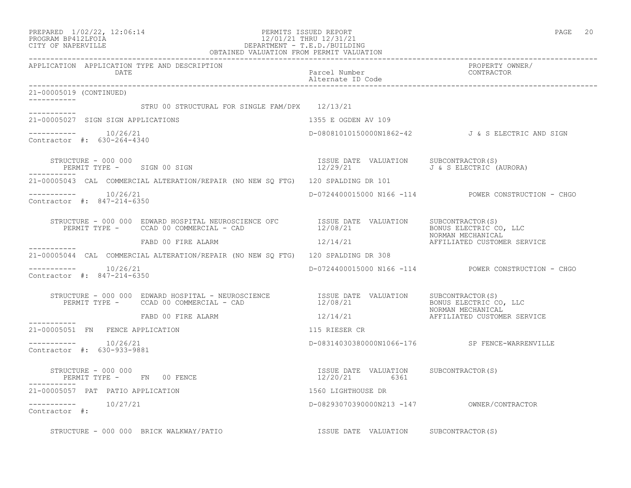| PREPARED                  | $1/02/22$ , $12:06:14$ |  |
|---------------------------|------------------------|--|
| <b>PROGRAME PRACTROTA</b> |                        |  |

## PREPARED 1/02/22, 12:06:14 PERMITS ISSUED REPORT<br>PROGRAM BP412LFOIA PAGE 20<br>12/01/21 THRU 12/31/21 PROGRAM BP412LFOIA 12/01/21 THRU 12/31/21<br>CITY OF NAPERVILLE DEPARTMENT - T.E.D./BUILDI CITY OF NAPERVILLE DEPARTMENT - T.E.D./BUILDING

|                                                       | OBTAINED VALUATION FROM PERMIT VALUATION                                                                                                                                                      |                                    |                                                                             |
|-------------------------------------------------------|-----------------------------------------------------------------------------------------------------------------------------------------------------------------------------------------------|------------------------------------|-----------------------------------------------------------------------------|
| APPLICATION APPLICATION TYPE AND DESCRIPTION<br>DATE  |                                                                                                                                                                                               | Parcel Number<br>Alternate ID Code | PROPERTY OWNER/<br>CONTRACTOR                                               |
| 21-00005019 (CONTINUED)                               |                                                                                                                                                                                               |                                    |                                                                             |
|                                                       | STRU 00 STRUCTURAL FOR SINGLE FAM/DPX 12/13/21                                                                                                                                                |                                    |                                                                             |
| 21-00005027 SIGN SIGN APPLICATIONS                    |                                                                                                                                                                                               | 1355 E OGDEN AV 109                |                                                                             |
| -----------    10/26/21<br>Contractor #: 630-264-4340 |                                                                                                                                                                                               |                                    | D-08081010150000N1862-42 J& S ELECTRIC AND SIGN                             |
| STRUCTURE - 000 000                                   | PERMIT TYPE - SIGN 00 SIGN                                                                                                                                                                    |                                    | ISSUE DATE VALUATION SUBCONTRACTOR(S)<br>$12/29/21$ J & S ELECTRIC (AURORA) |
|                                                       | 21-00005043 CAL COMMERCIAL ALTERATION/REPAIR (NO NEW SQ FTG) 120 SPALDING DR 101                                                                                                              |                                    |                                                                             |
| $--------- 10/26/21$<br>Contractor #: 847-214-6350    |                                                                                                                                                                                               |                                    | D-0724400015000 N166 -114 POWER CONSTRUCTION - CHGO                         |
|                                                       | STRUCTURE - 000 000 EDWARD HOSPITAL NEUROSCIENCE OFC SISSUE DATE VALUATION SUBCONTRACTOR(S)<br>PERMIT TYPE - CCAD 00 COMMERCIAL - CAD                                                         |                                    |                                                                             |
|                                                       |                                                                                                                                                                                               |                                    |                                                                             |
|                                                       | 21-00005044 CAL COMMERCIAL ALTERATION/REPAIR (NO NEW SO FTG) 120 SPALDING DR 308                                                                                                              |                                    |                                                                             |
| $--------$ 10/26/21<br>Contractor #: 847-214-6350     |                                                                                                                                                                                               |                                    | D-0724400015000 N166 -114 POWER CONSTRUCTION - CHGO                         |
|                                                       | STRUCTURE - 000 000 EDWARD HOSPITAL - NEUROSCIENCE TSSUE DATE VALUATION SUBCONTRACTOR(S)<br>PERMIT TYPE - CCAD 00 COMMERCIAL - CAD<br>FABD 00 FIRE ALARM 12/14/21 AFFILIATED CUSTOMER SERVICE |                                    |                                                                             |
|                                                       | FABD 00 FIRE ALARM                                                                                                                                                                            |                                    |                                                                             |
| 21-00005051 FN FENCE APPLICATION                      |                                                                                                                                                                                               | 115 RIESER CR                      |                                                                             |
| -----------    10/26/21<br>Contractor #: 630-933-9881 |                                                                                                                                                                                               |                                    | D-08314030380000N1066-176 SP FENCE-WARRENVILLE                              |
|                                                       | STRUCTURE - 000 000<br>PERMIT TYPE - FN 00 FENCE                                                                                                                                              | 12/20/21 6361                      | ISSUE DATE VALUATION SUBCONTRACTOR(S)                                       |
| 21-00005057 PAT PATIO APPLICATION                     |                                                                                                                                                                                               | 1560 LIGHTHOUSE DR                 |                                                                             |
| $--------- 10/27/21$<br>Contractor #:                 |                                                                                                                                                                                               |                                    |                                                                             |
|                                                       | ISSUE DATE VALUATION SUBCONTRACTOR(S)<br>STRUCTURE - 000 000 BRICK WALKWAY/PATIO                                                                                                              |                                    |                                                                             |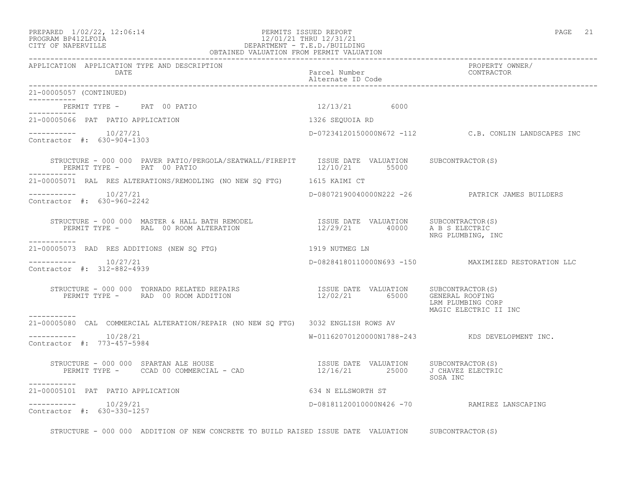21-00005057 (CONTINUED)

-----------

-----------

-----------

## PROGRAM BP412LFOIA 12/01/21 THRU 12/31/21 CITY OF NAPERVILLE DEPARTMENT - T.E.D./BUILDING OBTAINED VALUATION FROM PERMIT VALUATION

------------------------------------------------------------------------------------------------------------------------------------

APPLICATION APPLICATION TYPE AND DESCRIPTION PROPERTY OWNER/ DATE Parcel Number CONTRACTOR

Alternate ID Code

----------- PERMIT TYPE - PAT 00 PATIO 12/13/21 6000 ----------- 21-00005066 PAT PATIO APPLICATION 1326 SEQUOIA RD  $--------- 10/27/21$ D-07234120150000N672 -112 C.B. CONLIN LANDSCAPES INC Contractor #: 630-904-1303 STRUCTURE - 000 000 PAVER PATIO/PERGOLA/SEATWALL/FIREPIT ISSUE DATE VALUATION SUBCONTRACTOR(S)<br>PERMIT TYPE - PAT 00 PATIO PERMIT TYPE - PAT 00 PATIO ----------- 21-00005071 RAL RES ALTERATIONS/REMODLING (NO NEW SQ FTG) 1615 KAIMI CT ----------- 10/27/21 D-08072190040000N222 -26 PATRICK JAMES BUILDERS Contractor #: 630-960-2242 STRUCTURE - 000 000 MASTER & HALL BATH REMODEL ISSUE DATE VALUATION SUBCONTRACTOR(S) PERMIT TYPE - RAL 00 ROOM ALTERATION 12/29/21 40000 A B S ELECTRIC NRG PLUMBING, INC 21-00005073 RAD RES ADDITIONS (NEW SQ FTG) 1919 NUTMEG LN  $--------- 10/27/21$ ----------- 10/27/21 D-08284180110000N693 -150 MAXIMIZED RESTORATION LLC Contractor #: 312-882-4939 STRUCTURE - 000 000 TORNADO RELATED REPAIRS ISSUE DATE VALUATION SUBCONTRACTOR(S) PERMIT TYPE - RAD 00 ROOM ADDITION 12/02/21 65000 GENERAL ROOFING LRM PLUMBING CORP MAGIC ELECTRIC II INC 21-00005080 CAL COMMERCIAL ALTERATION/REPAIR (NO NEW SQ FTG) 3032 ENGLISH ROWS AV  $--------- 10/28/21$  $W-01162070120000N1788-243$  KDS DEVELOPMENT INC. Contractor #: 773-457-5984 STRUCTURE - 000 000 SPARTAN ALE HOUSE ISSUE DATE VALUATION SUBCONTRACTOR(S) PERMIT TYPE - CCAD 00 COMMERCIAL - CAD 12/16/21 25000 J CHAVEZ ELECTRIC SOSA INC 21-00005101 PAT PATIO APPLICATION 634 N ELLSWORTH ST  $--------- 10/29/21$ ----------- 10/29/21 D-08181120010000N426 -70 RAMIREZ LANSCAPING

------------------------------------------------------------------------------------------------------------------------------------

Contractor #: 630-330-1257

STRUCTURE - 000 000 ADDITION OF NEW CONCRETE TO BUILD RAISED ISSUE DATE VALUATION SUBCONTRACTOR(S)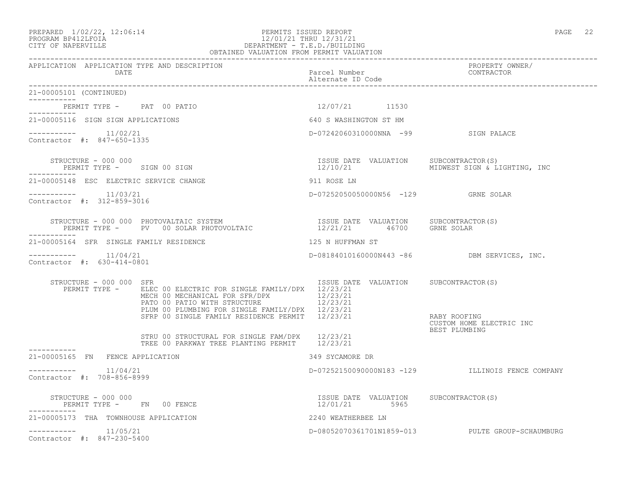### PREPARED  $1/02/22$ ,  $12:06:14$  PERMITS ISSUED REPORT PAGE 22 PROGRAM BP412LFOIA 12/01/21 THRU 12/31/21 CITY OF NAPERVILLE DEPARTMENT - T.E.D./BUILDING OBTAINED VALUATION FROM PERMIT VALUATION

| APPLICATION APPLICATION TYPE AND DESCRIPTION<br>DATE  |                                                                                                                                                                                                                                                                 | Parcel Number<br>Alternate ID Code                            | PROPERTY OWNER/<br>CONTRACTOR                    |
|-------------------------------------------------------|-----------------------------------------------------------------------------------------------------------------------------------------------------------------------------------------------------------------------------------------------------------------|---------------------------------------------------------------|--------------------------------------------------|
| 21-00005101 (CONTINUED)                               |                                                                                                                                                                                                                                                                 |                                                               |                                                  |
| PERMIT TYPE - PAT 00 PATIO<br>----------              |                                                                                                                                                                                                                                                                 | 12/07/21 11530                                                |                                                  |
| 21-00005116 SIGN SIGN APPLICATIONS                    |                                                                                                                                                                                                                                                                 | 640 S WASHINGTON ST HM                                        |                                                  |
| -----------    11/02/21<br>Contractor #: 847-650-1335 |                                                                                                                                                                                                                                                                 | D-07242060310000NNA -99 SIGN PALACE                           |                                                  |
| STRUCTURE - 000 000<br>PERMIT TYPE - SIGN 00 SIGN     |                                                                                                                                                                                                                                                                 | ISSUE DATE VALUATION<br>12/10/21                              | SUBCONTRACTOR(S)<br>MIDWEST SIGN & LIGHTING, INC |
| 21-00005148 ESC ELECTRIC SERVICE CHANGE               |                                                                                                                                                                                                                                                                 | 911 ROSE LN                                                   |                                                  |
| -----------    11/03/21<br>Contractor #: 312-859-3016 |                                                                                                                                                                                                                                                                 |                                                               |                                                  |
|                                                       | STRUCTURE - 000 000 PHOTOVALTAIC SYSTEM<br>RUCTURE – 000 000 PHOTOVALTAIC SYSTEM                              ISSUE DATE VALUATION      SUBCONTRACTOR(S)<br>PERMIT TYPE –     PV   00 SOLAR PHOTOVOLTAIC                     12/21/21      46700     GRNE SOLAR |                                                               |                                                  |
| 21-00005164 SFR SINGLE FAMILY RESIDENCE               |                                                                                                                                                                                                                                                                 | 125 N HUFFMAN ST                                              |                                                  |
| $--------- 11/04/21$<br>Contractor #: 630-414-0801    |                                                                                                                                                                                                                                                                 |                                                               | D-08184010160000N443 -86 DBM SERVICES, INC.      |
| STRUCTURE - 000 000 SFR<br>PERMIT TYPE -              | ELEC 00 ELECTRIC FOR SINGLE FAMILY/DPX 12/23/21<br>MECH 00 MECHANICAL FOR SFR/DPX<br>PATO 00 PATIO WITH STRUCTURE<br>PLUM 00 PLUMBING FOR SINGLE FAMILY/DPX 12/23/21<br>SFRP 00 SINGLE FAMILY RESIDENCE PERMIT 12/23/21                                         | ISSUE DATE VALUATION SUBCONTRACTOR(S)<br>12/23/21<br>12/23/21 | RABY ROOFING<br>CUSTOM HOME ELECTRIC INC         |
|                                                       | STRU 00 STRUCTURAL FOR SINGLE FAM/DPX 12/23/21<br>TREE 00 PARKWAY TREE PLANTING PERMIT 12/23/21                                                                                                                                                                 |                                                               | BEST PLUMBING                                    |
| -----------<br>21-00005165 FN FENCE APPLICATION       |                                                                                                                                                                                                                                                                 | 349 SYCAMORE DR                                               |                                                  |
| 11/04/21<br>-----------<br>Contractor #: 708-856-8999 |                                                                                                                                                                                                                                                                 |                                                               | D-07252150090000N183 -129 ILLINOIS FENCE COMPANY |
| STRUCTURE - 000 000<br>PERMIT TYPE - FN 00 FENCE      |                                                                                                                                                                                                                                                                 | ISSUE DATE VALUATION SUBCONTRACTOR(S)<br>12/01/21 5965        |                                                  |
| 21-00005173 THA TOWNHOUSE APPLICATION                 |                                                                                                                                                                                                                                                                 | 2240 WEATHERBEE LN                                            |                                                  |
| $---------$ 11/05/21<br>Contractor #: 847-230-5400    |                                                                                                                                                                                                                                                                 |                                                               | D-08052070361701N1859-013 PULTE GROUP-SCHAUMBURG |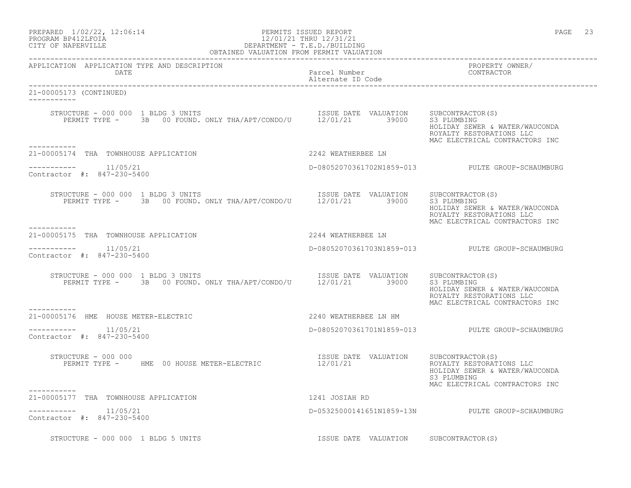| PREPARED | $1/02/22$ , $12:06:14$ |  |
|----------|------------------------|--|
|          | PROGRAM RP412LFOIA     |  |

## PERMITS ISSUED REPORT **PAGE** 23 PROGRAM BP412LFOIA 12/01/21 THRU 12/31/21<br>CITY OF NAPERVILLE CITY OF NAPERVILLE CITY OF NAPERVILLE DEPARTMENT - T.E.D./BUILDING

| OBTAINED VALUATION FROM PERMIT VALUATION                                                                                                                                                                                                                                                           |                                       |                                                                                                             |  |
|----------------------------------------------------------------------------------------------------------------------------------------------------------------------------------------------------------------------------------------------------------------------------------------------------|---------------------------------------|-------------------------------------------------------------------------------------------------------------|--|
| APPLICATION APPLICATION TYPE AND DESCRIPTION<br>DATE                                                                                                                                                                                                                                               | Parcel Number<br>Alternate ID Code    | PROPERTY OWNER/<br>CONTRACTOR                                                                               |  |
| 21-00005173 (CONTINUED)<br>-----------                                                                                                                                                                                                                                                             |                                       |                                                                                                             |  |
| $\begin{tabular}{llllll} \texttt{STRUCTURE} & 000 000 1 BLDG 3 UNITS & \texttt{INIST} & \texttt{ISSUE} \texttt{DATE} & \texttt{VALUATION} & \texttt{SUBCONTRACTOR(S)} \\ \texttt{PERMIT TYPE} & - & 3B & 00 FOUND. \texttt{ONLY THA/APT/COND/U} & 12/01/21 & 39000 & S3 PLUMBING \\ \end{tabular}$ |                                       | HOLIDAY SEWER & WATER/WAUCONDA<br>ROYALTY RESTORATIONS LLC<br>MAC ELECTRICAL CONTRACTORS INC                |  |
| 21-00005174 THA TOWNHOUSE APPLICATION                                                                                                                                                                                                                                                              | 2242 WEATHERBEE LN                    |                                                                                                             |  |
| $--------- 11/05/21$<br>Contractor #: 847-230-5400                                                                                                                                                                                                                                                 |                                       | D-08052070361702N1859-013 PULTE GROUP-SCHAUMBURG                                                            |  |
| STRUCTURE - 000 000 1 BLDG 3 UNITS<br>RUCTURE – 000 000 1 BLDG 3 UNITS<br>PERMIT TYPE – 3B 00 FOUND. ONLY THA/APT/CONDO/U 12/01/21 39000 S3 PLUMBING                                                                                                                                               |                                       | HOLIDAY SEWER & WATER/WAUCONDA<br>ROYALTY RESTORATIONS LLC<br>MAC ELECTRICAL CONTRACTORS INC                |  |
| 2244 WEATHERBEE LN<br>21-00005175 THA TOWNHOUSE APPLICATION                                                                                                                                                                                                                                        |                                       |                                                                                                             |  |
| $--------- 11/05/21$<br>Contractor #: 847-230-5400                                                                                                                                                                                                                                                 |                                       | D-08052070361703N1859-013 PULTE GROUP-SCHAUMBURG                                                            |  |
| STRUCTURE - 000 000 1 BLDG 3 UNITS<br>VUCTURE – 000 000 1 BLDG 3 UNITS<br>PERMIT TYPE – 3B 00 FOUND. ONLY THA/APT/CONDO/U 12/01/21 39000 S3 PLUMBING                                                                                                                                               |                                       | HOLIDAY SEWER & WATER/WAUCONDA<br>ROYALTY RESTORATIONS LLC<br>MAC ELECTRICAL CONTRACTORS INC                |  |
| -----------<br>21-00005176 HME HOUSE METER-ELECTRIC                                                                                                                                                                                                                                                | 2240 WEATHERBEE LN HM                 |                                                                                                             |  |
| $--------- 11/05/21$<br>Contractor #: 847-230-5400                                                                                                                                                                                                                                                 |                                       | D-08052070361701N1859-013 PULTE GROUP-SCHAUMBURG                                                            |  |
| STRUCTURE - 000 000<br>PERMIT TYPE - HME 00 HOUSE METER-ELECTRIC 12/01/21                                                                                                                                                                                                                          | ISSUE DATE VALUATION SUBCONTRACTOR(S) | ROYALTY RESTORATIONS LLC<br>HOLIDAY SEWER & WATER/WAUCONDA<br>S3 PLUMBING<br>MAC ELECTRICAL CONTRACTORS INC |  |
| 1241 JOSIAH RD<br>21-00005177 THA TOWNHOUSE APPLICATION                                                                                                                                                                                                                                            |                                       |                                                                                                             |  |
| Contractor #: 847-230-5400                                                                                                                                                                                                                                                                         |                                       | D-05325000141651N1859-13N PULTE GROUP-SCHAUMBURG                                                            |  |
| STRUCTURE - 000 000 1 BLDG 5 UNITS                                                                                                                                                                                                                                                                 | ISSUE DATE VALUATION SUBCONTRACTOR(S) |                                                                                                             |  |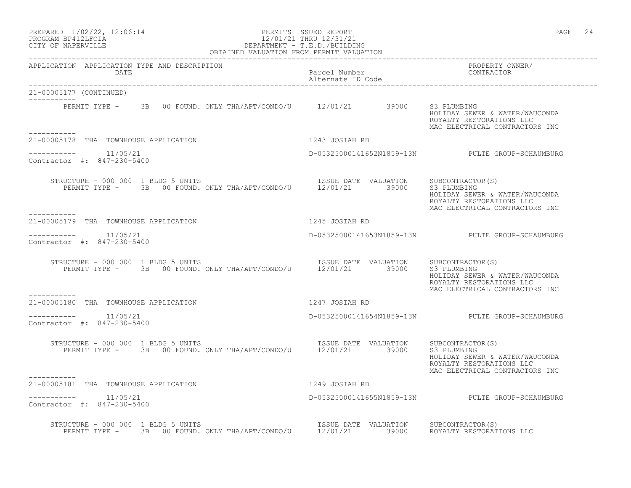### PROGRAM BP412LFOIA 12/01/21 THRU 12/31/21 CITY OF NAPERVILLE DEPARTMENT - T.E.D./BUILDING OBTAINED VALUATION FROM PERMIT VALUATION

------------------------------------------------------------------------------------------------------------------------------------ APPLICATION APPLICATION TYPE AND DESCRIPTION PROPERTY OWNER/ DATE PARTICLE IN PARTICLE IN PARTICLE IN PARTICLE IN THE PARTICLE IN THE PARTICLE IN THE PARTICLE IN THE PARTICLE IN THE PARTICLE IN THE PARTICLE IN THE PARTICLE IN THE PARTICLE IN THE PARTICLE IN THE PARTICLE IN THE PARTI Alternate ID Code ------------------------------------------------------------------------------------------------------------------------------------ 21-00005177 (CONTINUED) ----------- PERMIT TYPE - 3B 00 FOUND. ONLY THA/APT/CONDO/U 12/01/21 39000 S3 PLUMBING HOLIDAY SEWER & WATER/WAUCONDA ROYALTY RESTORATIONS LLC MAC ELECTRICAL CONTRACTORS INC ----------- 21-00005178 THA TOWNHOUSE APPLICATION 1243 JOSIAH RD  $--------- 11/05/21$ ----------- 11/05/21 D-05325000141652N1859-13N PULTE GROUP-SCHAUMBURG Contractor #: 847-230-5400 STRUCTURE - 000 000 1 BLDG 5 UNITS **ISSUE DATE VALUATION** SUBCONTRACTOR(S) PERMIT TYPE - 3B 00 FOUND. ONLY THA/APT/CONDO/U 12/01/21 39000 S3 PLUMBING HOLIDAY SEWER & WATER/WAUCONDA ROYALTY RESTORATIONS LLC MAC ELECTRICAL CONTRACTORS INC ----------- 21-00005179 THA TOWNHOUSE APPLICATION 1245 JOSIAH RD ----------- 11/05/21 D-05325000141653N1859-13N PULTE GROUP-SCHAUMBURG Contractor #: 847-230-5400 STRUCTURE - 000 000 1 BLDG 5 UNITS ISSUE DATE VALUATION SUBCONTRACTOR(S) PERMIT TYPE - 3B 00 FOUND. ONLY THA/APT/CONDO/U 12/01/21 39000 S3 PLUMBING HOLIDAY SEWER & WATER/WAUCONDA ROYALTY RESTORATIONS LLC MAC ELECTRICAL CONTRACTORS INC ----------- 21-00005180 THA TOWNHOUSE APPLICATION 1247 JOSIAH RD  $--------- 11/05/21$ ----------- 11/05/21 D-05325000141654N1859-13N PULTE GROUP-SCHAUMBURG Contractor #: 847-230-5400 STRUCTURE - 000 000 1 BLDG 5 UNITS **ISSUE DATE** VALUATION SUBCONTRACTOR(S) PERMIT TYPE - 3B 00 FOUND. ONLY THA/APT/CONDO/U 12/01/21 39000 S3 PLUMBING HOLIDAY SEWER & WATER/WAUCONDA ROYALTY RESTORATIONS LLC MAC ELECTRICAL CONTRACTORS INC ----------- 21-00005181 THA TOWNHOUSE APPLICATION 1249 JOSIAH RD ----------- 11/05/21 D-05325000141655N1859-13N PULTE GROUP-SCHAUMBURG Contractor #: 847-230-5400 STRUCTURE - 000 000 1 BLDG 5 UNITS ISSUE DATE VALUATION SUBCONTRACTOR(S) PERMIT TYPE - 3B 00 FOUND. ONLY THA/APT/CONDO/U 12/01/21 39000 ROYALTY RESTORATIONS LLC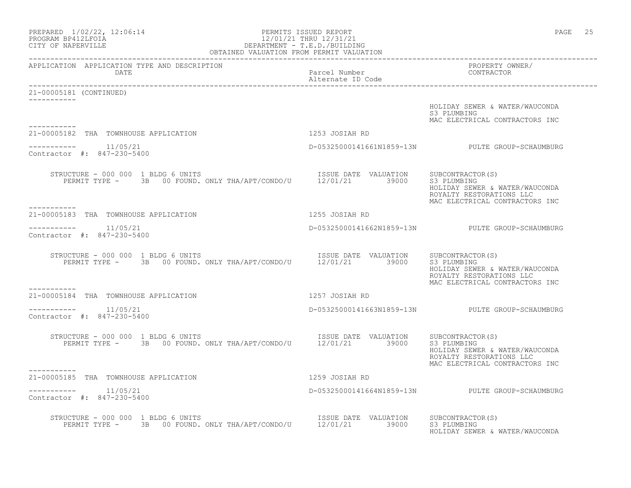| PREPARED 1/02/22, 12:06:14<br>PROGRAM BP412LFOIA 12/01/21 THRU 12/31/21<br>CITY OF NAPERVILLE<br>CITY OF NAPERVILLE<br>CEPARTMENT - T.E.D./BUILDING<br>OBTAINED VALUATION FROM PERMIT VALUATION |                                    | PAGE 25                                                                                      |
|-------------------------------------------------------------------------------------------------------------------------------------------------------------------------------------------------|------------------------------------|----------------------------------------------------------------------------------------------|
| APPLICATION APPLICATION TYPE AND DESCRIPTION<br>DATE                                                                                                                                            | Parcel Number<br>Alternate ID Code | PROPERTY OWNER/<br>CONTRACTOR                                                                |
| 21-00005181 (CONTINUED)                                                                                                                                                                         |                                    |                                                                                              |
|                                                                                                                                                                                                 |                                    | HOLIDAY SEWER & WATER/WAUCONDA<br>S3 PLUMBING<br>MAC ELECTRICAL CONTRACTORS INC              |
| 21-00005182 THA TOWNHOUSE APPLICATION                                                                                                                                                           | 1253 JOSIAH RD                     |                                                                                              |
| ---------    11/05/21<br>Contractor #: 847-230-5400                                                                                                                                             |                                    | D-05325000141661N1859-13N PULTE GROUP-SCHAUMBURG                                             |
| RUCTURE – 000 000 1 BLDG 6 UNITS<br>PERMIT TYPE – 3B 00 FOUND. ONLY THA/APT/CONDO/U 12/01/21 39000 S3 PLUMBING<br>STRUCTURE - 000 000 1 BLDG 6 UNITS<br>-----------                             |                                    | HOLIDAY SEWER & WATER/WAUCONDA<br>ROYALTY RESTORATIONS LLC<br>MAC ELECTRICAL CONTRACTORS INC |
| 21-00005183 THA TOWNHOUSE APPLICATION                                                                                                                                                           | 1255 JOSIAH RD                     |                                                                                              |
| 11/05/21<br>___________<br>Contractor #: 847-230-5400                                                                                                                                           |                                    | D-05325000141662N1859-13N PULTE GROUP-SCHAUMBURG                                             |
| STRUCTURE - 000 000 1 BLDG 6 UNITS<br>RUCTURE – 000 000 1 BLDG 6 UNITS<br>PERMIT TYPE – 3B 00 FOUND. ONLY THA/APT/CONDO/U 12/01/21 39000 S3 PLUMBING                                            |                                    | HOLIDAY SEWER & WATER/WAUCONDA<br>ROYALTY RESTORATIONS LLC<br>MAC ELECTRICAL CONTRACTORS INC |
| 21-00005184 THA TOWNHOUSE APPLICATION                                                                                                                                                           | 1257 JOSIAH RD                     |                                                                                              |
| $--------- 11/05/21$<br>Contractor #: 847-230-5400                                                                                                                                              |                                    | D-05325000141663N1859-13N PULTE GROUP-SCHAUMBURG                                             |
| RUCTURE - 000 000 1 BLDG 6 UNITS<br>PERMIT TYPE - 3B 00 FOUND. ONLY THA/APT/CONDO/U 12/01/21 39000 S3 PLUMBING<br>STRUCTURE - 000 000 1 BLDG 6 UNITS                                            |                                    | HOLIDAY SEWER & WATER/WAUCONDA<br>ROYALTY RESTORATIONS LLC<br>MAC ELECTRICAL CONTRACTORS INC |
| -----------<br>21-00005185 THA TOWNHOUSE APPLICATION                                                                                                                                            | 1259 JOSIAH RD                     |                                                                                              |
| $--------- 11/05/21$<br>Contractor #: 847-230-5400                                                                                                                                              |                                    | D-05325000141664N1859-13N PULTE GROUP-SCHAUMBURG                                             |
| STRUCTURE - 000 000 1 BLDG 6 UNITS<br>VUCTURE - 000 000 1 BLDG 6 UNITS<br>PERMIT TYPE - 3B 00 FOUND. ONLY THA/APT/CONDO/U 12/01/21 39000 S3 PLUMBING                                            |                                    | HOLIDAY SEWER & WATER/WAUCONDA                                                               |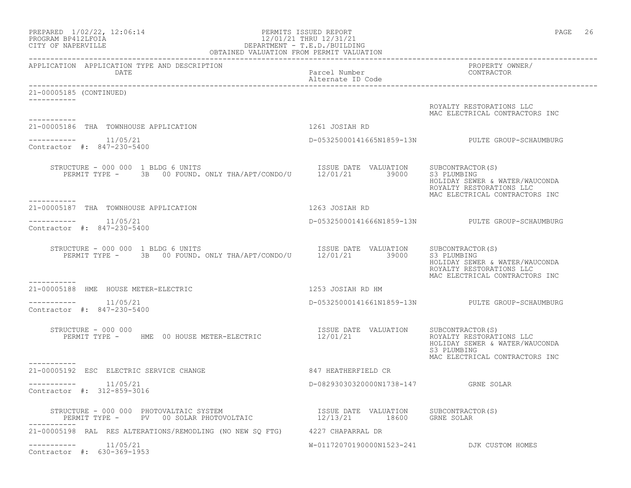| PREPARED 1/02/22, 12:06:14<br>PROGRAM BP412LFOIA<br>CITY OF NAPERVILLE                                                                                                                                                                      | PERMITS ISSUED REPORT<br>PERMITS ISSUED REPORT<br>12/01/21 THRU 12/31/21<br>DEPARTMENT - T.E.D./BUILDING<br>OBTAINED VALUATION FROM PERMIT VALUATION | PAGE 26                                                                                                     |
|---------------------------------------------------------------------------------------------------------------------------------------------------------------------------------------------------------------------------------------------|------------------------------------------------------------------------------------------------------------------------------------------------------|-------------------------------------------------------------------------------------------------------------|
| APPLICATION APPLICATION TYPE AND DESCRIPTION<br>DATE                                                                                                                                                                                        | Parcel Number                                                                                                                                        | PROPERTY OWNER/<br>CONTRACTOR                                                                               |
| 21-00005185 (CONTINUED)                                                                                                                                                                                                                     |                                                                                                                                                      |                                                                                                             |
| -----------                                                                                                                                                                                                                                 |                                                                                                                                                      | ROYALTY RESTORATIONS LLC<br>MAC ELECTRICAL CONTRACTORS INC                                                  |
| 21-00005186 THA TOWNHOUSE APPLICATION                                                                                                                                                                                                       | 1261 JOSIAH RD                                                                                                                                       |                                                                                                             |
| -----------    11/05/21<br>Contractor #: 847-230-5400                                                                                                                                                                                       |                                                                                                                                                      | D-05325000141665N1859-13N PULTE GROUP-SCHAUMBURG                                                            |
| STRUCTURE - 000 000 1 BLDG 6 UNITS<br>RUCTURE - 000 000 1 BLDG 6 UNITS<br>PERMIT TYPE - 3B 00 FOUND. ONLY THA/APT/CONDO/U 12/01/21 39000 S3 PLUMBING<br>-----------                                                                         |                                                                                                                                                      | HOLIDAY SEWER & WATER/WAUCONDA<br>ROYALTY RESTORATIONS LLC<br>MAC ELECTRICAL CONTRACTORS INC                |
| 21-00005187 THA TOWNHOUSE APPLICATION                                                                                                                                                                                                       | 1263 JOSIAH RD                                                                                                                                       |                                                                                                             |
| $--------- 11/05/21$<br>Contractor #: 847-230-5400                                                                                                                                                                                          |                                                                                                                                                      | D-05325000141666N1859-13N PULTE GROUP-SCHAUMBURG                                                            |
| $\begin{tabular}{llllll} \texttt{STRUCTURE} & 000 000 1 BLDG 6 UNITS \\ \texttt{PERMIT TYPE} & - & 3B & 00 FOUND \\ \texttt{DSWE} & - & 3B & 00 FOUND \\ \texttt{D} & - & 3B & 00 FOUND \\ \texttt{D} & - & 3B & 00 FOUND \\ \end{tabular}$ |                                                                                                                                                      | HOLIDAY SEWER & WATER/WAUCONDA<br>ROYALTY RESTORATIONS LLC<br>MAC ELECTRICAL CONTRACTORS INC                |
| -----------<br>21-00005188 HME HOUSE METER-ELECTRIC                                                                                                                                                                                         | 1253 JOSIAH RD HM                                                                                                                                    |                                                                                                             |
| $--------- 11/05/21$<br>Contractor #: 847-230-5400                                                                                                                                                                                          |                                                                                                                                                      | D-05325000141661N1859-13N PULTE GROUP-SCHAUMBURG                                                            |
| STRUCTURE - 000 000<br>PERMIT TYPE - HME 00 HOUSE METER-ELECTRIC                                                                                                                                                                            |                                                                                                                                                      | ROYALTY RESTORATIONS LLC<br>HOLIDAY SEWER & WATER/WAUCONDA<br>S3 PLUMBING<br>MAC ELECTRICAL CONTRACTORS INC |
| 21-00005192 ESC ELECTRIC SERVICE CHANGE                                                                                                                                                                                                     | 847 HEATHERFIELD CR                                                                                                                                  |                                                                                                             |
| 11/05/21<br>Contractor #: 312-859-3016                                                                                                                                                                                                      | D-08293030320000N1738-147 GRNE SOLAR                                                                                                                 |                                                                                                             |
| STRUCTURE – 000 000 PHOTOVALTAIC SYSTEM                              ISSUE DATE VALUATION      SUBCONTRACTOR(S)<br>PERMIT TYPE –      PV   00 SOLAR PHOTOVOLTAIC                       12/13/21      18600                                  |                                                                                                                                                      |                                                                                                             |
| 21-00005198 RAL RES ALTERATIONS/REMODLING (NO NEW SO FTG) 4227 CHAPARRAL DR                                                                                                                                                                 |                                                                                                                                                      |                                                                                                             |
| $--------$ 11/05/21<br>Contractor #: 630-369-1953                                                                                                                                                                                           |                                                                                                                                                      | W-01172070190000N1523-241 DJK CUSTOM HOMES                                                                  |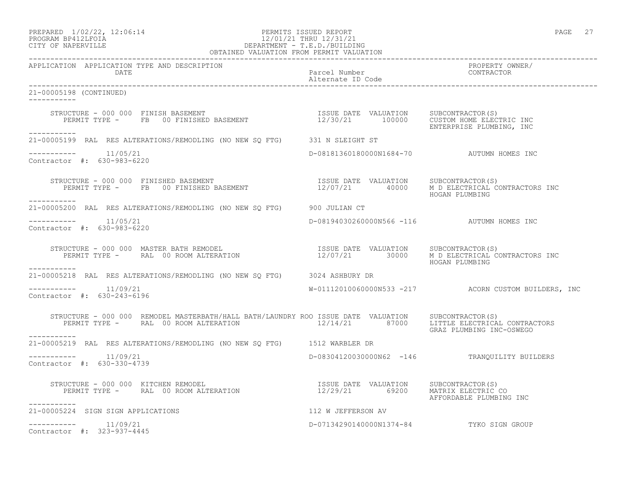## PROGRAM BP412LFOIA 12/01/21 THRU 12/31/21 CITY OF NAPERVILLE DEPARTMENT - T.E.D./BUILDING OBTAINED VALUATION FROM PERMIT VALUATION

| APPLICATION APPLICATION TYPE AND DESCRIPTION                                                                                                                                                                                                  |                                            | PROPERTY OWNER/<br>CONTRACTOR                        |
|-----------------------------------------------------------------------------------------------------------------------------------------------------------------------------------------------------------------------------------------------|--------------------------------------------|------------------------------------------------------|
| 21-00005198 (CONTINUED)                                                                                                                                                                                                                       |                                            |                                                      |
| RUCTURE – 000 000 FINISH BASEMENT<br>PERMIT TYPE – FB 00 FINISHED BASEMENT – 12/30/21 100000 CUSTOM HOME ELECTRIC INC<br>STRUCTURE - 000 000 FINISH BASEMENT<br>-----------                                                                   |                                            | ENTERPRISE PLUMBING, INC                             |
| 21-00005199 RAL RES ALTERATIONS/REMODLING (NO NEW SQ FTG) 331 N SLEIGHT ST                                                                                                                                                                    |                                            |                                                      |
| $--------- 11/05/21$<br>Contractor #: 630-983-6220                                                                                                                                                                                            | D-08181360180000N1684-70 AUTUMN HOMES INC  |                                                      |
| STRUCTURE - 000 000 FINISHED BASEMENT                           ISSUE DATE VALUATION    SUBCONTRACTOR(S)<br>PERMIT TYPE -     FB   00 FINISHED BASEMENT                  12/07/21      40000    M D ELECTRICAL CONTRACTORS INC<br>----------- |                                            | HOGAN PLUMBING                                       |
| 21-00005200 RAL RES ALTERATIONS/REMODLING (NO NEW SO FTG) 900 JULIAN CT                                                                                                                                                                       |                                            |                                                      |
| $---------$ 11/05/21<br>Contractor #: 630-983-6220                                                                                                                                                                                            | D-08194030260000N566 -116 AUTUMN HOMES INC |                                                      |
| STRUCTURE - 000 000 MASTER BATH REMODEL (S) STRUCTURE VALUATION SUBCONTRACTOR (S) SUBCONTRACTOR (S) SUBCONTRACTORS INC                                                                                                                        |                                            | HOGAN PLUMBING                                       |
| -----------<br>21-00005218 RAL RES ALTERATIONS/REMODLING (NO NEW SQ FTG) 3024 ASHBURY DR                                                                                                                                                      |                                            |                                                      |
| $--------- 11/09/21$<br>Contractor #: 630-243-6196                                                                                                                                                                                            |                                            | W-01112010060000N533 -217 ACORN CUSTOM BUILDERS, INC |
| STRUCTURE - 000 000 REMODEL MASTERBATH/HALL BATH/LAUNDRY ROO ISSUE DATE VALUATION SUBCONTRACTOR(S)<br>PERMIT TYPE - RAL 00 ROOM ALTERATION 12/14/21 87000 LITTLE ELECTRICAL CONTRACTORS<br>-----------                                        |                                            | GRAZ PLUMBING INC-OSWEGO                             |
| 21-00005219 RAL RES ALTERATIONS/REMODLING (NO NEW SQ FTG) 1512 WARBLER DR                                                                                                                                                                     |                                            |                                                      |
| $--------- 11/09/21$<br>Contractor #: 630-330-4739                                                                                                                                                                                            |                                            | D-08304120030000N62 -146 TRANQUILITY BUILDERS        |
| STRUCTURE - 000 000 KITCHEN REMODEL<br>PERMIT TYPE -      RAL 00 ROOM ALTERATION                               12/29/21                            MATRIX ELECTRIC CO<br>-----------                                                          |                                            | AFFORDABLE PLUMBING INC                              |
| 21-00005224 SIGN SIGN APPLICATIONS                                                                                                                                                                                                            | 112 W JEFFERSON AV                         |                                                      |
| $--------- 11/09/21$<br>Contractor #: 323-937-4445                                                                                                                                                                                            | D-07134290140000N1374-84 TYKO SIGN GROUP   |                                                      |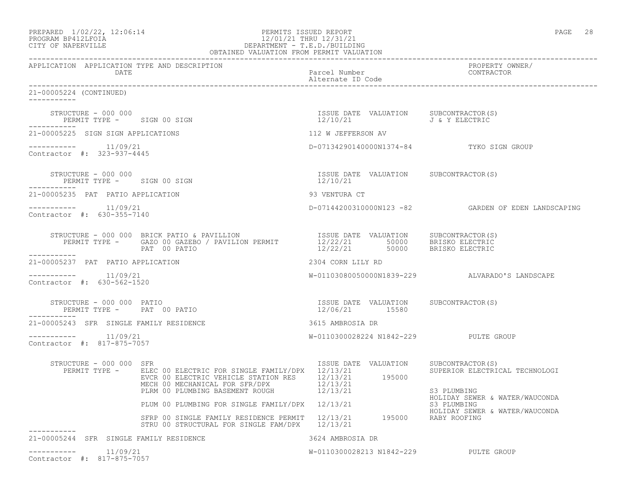| PREPARED | $1/02/22$ , $12:06:14$ |  |
|----------|------------------------|--|
|          | PROCRAM RP412LFOIA     |  |

### PREPARED  $1/02/22$ ,  $12:06:14$  PERMITS ISSUED REPORT PAGE 28 PROGRAM BP412LFOIA 12/01/21 THRU 12/31/21 CITY OF NAPERVILLE DEPARTMENT - T.E.D./BUILDING OBTAINED VALUATION FROM PERMIT VALUATION

------------------------------------------------------------------------------------------------------------------------------------ APPLICATION APPLICATION TYPE AND DESCRIPTION PROPERTY OWNER/ DATE Parcel Number Contractor of the Parcel Number Contractor of the Parcel Number Contractor of the Contractor of the Contractor of the Contractor of the Contractor of the Contractor of the Contractor of the Contractor of Alternate ID Code ------------------------------------------------------------------------------------------------------------------------------------ 21-00005224 (CONTINUED) ----------- STRUCTURE – 000 000<br>
PERMIT TYPE – SIGN 00 SIGN CONNECTION SUBCONTRACTOR(S) DERMIT TYPE – SIGN 00 SIGN CONNECTION 12/10/21 J& Y ELECTRIC PERMIT TYPE - SIGN 00 SIGN ----------- 21-00005225 SIGN SIGN APPLICATIONS 112 W JEFFERSON AV ----------- 11/09/21 D-07134290140000N1374-84 TYKO SIGN GROUP Contractor #: 323-937-4445 STRUCTURE - 000 000 ISSUE DATE VALUATION SUBCONTRACTOR(S) PERMIT TYPE - SIGN 00 SIGN 12/10/21 ----------- 21-00005235 PAT PATIO APPLICATION 93 VENTURA CT ----------- 11/09/21 D-07144200310000N123 -82 GARDEN OF EDEN LANDSCAPING Contractor #: 630-355-7140 STRUCTURE - 000 000 BRICK PATIO & PAVILLION ISSUE DATE VALUATION SUBCONTRACTOR(S) PERMIT TYPE - GAZO 00 GAZEBO / PAVILION PERMIT 12/22/21 50000 BRISKO ELECTRIC PAT 00 PATIO 12/22/21 50000 BRISKO ELECTRIC ----------- 21-00005237 PAT PATIO APPLICATION 2304 CORN LILY RD  $--------- 11/09/21$  $W-01103080050000N1839-229$  ALVARADO'S LANDSCAPE Contractor #: 630-562-1520 STRUCTURE - 000 000 PATIO ISSUE DATE VALUATION SUBCONTRACTOR(S) PERMIT TYPE - PAT 00 PATIO ----------- 21-00005243 SFR SINGLE FAMILY RESIDENCE 3615 AMBROSIA DR ----------- 11/09/21 W-0110300028224 N1842-229 PULTE GROUP Contractor #: 817-875-7057 STRUCTURE - 000 000 SFR ISSUE DATE VALUATION SUBCONTRACTOR(S) PERMIT TYPE - BLEC 00 ELECTRIC FOR SINGLE FAMILY/DPX 12/13/21 SUPERIOR ELECTRICAL TECHNOLOGI EVCR 00 ELECTRIC VEHICLE STATION RES  $12/13/21$  195000 MECH 00 MECHANICAL FOR SFR/DPX 12/13/21 PLRM 00 PLUMBING BASEMENT ROUGH  $12/13/21$  S3 PLUMBING HOLIDAY SEWER & WATER/WAUCONDA PLUM 00 PLUMBING FOR SINGLE FAMILY/DPX 12/13/21 S3 PLUMBING HOLIDAY SEWER & WATER/WAUCONDA SFRP 00 SINGLE FAMILY RESIDENCE PERMIT 12/13/21 195000 RABY ROOFING STRU 00 STRUCTURAL FOR SINGLE FAM/DPX 12/13/21 ----------- 21-00005244 SFR SINGLE FAMILY RESIDENCE 3624 AMBROSIA DR  $--------- 11/09/21$ W-0110300028213 N1842-229 PULTE GROUP Contractor #: 817-875-7057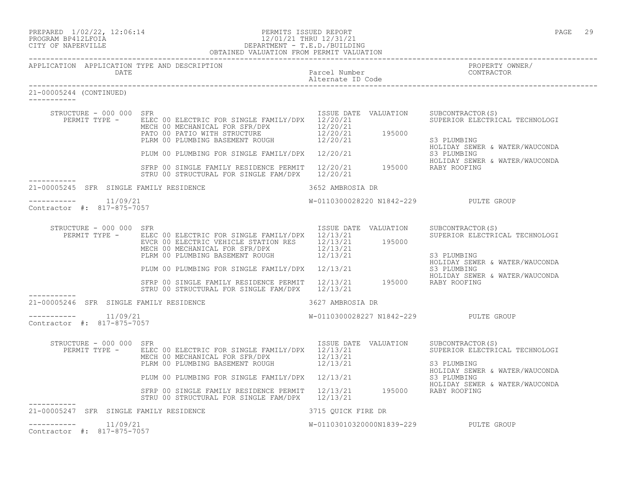# PROGRAM BP412LFOIA 12/01/21 THRU 12/31/21 CITY OF NAPERVILLE DEPARTMENT - T.E.D./BUILDING

|                                                       | OBTAINED VALUATION FROM PERMIT VALUATION                                                                                                                                                                                                                         |                                       |                                                                                                     |
|-------------------------------------------------------|------------------------------------------------------------------------------------------------------------------------------------------------------------------------------------------------------------------------------------------------------------------|---------------------------------------|-----------------------------------------------------------------------------------------------------|
| APPLICATION APPLICATION TYPE AND DESCRIPTION<br>DATE  |                                                                                                                                                                                                                                                                  | Parcel Number<br>Alternate ID Code    | PROPERTY OWNER/<br>CONTRACTOR                                                                       |
| 21-00005244 (CONTINUED)                               |                                                                                                                                                                                                                                                                  |                                       |                                                                                                     |
| STRUCTURE - 000 000 SFR                               | PERMIT TYPE - ELEC 00 ELECTRIC FOR SINGLE FAMILY/DPX 12/20/21<br>ELEC 00 ELECTRIC FOR SINGLE FAMILITIES (12/20/21<br>MECH 00 MECHANICAL FOR SFR/DPX (12/20/21)<br>PATO 00 PATIO WITH STRUCTURE (12/20/21) (195000)<br>PLRM 00 PLUMBING BASEMENT ROUGH (12/20/21) | ISSUE DATE VALUATION                  | SUBCONTRACTOR(S)<br>SUPERIOR ELECTRICAL TECHNOLOGI<br>S3 PLUMBING<br>HOLIDAY SEWER & WATER/WAUCONDA |
|                                                       | PLUM 00 PLUMBING FOR SINGLE FAMILY/DPX 12/20/21                                                                                                                                                                                                                  |                                       | S3 PLUMBING<br>HOLIDAY SEWER & WATER/WAUCONDA                                                       |
|                                                       | SFRP 00 SINGLE FAMILY RESIDENCE PERMIT 12/20/21 195000 RABY ROOFING<br>STRU 00 STRUCTURAL FOR SINGLE FAM/DPX 12/20/21                                                                                                                                            |                                       |                                                                                                     |
| 21-00005245 SFR SINGLE FAMILY RESIDENCE               |                                                                                                                                                                                                                                                                  | 3652 AMBROSIA DR                      |                                                                                                     |
| Contractor #: 817-875-7057                            |                                                                                                                                                                                                                                                                  | W-0110300028220 N1842-229 PULTE GROUP |                                                                                                     |
| STRUCTURE - 000 000 SFR                               | PERMIT TYPE - ELEC 00 ELECTRIC FOR SINGLE FAMILY/DPX 12/13/21<br>EVCR 00 ELECTRIC VEHICLE STATION RES 12/13/21 195000<br>MECH 00 MECHANICAL FOR SFR/DPX 12/13/21<br>PLRM 00 PLUMBING BASEMENT ROUGH 12/13/21                                                     | ISSUE DATE VALUATION                  | SUBCONTRACTOR(S)<br>SUPERIOR ELECTRICAL TECHNOLOGI<br>S3 PLUMBING                                   |
|                                                       | PLUM 00 PLUMBING FOR SINGLE FAMILY/DPX 12/13/21                                                                                                                                                                                                                  |                                       | HOLIDAY SEWER & WATER/WAUCONDA<br>S3 PLUMBING                                                       |
|                                                       | SFRP 00 SINGLE FAMILY RESIDENCE PERMIT 12/13/21 195000 RABY ROOFING<br>STRU 00 STRUCTURAL FOR SINGLE FAM/DPX 12/13/21                                                                                                                                            |                                       | HOLIDAY SEWER & WATER/WAUCONDA                                                                      |
| 21-00005246 SFR SINGLE FAMILY RESIDENCE               |                                                                                                                                                                                                                                                                  | 3627 AMBROSIA DR                      |                                                                                                     |
| 11/09/21<br>-----------<br>Contractor #: 817-875-7057 |                                                                                                                                                                                                                                                                  | W-0110300028227 N1842-229 PULTE GROUP |                                                                                                     |
| STRUCTURE - 000 000 SFR                               | PERMIT TYPE - ELEC 00 ELECTRIC FOR SINGLE FAMILY/DPX 12/13/21<br>MECH 00 MECHANICAL FOR SFR/DPX 12/13/21<br>MECH OU MECHANICAL FOR SFR/DPX 12/13/21<br>PLRM 00 PLUMBING BASEMENT ROUGH 12/13/21                                                                  | ISSUE DATE VALUATION                  | SUBCONTRACTOR(S)<br>SUPERIOR ELECTRICAL TECHNOLOGI<br>S3 PLUMBING                                   |
|                                                       | PLUM 00 PLUMBING FOR SINGLE FAMILY/DPX 12/13/21                                                                                                                                                                                                                  |                                       | HOLIDAY SEWER & WATER/WAUCONDA<br>S3 PLUMBING                                                       |
|                                                       | SFRP 00 SINGLE FAMILY RESIDENCE PERMIT 12/13/21 195000 RABY ROOFING<br>STRU 00 STRUCTURAL FOR SINGLE FAM/DPX 12/13/21                                                                                                                                            |                                       | HOLIDAY SEWER & WATER/WAUCONDA                                                                      |
| 21-00005247 SFR SINGLE FAMILY RESIDENCE               |                                                                                                                                                                                                                                                                  | 3715 QUICK FIRE DR                    |                                                                                                     |
| -----------<br>11/09/21<br>Contractor #: 817-875-7057 |                                                                                                                                                                                                                                                                  | W-01103010320000N1839-229 PULTE GROUP |                                                                                                     |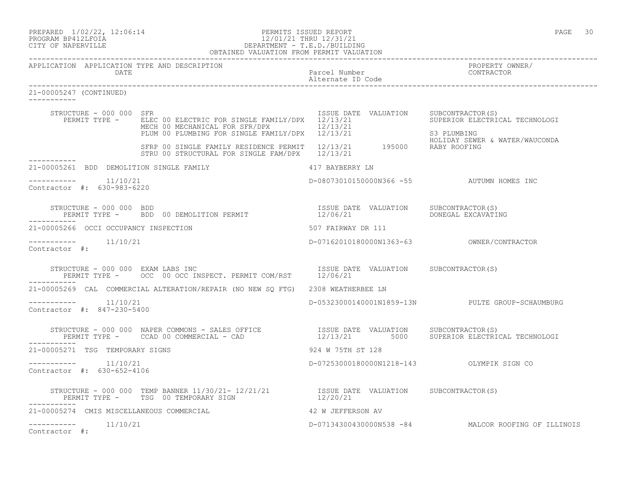## PREPARED 1/02/22, 12:06:14 PERMITS ISSUED REPORT<br>PROGRAM BP412LFOIA PAGE 30<br>12/01/21 THRU 12/31/21 PROGRAM BP412LFOIA 12/01/21 THRU 12/31/21 CITY OF NAPERVILLE DEPARTMENT - T.E.D./BUILDING

|                                                    |                         | OBTAINED VALUATION FROM PERMIT VALUATION                                                                                                                                                                                                            |                    |                                    |                                                      |
|----------------------------------------------------|-------------------------|-----------------------------------------------------------------------------------------------------------------------------------------------------------------------------------------------------------------------------------------------------|--------------------|------------------------------------|------------------------------------------------------|
|                                                    | DATE                    | APPLICATION APPLICATION TYPE AND DESCRIPTION                                                                                                                                                                                                        |                    | Parcel Number<br>Alternate ID Code | PROPERTY OWNER/<br>CONTRACTOR                        |
| 21-00005247 (CONTINUED)                            |                         |                                                                                                                                                                                                                                                     |                    |                                    |                                                      |
|                                                    | STRUCTURE - 000 000 SFR | PERMIT TYPE - ELEC 00 ELECTRIC FOR SINGLE FAMILY/DPX 12/13/21 SUPERIOR ELECTRICAL TECHNOLOGI<br>ELEC 00 ELECTRIC FOR SINGLE FAMILIZUES (12/13/21)<br>MECH 00 MECHANICAL FOR SFR/DPX (12/13/21)<br>PLUM 00 PLUMBING FOR SINGLE FAMILY/DPX (12/13/21) |                    |                                    | ISSUE DATE VALUATION SUBCONTRACTOR(S)<br>S3 PLUMBING |
|                                                    |                         | HOLIDAY SEWER<br>STRU 00 STRUCTURAL FOR SINGLE FAM/DPX 12/13/21 195000 RABY ROOFING<br>STRU 00 STRUCTURAL FOR SINGLE FAM/DPX 12/13/21                                                                                                               |                    |                                    | HOLIDAY SEWER & WATER/WAUCONDA                       |
|                                                    |                         | 21-00005261 BDD DEMOLITION SINGLE FAMILY 417 BAYBERRY LN                                                                                                                                                                                            |                    |                                    |                                                      |
| $------- 11/10/21$<br>Contractor #: 630-983-6220   |                         |                                                                                                                                                                                                                                                     |                    |                                    | D-08073010150000N366 -55 AUTUMN HOMES INC            |
|                                                    |                         | STRUCTURE - 000 000 BDD<br>PERMIT TYPE -     BDD 00 DEMOLITION PERMIT                         12/06/21               DONEGAL EXCAVATING                                                                                                             |                    |                                    |                                                      |
|                                                    |                         | 21-00005266 OCCI OCCUPANCY INSPECTION                                                                                                                                                                                                               | 507 FAIRWAY DR 111 |                                    |                                                      |
| -----------    11/10/21<br>Contractor #:           |                         |                                                                                                                                                                                                                                                     |                    |                                    | D-07162010180000N1363-63 OWNER/CONTRACTOR            |
|                                                    |                         | STRUCTURE - 000 000 EXAM LABS INC<br>PERMIT TYPE - OCC 00 OCC INSPECT. PERMIT COM/RST 12/06/21                                                                                                                                                      |                    |                                    |                                                      |
|                                                    |                         | 21-00005269 CAL COMMERCIAL ALTERATION/REPAIR (NO NEW SQ FTG) 2308 WEATHERBEE LN                                                                                                                                                                     |                    |                                    |                                                      |
| Contractor #: 847-230-5400                         |                         |                                                                                                                                                                                                                                                     |                    |                                    | D-05323000140001N1859-13N PULTE GROUP-SCHAUMBURG     |
|                                                    |                         | STRUCTURE - 000 000 NAPER COMMONS - SALES OFFICE                ISSUE DATE VALUATION    SUBCONTRACTOR(S)<br>PERMIT TYPE -     CCAD 00 COMMERCIAL - CAD                      12/13/21       5000    SUPERIOR ELECTRICAL TECHNOLOGI                   |                    |                                    |                                                      |
| 21-00005271 TSG TEMPORARY SIGNS                    |                         |                                                                                                                                                                                                                                                     | 924 W 75TH ST 128  |                                    |                                                      |
| $--------- 11/10/21$<br>Contractor #: 630-652-4106 |                         |                                                                                                                                                                                                                                                     |                    |                                    | D-07253000180000N1218-143    QLYMPIK SIGN CO         |
|                                                    |                         | STRUCTURE – 000 000 TEMP BANNER 11/30/21- 12/21/21          ISSUE DATE VALUATION SUBCONTRACTOR(S)<br>PERMIT TYPE –     TSG 00 TEMPORARY SIGN                               12/20/21                                                                 |                    |                                    |                                                      |
|                                                    |                         | 21-00005274 CMIS MISCELLANEOUS COMMERCIAL                                                                                                                                                                                                           | 42 W JEFFERSON AV  |                                    |                                                      |
| Contractor #:                                      |                         |                                                                                                                                                                                                                                                     |                    |                                    | D-07134300430000N538 -84 MALCOR ROOFING OF ILLINOIS  |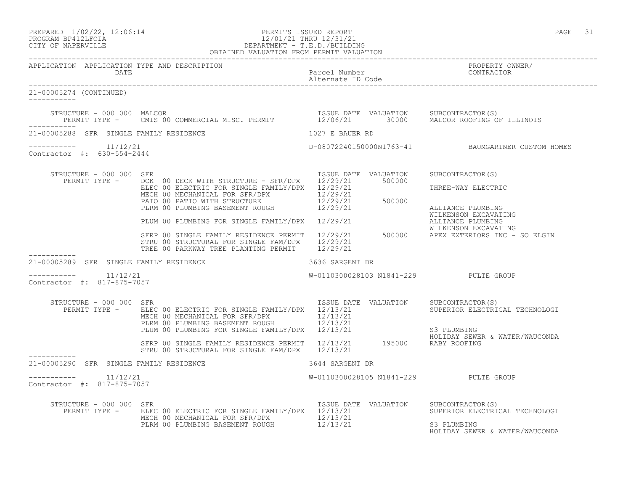| PREPARED           | $1/02/22$ , $12:06:14$ |  |
|--------------------|------------------------|--|
| PROGRAM RP412LFOIA |                        |  |

## A PERMITS ISSUED REPORT AND SERVED REPORT AND LOCAL SERVED ON A STATE OF A STATE 31 PAGE 31 PROGRAM BP412LFOIA 12/01/21 THRU 12/31/21<br>CITY OF NAPERVILLE DEPARTMENT - T.E.D./BUILDII CITY OF NAPERVILLE DEPARTMENT - T.E.D./BUILDING

|                                                       | OBTAINED VALUATION FROM PERMIT VALUATION                                                                                                                                                                                                                                                                                |                                       |                                                                                      |
|-------------------------------------------------------|-------------------------------------------------------------------------------------------------------------------------------------------------------------------------------------------------------------------------------------------------------------------------------------------------------------------------|---------------------------------------|--------------------------------------------------------------------------------------|
| APPLICATION APPLICATION TYPE AND DESCRIPTION          |                                                                                                                                                                                                                                                                                                                         |                                       | PROPERTY OWNER/                                                                      |
| 21-00005274 (CONTINUED)<br>----------                 |                                                                                                                                                                                                                                                                                                                         |                                       |                                                                                      |
|                                                       | STRUCTURE - 000 000 MALCOR<br>PERMIT TYPE - CMIS 00 COMMERCIAL MISC. PERMIT 12/06/21 30000 MALCOR ROOFING OF ILLINOIS                                                                                                                                                                                                   |                                       |                                                                                      |
| 21-00005288 SFR SINGLE FAMILY RESIDENCE               |                                                                                                                                                                                                                                                                                                                         | 1027 E BAUER RD                       |                                                                                      |
| -----------    11/12/21<br>Contractor #: 630-554-2444 |                                                                                                                                                                                                                                                                                                                         |                                       | D-08072240150000N1763-41 BAUMGARTNER CUSTOM HOMES                                    |
| STRUCTURE - 000 000 SFR<br>PERMIT TYPE -              | DCK 00 DECK WITH STRUCTURE - SFR/DPX 12/29/21 500000<br>ELEC 00 ELECTRIC FOR SINGLE FAMILY/DPX 12/29/21<br>PLUM 00 PLUMBING FOR SINGLE FAMILY/DPX 12/29/21 WILLIANCE PLUMBING<br>SFRP 00 SINGLE FAMILY RESIDENCE PERMIT 12/29/21 500000 APEX EXTERIORS INC - SO ELGIN<br>STRU 00 STRUCTURAL FOR SINGLE FAM/DPX 12/29/21 | ISSUE DATE VALUATION                  | SUBCONTRACTOR (S)<br>THREE-WAY ELECTRIC<br>ALLIANCE PLUMBING<br>WILKENSON EXCAVATING |
| 21-00005289 SFR SINGLE FAMILY RESIDENCE               | TREE 00 PARKWAY TREE PLANTING PERMIT 12/29/21<br>3636 SARGENT DR                                                                                                                                                                                                                                                        |                                       |                                                                                      |
| 11/12/21<br>Contractor #: 817-875-7057                |                                                                                                                                                                                                                                                                                                                         | W-0110300028103 N1841-229 PULTE GROUP |                                                                                      |
| STRUCTURE - 000 000 SFR                               | PERMIT TYPE - ELEC 00 ELECTRIC FOR SINGLE FAMILY/DPX 12/13/21<br>ELEC OU ELECTRIC FOR SINGLE FAMILY/DIA (12/13/21<br>PLRM 00 PLUMBING BASEMENT ROUGH 12/13/21 S3 PLUMBING<br>PLUM 00 PLUMBING FOR SINGLE FAMILY/DPX 12/13/21 S3 PLUMBING<br>SFRP 00 SINGLE FAMILY RESIDENCE PERMIT 12/13/21 195000 RA                   | ISSUE DATE VALUATION                  | SUBCONTRACTOR(S)<br>SUPERIOR ELECTRICAL TECHNOLOGI                                   |
|                                                       | STRU 00 STRUCTURAL FOR SINGLE FAM/DPX 12/13/21                                                                                                                                                                                                                                                                          |                                       | HOLIDAY SEWER & WATER/WAUCONDA                                                       |
| 21-00005290 SFR SINGLE FAMILY RESIDENCE               |                                                                                                                                                                                                                                                                                                                         | 3644 SARGENT DR                       |                                                                                      |
| ----------    11/12/21<br>Contractor #: 817-875-7057  |                                                                                                                                                                                                                                                                                                                         | W-0110300028105 N1841-229 PULTE GROUP |                                                                                      |
| STRUCTURE - 000 000 SFR                               | PERMIT TYPE - ELEC 00 ELECTRIC FOR SINGLE FAMILY/DPX 12/13/21<br>MECH 00 MECHANICAL FOR SFR/DPX 12/13/21<br>PLRM 00 PLUMBING BASEMENT ROUGH 12/13/21                                                                                                                                                                    | ISSUE DATE VALUATION SUBCONTRACTOR(S) | SUPERIOR ELECTRICAL TECHNOLOGI<br>S3 PLUMBING<br>HOLIDAY SEWER & WATER/WAUCONDA      |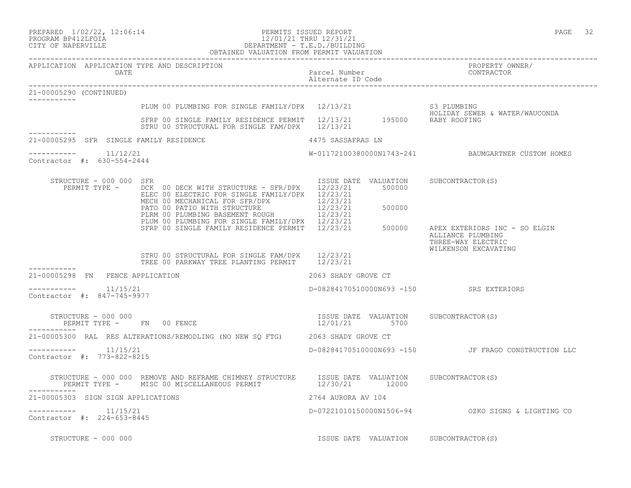# PROGRAM BP412LFOIA 12/01/21 THRU 12/31/21 CITY OF NAPERVILLE DEPARTMENT - T.E.D./BUILDING

|                                                      | OBTAINED VALUATION FROM PERMIT VALUATION                                                                                                                                                                       |                                                        |                                                                          |
|------------------------------------------------------|----------------------------------------------------------------------------------------------------------------------------------------------------------------------------------------------------------------|--------------------------------------------------------|--------------------------------------------------------------------------|
| APPLICATION APPLICATION TYPE AND DESCRIPTION<br>DATE |                                                                                                                                                                                                                | Parcel Number<br>Alternate ID Code                     | PROPERTY OWNER/<br>CONTRACTOR                                            |
| 21-00005290 (CONTINUED)                              |                                                                                                                                                                                                                |                                                        |                                                                          |
|                                                      |                                                                                                                                                                                                                |                                                        |                                                                          |
|                                                      | PLUM 00 PLUMBING FOR SINGLE FAMILY/DPX 12/13/21 S3 PLUMBING<br>SFRP 00 SINGLE FAMILY RESIDENCE PERMIT 12/13/21 195000 RABY ROOFING<br>STRU 00 STRUCTURAL FOR SINGLE FAM/DPX 12/13/21                           |                                                        |                                                                          |
| 21-00005295 SFR SINGLE FAMILY RESIDENCE              | 4475 SASSAFRAS LN                                                                                                                                                                                              |                                                        |                                                                          |
| ----------    11/12/21<br>Contractor #: 630-554-2444 |                                                                                                                                                                                                                |                                                        | W-01172100380000N1743-241 BAUMGARTNER CUSTOM HOMES                       |
| STRUCTURE - 000 000 SFR                              | PERMIT TYPE - DCK 00 DECK WITH STRUCTURE - SFR/DPX 12/23/21<br>ELEC 00 ELECTRIC FOR SINGLE FAMILY/DPX 12/23/21<br>MECH 00 MECHANICAL FOR SFR/DPX 12/23/21                                                      | ISSUE DATE VALUATION SUBCONTRACTOR(S)<br>500000        |                                                                          |
|                                                      | PATO 00 PATIO WITH STRUCTURE $\frac{12}{23/21}$ 500000<br>PLRM 00 PLUMBING BASEMENT ROUGH 12/23/21<br>PLE PO PLUMBING FOR SINGLE FAMILY/DPX 12/23/21<br>SFRP 00 SINGLE FAMILY RESIDENCE PERMIT 12/23/21 500000 |                                                        | APEX EXTERIORS INC - SO ELGIN<br>ALLIANCE PLUMBING<br>THREE-WAY ELECTRIC |
|                                                      | STRU 00 STRUCTURAL FOR SINGLE FAM/DPX 12/23/21<br>TREE 00 PARKWAY TREE PLANTING PERMIT 12/23/21                                                                                                                |                                                        | WILKENSON EXCAVATING                                                     |
| 21-00005298 FN FENCE APPLICATION                     |                                                                                                                                                                                                                | 2063 SHADY GROVE CT                                    |                                                                          |
| Contractor #: 847-745-9977                           |                                                                                                                                                                                                                | D-08284170510000N693 -150 SRS EXTERIORS                |                                                                          |
| STRUCTURE - 000 000                                  | PERMIT TYPE - FN 00 FENCE                                                                                                                                                                                      | ISSUE DATE VALUATION SUBCONTRACTOR(S)<br>12/01/21 5700 |                                                                          |
|                                                      | 21-00005300 RAL RES ALTERATIONS/REMODLING (NO NEW SQ FTG) 2063 SHADY GROVE CT                                                                                                                                  |                                                        |                                                                          |
| $--------- 11/15/21$<br>Contractor #: 773-822-8215   |                                                                                                                                                                                                                |                                                        | D-08284170510000N693 -150 JF FRAGO CONSTRUCTION LLC                      |
|                                                      | STRUCTURE - 000 000 REMOVE AND REFRAME CHIMNEY STRUCTURE ISSUE DATE VALUATION SUBCONTRACTOR(S)<br>PERMIT TYPE - MISC 00 MISCELLANEOUS PERMIT 12/30/21 12000                                                    |                                                        |                                                                          |
| 21-00005303 SIGN SIGN APPLICATIONS                   |                                                                                                                                                                                                                | 2764 AURORA AV 104                                     |                                                                          |
| $--------- 11/15/21$<br>Contractor #: 224-653-8445   |                                                                                                                                                                                                                |                                                        | D-07221010150000N1506-94 OZKO SIGNS & LIGHTING CO                        |
| STRUCTURE - 000 000                                  |                                                                                                                                                                                                                | ISSUE DATE VALUATION SUBCONTRACTOR(S)                  |                                                                          |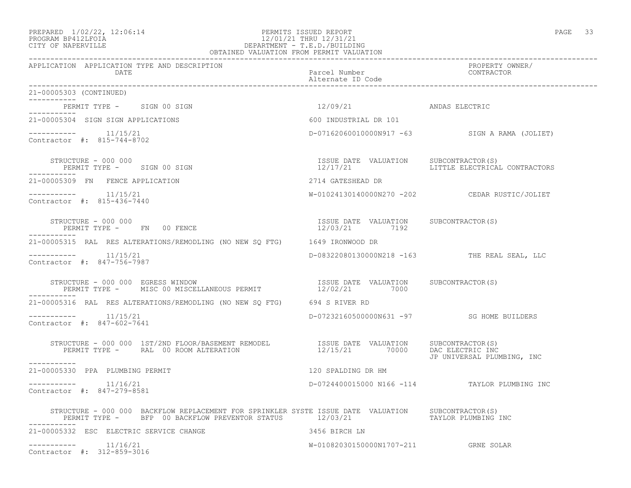### PREPARED  $1/02/22$ ,  $12:06:14$  PERMITS ISSUED REPORT PAGE 33 PROGRAM BP412LFOIA 12/01/21 THRU 12/31/21 CITY OF NAPERVILLE DEPARTMENT - T.E.D./BUILDING OBTAINED VALUATION FROM PERMIT VALUATION

APPLICATION APPLICATION TYPE AND DESCRIPTION PROPERTY OWNER/

------------------------------------------------------------------------------------------------------------------------------------

 DATE Parcel Number CONTRACTOR Alternate ID Code ------------------------------------------------------------------------------------------------------------------------------------ 21-00005303 (CONTINUED) ----------- PERMIT TYPE - SIGN 00 SIGN 12/09/21 ANDAS ELECTRIC ----------- 21-00005304 SIGN SIGN APPLICATIONS 600 INDUSTRIAL DR 101  $--------- 11/15/21$ D-07162060010000N917 -63 SIGN A RAMA (JOLIET) Contractor #: 815-744-8702 STRUCTURE - 000 000 ISSUE DATE VALUATION SUBCONTRACTOR(S) PERMIT TYPE - SIGN 00 SIGN ----------- 21-00005309 FN FENCE APPLICATION 2714 GATESHEAD DR ----------- 11/15/21 W-01024130140000N270 -202 CEDAR RUSTIC/JOLIET Contractor #: 815-436-7440 STRUCTURE - 000 000 ISSUE DATE VALUATION SUBCONTRACTOR(S) PERMIT TYPE - FN 00 FENCE ----------- 21-00005315 RAL RES ALTERATIONS/REMODLING (NO NEW SQ FTG) 1649 IRONWOOD DR ----------- 11/15/21 D-08322080130000N218 -163 THE REAL SEAL, LLC Contractor #: 847-756-7987 STRUCTURE - 000 000 EGRESS WINDOW ISSUE DATE VALUATION SUBCONTRACTOR(S) PERMIT TYPE - MISC 00 MISCELLANEOUS PERMIT  $12/02/21$  7000 ----------- 21-00005316 RAL RES ALTERATIONS/REMODLING (NO NEW SQ FTG) 694 S RIVER RD ----------- 11/15/21 D-07232160500000N631 -97 SG HOME BUILDERS Contractor #: 847-602-7641 STRUCTURE - 000 000 1ST/2ND FLOOR/BASEMENT REMODEL ISSUE DATE VALUATION SUBCONTRACTOR(S) PERMIT TYPE - RAL 00 ROOM ALTERATION 12/15/21 70000 DAC ELECTRIC INC JP UNIVERSAL PLUMBING, INC ----------- 21-00005330 PPA PLUMBING PERMIT 120 SPALDING DR HM \_\_\_\_\_\_\_\_\_\_\_ ----------- 11/16/21 D-0724400015000 N166 -114 TAYLOR PLUMBING INC Contractor #: 847-279-8581 STRUCTURE - 000 000 BACKFLOW REPLACEMENT FOR SPRINKLER SYSTE ISSUE DATE VALUATION SUBCONTRACTOR(S) PERMIT TYPE - BFP 00 BACKFLOW PREVENTOR STATUS 12/03/21 TAYLOR PLUMBING INC ----------- 21-00005332 ESC ELECTRIC SERVICE CHANGE 3456 BIRCH LN ----------- 11/16/21 W-01082030150000N1707-211 GRNE SOLAR Contractor #: 312-859-3016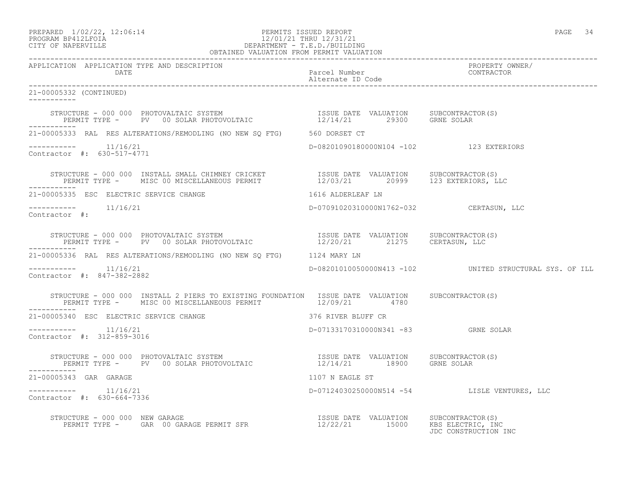## PREPARED  $1/02/22$ ,  $12:06:14$  PERMITS ISSUED REPORT PAGE 34 PROGRAM BP412LFOIA 12/01/21 THRU 12/31/21 CITY OF NAPERVILLE DEPARTMENT - T.E.D./BUILDING

| OBTAINED VALUATION FROM PERMIT VALUATION                                                                                                                                                                                              |                                         |                                                         |  |
|---------------------------------------------------------------------------------------------------------------------------------------------------------------------------------------------------------------------------------------|-----------------------------------------|---------------------------------------------------------|--|
| APPLICATION APPLICATION TYPE AND DESCRIPTION<br>DATE                                                                                                                                                                                  | Parcel Number<br>Alternate ID Code      | PROPERTY OWNER/<br>CONTRACTOR                           |  |
| 21-00005332 (CONTINUED)                                                                                                                                                                                                               |                                         |                                                         |  |
| STRUCTURE – 000 000 PHOTOVALTAIC SYSTEM                            ISSUE DATE VALUATION     SUBCONTRACTOR(S)<br>PERMIT TYPE –     PV  00 SOLAR PHOTOVOLTAIC                    12/14/21       29300     GRNE SOLAR<br>___________     |                                         |                                                         |  |
| 21-00005333 RAL RES ALTERATIONS/REMODLING (NO NEW SQ FTG) 560 DORSET CT                                                                                                                                                               |                                         |                                                         |  |
| $--------- 11/16/21$<br>Contractor #: 630-517-4771                                                                                                                                                                                    | D-08201090180000N104 -102 123 EXTERIORS |                                                         |  |
| STRUCTURE - 000 000 INSTALL SMALL CHIMNEY CRICKET              ISSUE DATE VALUATION    SUBCONTRACTOR(S)<br>PERMIT TYPE -    MISC 00 MISCELLANEOUS PERMIT                12/03/21       20999     123 EXTERIORS, LLC<br>___________    |                                         |                                                         |  |
|                                                                                                                                                                                                                                       |                                         |                                                         |  |
| $--------- 11/16/21$<br>Contractor #:                                                                                                                                                                                                 | D-07091020310000N1762-032 CERTASUN, LLC |                                                         |  |
| STRUCTURE – 000 000 PHOTOVALTAIC SYSTEM                           ISSUE DATE VALUATION     SUBCONTRACTOR(S)<br>PERMIT TYPE –     PV   00 SOLAR PHOTOVOLTAIC                    12/20/21        21275     CERTASUN, LLC<br>----------- |                                         |                                                         |  |
| 21-00005336 RAL RES ALTERATIONS/REMODLING (NO NEW SQ FTG) 1124 MARY LN                                                                                                                                                                |                                         |                                                         |  |
| $--------- 11/16/21$<br>Contractor #: 847-382-2882                                                                                                                                                                                    |                                         | D-08201010050000N413 -102 UNITED STRUCTURAL SYS. OF ILL |  |
| STRUCTURE - 000 000 INSTALL 2 PIERS TO EXISTING FOUNDATION ISSUE DATE VALUATION SUBCONTRACTOR(S)<br>PERMIT TYPE - MISC 00 MISCELLANEOUS PERMIT 42/09/21 4780                                                                          |                                         |                                                         |  |
| 21-00005340 ESC ELECTRIC SERVICE CHANGE <b>And Strip Strip Strip STS</b> 376 RIVER BLUFF CR                                                                                                                                           |                                         |                                                         |  |
| $--------- 11/16/21$<br>Contractor #: 312-859-3016                                                                                                                                                                                    | D-07133170310000N341 -83 GRNE SOLAR     |                                                         |  |
| STRUCTURE - 000 000 PHOTOVALTAIC SYSTEM                          ISSUE DATE VALUATION    SUBCONTRACTOR(S)<br>PERMIT TYPE -     PV  00 SOLAR PHOTOVOLTAIC                 12/14/21       18900    GRNE SOLAR                           |                                         |                                                         |  |
| -----------<br>21-00005343 GAR GARAGE                                                                                                                                                                                                 | 1107 N EAGLE ST                         |                                                         |  |
| $--------- 11/16/21$<br>Contractor #: 630-664-7336                                                                                                                                                                                    |                                         | D-07124030250000N514 -54 LISLE VENTURES, LLC            |  |
| STRUCTURE - 000 000 NEW GARAGE<br>PERMIT TYPE - GAR 00 GARAGE PERMIT SFR THE 12/22/21 15000 KBS ELECTRIC, INC                                                                                                                         |                                         | JDC CONSTRUCTION INC                                    |  |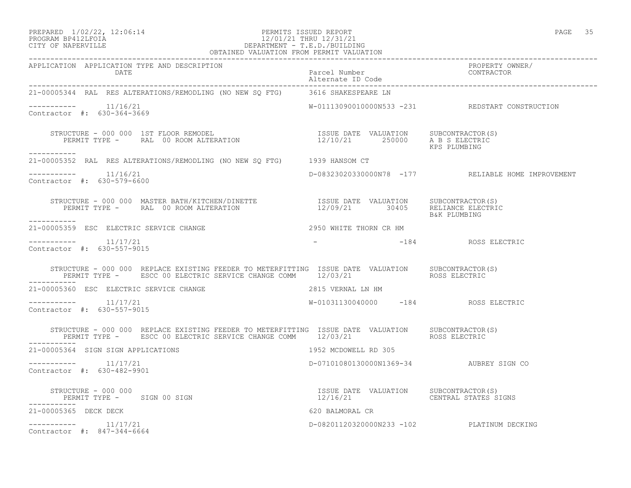## PROGRAM BP412LFOIA 12/01/21 THRU 12/31/21 CITY OF NAPERVILLE DEPARTMENT - T.E.D./BUILDING OBTAINED VALUATION FROM PERMIT VALUATION

| 21-00005344 RAL RES ALTERATIONS/REMODLING (NO NEW SQ FTG) 3616 SHAKESPEARE LN                                                                                                                 |                                                                                                                                                                                                                                |                                                    |
|-----------------------------------------------------------------------------------------------------------------------------------------------------------------------------------------------|--------------------------------------------------------------------------------------------------------------------------------------------------------------------------------------------------------------------------------|----------------------------------------------------|
| $--------- 11/16/21$<br>Contractor #: 630-364-3669                                                                                                                                            |                                                                                                                                                                                                                                | W-01113090010000N533 -231 REDSTART CONSTRUCTION    |
| STRUCTURE - 000 000 1ST FLOOR REMODEL<br>PERMIT TYPE - RAL 00 ROOM ALTERATION 12/10/21 250000 A B S ELECTRIC<br>-----------                                                                   |                                                                                                                                                                                                                                | KPS PLUMBING                                       |
| 21-00005352 RAL RES ALTERATIONS/REMODLING (NO NEW SQ FTG) 1939 HANSOM CT                                                                                                                      |                                                                                                                                                                                                                                |                                                    |
| $---------$ 11/16/21<br>Contractor #: 630-579-6600                                                                                                                                            |                                                                                                                                                                                                                                | D-08323020330000N78 -177 RELIABLE HOME IMPROVEMENT |
| -----------                                                                                                                                                                                   |                                                                                                                                                                                                                                |                                                    |
| 21-00005359 ESC ELECTRIC SERVICE CHANGE                                                                                                                                                       | 2950 WHITE THORN CR HM                                                                                                                                                                                                         |                                                    |
| $--------- 11/17/21$<br>Contractor #: 630-557-9015                                                                                                                                            | - Parties and the set of the set of the set of the set of the set of the set of the set of the set of the set of the set of the set of the set of the set of the set of the set of the set of the set of the set of the set of |                                                    |
| STRUCTURE - 000 000 REPLACE EXISTING FEEDER TO METERFITTING ISSUE DATE VALUATION SUBCONTRACTOR(S)<br>PERMIT TYPE - ESCC 00 ELECTRIC SERVICE CHANGE COMM 12/03/21 ROSS ELECTRIC<br>----------- |                                                                                                                                                                                                                                |                                                    |
| 21-00005360 ESC ELECTRIC SERVICE CHANGE                                                                                                                                                       | 2815 VERNAL LN HM                                                                                                                                                                                                              |                                                    |
| $--------- 11/17/21$<br>Contractor #: 630-557-9015                                                                                                                                            | W-01031130040000 -184 ROSS ELECTRIC                                                                                                                                                                                            |                                                    |
| STRUCTURE - 000 000 REPLACE EXISTING FEEDER TO METERFITTING ISSUE DATE VALUATION SUBCONTRACTOR(S)<br>PERMIT TYPE - ESCC 00 ELECTRIC SERVICE CHANGE COMM 12/03/21 ROSS ELECTRIC                |                                                                                                                                                                                                                                |                                                    |
| -----------<br>21-00005364 SIGN SIGN APPLICATIONS                                                                                                                                             | 1952 MCDOWELL RD 305                                                                                                                                                                                                           |                                                    |
| $--------- 11/17/21$<br>Contractor #: 630-482-9901                                                                                                                                            | D-07101080130000N1369-34 AUBREY SIGN CO                                                                                                                                                                                        |                                                    |
| STRUCTURE - 000 000<br>PERMIT TYPE - SIGN 00 SIGN                                                                                                                                             |                                                                                                                                                                                                                                |                                                    |
| ___________<br>21-00005365 DECK DECK                                                                                                                                                          | 620 BALMORAL CR                                                                                                                                                                                                                |                                                    |
| $--------- 11/17/21$<br>Contractor #: 847-344-6664                                                                                                                                            | D-08201120320000N233 -102 PLATINUM DECKING                                                                                                                                                                                     |                                                    |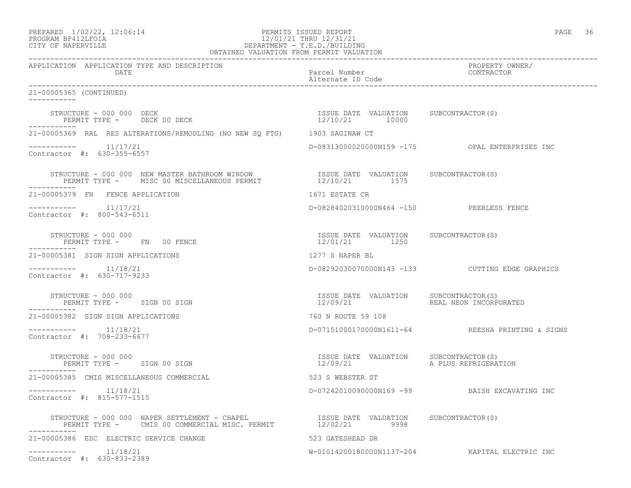# PROGRAM BP412LFOIA 12/01/21 THRU 12/31/21 CITY OF NAPERVILLE DEPARTMENT - T.E.D./BUILDING

| OBTAINED VALUATION FROM PERMIT VALUATION                                                                                                                                                             |                                                         |                                                  |  |  |
|------------------------------------------------------------------------------------------------------------------------------------------------------------------------------------------------------|---------------------------------------------------------|--------------------------------------------------|--|--|
| APPLICATION APPLICATION TYPE AND DESCRIPTION<br><b>DATE</b>                                                                                                                                          | Parcel Number<br>Alternate ID Code                      | PROPERTY OWNER/<br>CONTRACTOR                    |  |  |
| 21-00005365 (CONTINUED)<br>-----------                                                                                                                                                               |                                                         |                                                  |  |  |
| STRUCTURE - 000 000 DECK<br>PERMIT TYPE - DECK 00 DECK                                                                                                                                               | ISSUE DATE VALUATION SUBCONTRACTOR(S)<br>12/10/21 10000 |                                                  |  |  |
| 21-00005369 RAL RES ALTERATIONS/REMODLING (NO NEW SQ FTG) 1903 SAGINAW CT                                                                                                                            |                                                         |                                                  |  |  |
| $------- 11/17/21$<br>Contractor #: 630-355-6557                                                                                                                                                     |                                                         | D-08313000020000N159 -175 OPAL ENTERPRISES INC   |  |  |
| STRUCTURE - 000 000 NEW MASTER BATHROOM WINDOW                  ISSUE DATE VALUATION     SUBCONTRACTOR(S)<br>PERMIT TYPE -      MISC 00 MISCELLANEOUS PERMIT                   12/10/21         1575 |                                                         |                                                  |  |  |
| 21-00005379 FN FENCE APPLICATION                                                                                                                                                                     | 1671 ESTATE CR                                          |                                                  |  |  |
| $---------$ 11/17/21<br>Contractor #: 800-543-6511                                                                                                                                                   | D-08284020310000N464 -150 PEERLESS FENCE                |                                                  |  |  |
| STRUCTURE - 000 000<br>STRUCTURE - 000 000<br>PERMIT TYPE - FN 00 FENCE                                                                                                                              | ISSUE DATE VALUATION SUBCONTRACTOR(S)<br>12/01/21 1250  |                                                  |  |  |
| 21-00005381 SIGN SIGN APPLICATIONS                                                                                                                                                                   | 1277 S NAPER BL                                         |                                                  |  |  |
| $------- 11/18/21$<br>Contractor #: 630-717-9233                                                                                                                                                     |                                                         | D-08292030070000N143 -133 CUTTING EDGE GRAPHICS  |  |  |
| STRUCTURE - 000 000<br>PERMIT TYPE - SIGN 00 SIGN<br>-------<br>STRUCTURE - 000 000                                                                                                                  | ISSUE DATE VALUATION SUBCONTRACTOR(S)<br>12/09/21       | REAL NEON INCORPORATED                           |  |  |
| 21-00005382 SIGN SIGN APPLICATIONS                                                                                                                                                                   | 760 N ROUTE 59 108                                      |                                                  |  |  |
| Contractor #: 708-233-6677                                                                                                                                                                           |                                                         | D-07151000170000N1611-64 REESHA PRINTING & SIGNS |  |  |
| STRUCTURE - 000 000<br>PERMIT TYPE - SIGN 00 SIGN                                                                                                                                                    | ISSUE DATE VALUATION SUBCONTRACTOR(S)<br>12/09/21       | A PLUS REFRIGERATION                             |  |  |
| 21-00005385 CMIS MISCELLANEOUS COMMERCIAL                                                                                                                                                            | 523 S WEBSTER ST                                        |                                                  |  |  |
| Contractor #: 815-577-1515                                                                                                                                                                           |                                                         | D-07242010090000N169 -99 BAISH EXCAVATING INC    |  |  |
| STRUCTURE - 000 000 NAPER SETTLEMENT - CHAPEL                 ISSUE DATE VALUATION     SUBCONTRACTOR(S)<br>PERMIT TYPE -     CMIS 00 COMMERCIAL MISC. PERMIT             12/02/21       9998         |                                                         |                                                  |  |  |
| 21-00005386 ESC ELECTRIC SERVICE CHANGE                                                                                                                                                              | 523 GATESHEAD DR                                        |                                                  |  |  |
| $--------- 11/18/21$<br>Contractor #: 630-833-2389                                                                                                                                                   |                                                         | W-01014200180000N1137-204 KAPITAL ELECTRIC INC   |  |  |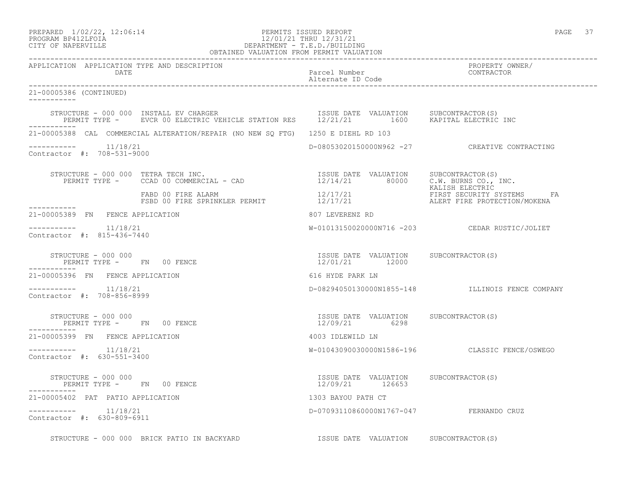### PREPARED  $1/02/22$ ,  $12:06:14$  PERMITS ISSUED REPORT PAGE 37 PROGRAM BP412LFOIA 12/01/21 THRU 12/31/21 CITY OF NAPERVILLE DEPARTMENT - T.E.D./BUILDING OBTAINED VALUATION FROM PERMIT VALUATION

------------------------------------------------------------------------------------------------------------------------------------ APPLICATION APPLICATION TYPE AND DESCRIPTION PROPERTY OWNER/ DATE Parcel Number Contractor of the Parcel Number Contractor of the Parcel Number Contractor of the Contractor of the Contractor of the Contractor of the Contractor of the Contractor of the Contractor of the Contractor of Alternate ID Code ------------------------------------------------------------------------------------------------------------------------------------ 21-00005386 (CONTINUED) ----------- STRUCTURE - 000 000 INSTALL EV CHARGER ISSUE DATE VALUATION SUBCONTRACTOR(S) PERMIT TYPE - EVCR 00 ELECTRIC VEHICLE STATION RES 12/21/21 1600 KAPITAL ELECTRIC INC ----------- 21-00005388 CAL COMMERCIAL ALTERATION/REPAIR (NO NEW SQ FTG) 1250 E DIEHL RD 103 ----------- 11/18/21 D-08053020150000N962 -27 CREATIVE CONTRACTING Contractor #: 708-531-9000 STRUCTURE - 000 000 TETRA TECH INC. ISSUE DATE VALUATION SUBCONTRACTOR(S) PERMIT TYPE - CCAD 00 COMMERCIAL - CAD  $12/14/21$  80000 C.W. BURNS CO., INC. KALISH ELECTRIC FABD 00 FIRE ALARM 12/17/21 FIRST SECURITY SYSTEMS FA FSBD 00 FIRE SPRINKLER PERMIT 12/17/21 ALERT FIRE PROTECTION/MOKENA ----------- 21-00005389 FN FENCE APPLICATION 807 LEVERENZ RD ----------- 11/18/21 W-01013150020000N716 -203 CEDAR RUSTIC/JOLIET Contractor #: 815-436-7440 STRUCTURE - 000 000 ISSUE DATE VALUATION SUBCONTRACTOR(S) PERMIT TYPE - FN 00 FENCE ----------- 21-00005396 FN FENCE APPLICATION 616 HYDE PARK LN ----------- 11/18/21 D-08294050130000N1855-148 ILLINOIS FENCE COMPANY Contractor #: 708-856-8999 STRUCTURE - 000 000 ISSUE DATE VALUATION SUBCONTRACTOR(S) PERMIT TYPE - FN 00 FENCE ----------- 21-00005399 FN FENCE APPLICATION 4003 IDLEWILD LN ----------- 11/18/21 W-01043090030000N1586-196 CLASSIC FENCE/OSWEGO Contractor #: 630-551-3400 STRUCTURE - 000 000 ISSUE DATE VALUATION SUBCONTRACTOR(S) PERMIT TYPE - FN 00 FENCE ----------- 21-00005402 PAT PATIO APPLICATION 1303 BAYOU PATH CT ----------- 11/18/21 D-07093110860000N1767-047 FERNANDO CRUZ Contractor #: 630-809-6911

STRUCTURE - 000 000 BRICK PATIO IN BACKYARD **ISSUE DATE VALUATION** SUBCONTRACTOR(S)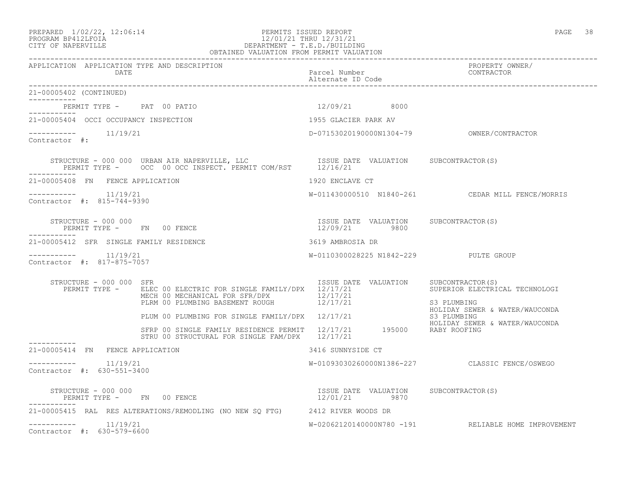### PREPARED  $1/02/22$ ,  $12:06:14$  PERMITS ISSUED REPORT PAGE 38 PROGRAM BP412LFOIA 12/01/21 THRU 12/31/21 CITY OF NAPERVILLE DEPARTMENT - T.E.D./BUILDING OBTAINED VALUATION FROM PERMIT VALUATION ------------------------------------------------------------------------------------------------------------------------------------

| APPLICATION APPLICATION TYPE AND DESCRIPTION<br>DATE            |                                                                                                                               | Parcel Number<br>Alternate ID Code                     | PROPERTY OWNER/<br>CONTRACTOR                                                                       |
|-----------------------------------------------------------------|-------------------------------------------------------------------------------------------------------------------------------|--------------------------------------------------------|-----------------------------------------------------------------------------------------------------|
| 21-00005402 (CONTINUED)                                         |                                                                                                                               |                                                        |                                                                                                     |
| PERMIT TYPE - PAT 00 PATIO                                      |                                                                                                                               | 12/09/21 8000                                          |                                                                                                     |
| 21-00005404 OCCI OCCUPANCY INSPECTION                           |                                                                                                                               | 1955 GLACIER PARK AV                                   |                                                                                                     |
| 11/19/21<br>Contractor #:                                       |                                                                                                                               |                                                        |                                                                                                     |
|                                                                 |                                                                                                                               |                                                        |                                                                                                     |
| 21-00005408 FN FENCE APPLICATION                                |                                                                                                                               | 1920 ENCLAVE CT                                        |                                                                                                     |
| $--------- 11/19/21$<br>Contractor #: 815-744-9390              |                                                                                                                               |                                                        | W-011430000510 N1840-261 CEDAR MILL FENCE/MORRIS                                                    |
| STRUCTURE - 000 000<br>PERMIT TYPE - FN 00 FENCE<br>----------- |                                                                                                                               | ISSUE DATE VALUATION SUBCONTRACTOR(S)<br>12/09/21 9800 |                                                                                                     |
| 21-00005412 SFR SINGLE FAMILY RESIDENCE                         |                                                                                                                               | 3619 AMBROSIA DR                                       |                                                                                                     |
| $--------- 11/19/21$<br>Contractor #: 817-875-7057              |                                                                                                                               | W-0110300028225 N1842-229 PULTE GROUP                  |                                                                                                     |
| STRUCTURE - 000 000 SFR<br>PERMIT TYPE -                        | ELEC 00 ELECTRIC FOR SINGLE FAMILY/DPX 12/17/21<br>MECH 00 MECHANICAL FOR SFR/DPX 12/17/21<br>PLRM 00 PLUMBING BASEMENT ROUGH | ISSUE DATE VALUATION<br>12/17/21                       | SUBCONTRACTOR(S)<br>SUPERIOR ELECTRICAL TECHNOLOGI<br>S3 PLUMBING<br>HOLIDAY SEWER & WATER/WAUCONDA |
|                                                                 | PLUM 00 PLUMBING FOR SINGLE FAMILY/DPX 12/17/21                                                                               |                                                        | S3 PLUMBING<br>HOLIDAY SEWER & WATER/WAUCONDA                                                       |
|                                                                 | SFRP 00 SINGLE FAMILY RESIDENCE PERMIT 12/17/21 195000 RABY ROOFING<br>STRU 00 STRUCTURAL FOR SINGLE FAM/DPX 12/17/21         |                                                        |                                                                                                     |
| 21-00005414 FN FENCE APPLICATION                                |                                                                                                                               | 3416 SUNNYSIDE CT                                      |                                                                                                     |
| $--------- 11/19/21$<br>Contractor #: 630-551-3400              |                                                                                                                               |                                                        | W-01093030260000N1386-227 CLASSIC FENCE/OSWEGO                                                      |
| STRUCTURE - 000 000<br>PERMIT TYPE - FN 00 FENCE<br>----------- |                                                                                                                               | ISSUE DATE VALUATION SUBCONTRACTOR(S)<br>12/01/21 9870 |                                                                                                     |
|                                                                 | 21-00005415 RAL RES ALTERATIONS/REMODLING (NO NEW SO FTG) 2412 RIVER WOODS DR                                                 |                                                        |                                                                                                     |
| $--------- 11/19/21$<br>Contractor #: 630-579-6600              |                                                                                                                               |                                                        | W-02062120140000N780 -191 RELIABLE HOME IMPROVEMENT                                                 |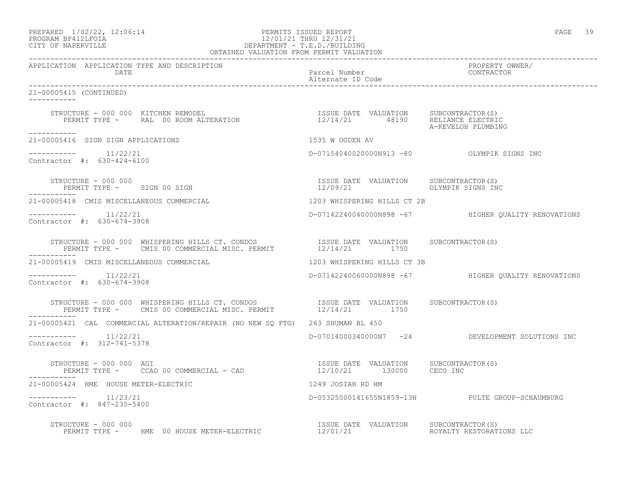### PREPARED  $1/02/22$ ,  $12:06:14$  PERMITS ISSUED REPORT PAGE 39 PROGRAM BP412LFOIA 12/01/21 THRU 12/31/21 CITY OF NAPERVILLE DEPARTMENT - T.E.D./BUILDING OBTAINED VALUATION FROM PERMIT VALUATION

------------------------------------------------------------------------------------------------------------------------------------ APPLICATION APPLICATION TYPE AND DESCRIPTION PROPERTY OWNER/ DATE DESCRIPTION OF THE PARTICULAR PARTICULAR PARTICULAR POLICIAL PROPERTY AND LODGE THAT A PARTICULAR POLICIA<br>DRIVING A PARTICULAR POLICIAL PROPERTY AND THE PARTICULAR POLICIAL PROPERTY AND MANUSCRIPTION OF THE PARTICULA Alternate ID Code ------------------------------------------------------------------------------------------------------------------------------------ 21-00005415 (CONTINUED) ----------- STRUCTURE - 000 000 KITCHEN REMODEL ISSUE DATE VALUATION SUBCONTRACTOR(S) PERMIT TYPE - RAL 00 ROOM ALTERATION 12/14/21 48190 RELIANCE ELECTRIC A-KEVELOH PLUMBING ----------- 21-00005416 SIGN SIGN APPLICATIONS 1535 W OGDEN AV  $--------- 11/22/21$ D-07154040020000N913 -80 OLYMPIK SIGNS INC Contractor #: 630-424-6100 STRUCTURE - 000 000 ISSUE DATE VALUATION SUBCONTRACTOR(S) PERMIT TYPE - SIGN 00 SIGN ----------- 21-00005418 CMIS MISCELLANEOUS COMMERCIAL 1203 WHISPERING HILLS CT 2B ----------- 11/22/21 D-07142240040000N898 -67 HIGHER QUALITY RENOVATIONS Contractor #: 630-674-3908 STRUCTURE - 000 000 WHISPERING HILLS CT. CONDOS ISSUE DATE VALUATION SUBCONTRACTOR(S) PERMIT TYPE - CMIS 00 COMMERCIAL MISC. PERMIT 12/14/21 1750 ----------- 21-00005419 CMIS MISCELLANEOUS COMMERCIAL 1203 WHISPERING HILLS CT 3B ----------- 11/22/21 D-07142240060000N898 -67 HIGHER QUALITY RENOVATIONS Contractor #: 630-674-3908 STRUCTURE - 000 000 WHISPERING HILLS CT. CONDOS ISSUE DATE VALUATION SUBCONTRACTOR(S) PERMIT TYPE - CMIS 00 COMMERCIAL MISC. PERMIT  $12/14/21$  1750 ----------- 21-00005421 CAL COMMERCIAL ALTERATION/REPAIR (NO NEW SQ FTG) 263 SHUMAN BL 450 ----------- 11/22/21 D-07014000340000N7 -24 DEVELOPMENT SOLUTIONS INC Contractor #: 312-741-5378 STRUCTURE - 000 000 AGI ISSUE DATE VALUATION SUBCONTRACTOR(S) PERMIT TYPE - CCAD 00 COMMERCIAL - CAD 21-00005424 HME HOUSE METER-ELECTRIC 1249 JOSIAH RD HM ----------- 11/23/21 D-05325000141655N1859-13N PULTE GROUP-SCHAUMBURG Contractor #: 847-230-5400 STRUCTURE - 000 000 ISSUE DATE VALUATION SUBCONTRACTOR(S) PERMIT TYPE - HME 00 HOUSE METER-ELECTRIC  $12/01/21$  ROYALTY RESTORATIONS LLC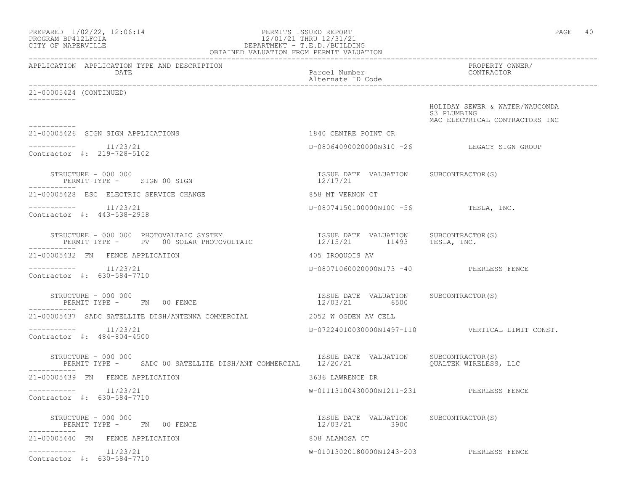| PREPARED 1/02/22, 12:06:14<br>PROGRAM BP412LFOIA<br>CITY OF NAPERVILLE                                                      | PERMITS ISSUED REPORT<br>12/01/21 THRU 12/31/21<br>DEPARTMENT - T.E.D./BUILDING<br>OBTAINED VALUATION FROM PERMIT VALUATION | PAGE 40                                                                         |
|-----------------------------------------------------------------------------------------------------------------------------|-----------------------------------------------------------------------------------------------------------------------------|---------------------------------------------------------------------------------|
| APPLICATION APPLICATION TYPE AND DESCRIPTION<br>DATE                                                                        | Parcel Number<br>Alternate ID Code                                                                                          | PROPERTY OWNER/<br>CONTRACTOR                                                   |
| 21-00005424 (CONTINUED)                                                                                                     |                                                                                                                             |                                                                                 |
|                                                                                                                             |                                                                                                                             | HOLIDAY SEWER & WATER/WAUCONDA<br>S3 PLUMBING<br>MAC ELECTRICAL CONTRACTORS INC |
| 21-00005426 SIGN SIGN APPLICATIONS                                                                                          | 1840 CENTRE POINT CR                                                                                                        |                                                                                 |
| $--------- 11/23/21$<br>Contractor #: 219-728-5102                                                                          |                                                                                                                             | D-08064090020000N310 -26 LEGACY SIGN GROUP                                      |
| STRUCTURE - 000 000<br>PERMIT TYPE - SIGN 00 SIGN                                                                           | ISSUE DATE VALUATION SUBCONTRACTOR(S)<br>12/17/21                                                                           |                                                                                 |
| 21-00005428 ESC ELECTRIC SERVICE CHANGE                                                                                     | 858 MT VERNON CT                                                                                                            |                                                                                 |
| $--------- 11/23/21$<br>Contractor #: 443-538-2958                                                                          | D-08074150100000N100 -56 TESLA, INC.                                                                                        |                                                                                 |
| STRUCTURE - 000 000 PHOTOVALTAIC SYSTEM<br>PERMIT TYPE - PV 00 SOLAR PHOTOVOLTAIC 12/15/21 11493 TESLA, INC.<br>----------- | ISSUE DATE VALUATION SUBCONTRACTOR(S)                                                                                       |                                                                                 |
| 21-00005432 FN FENCE APPLICATION                                                                                            | 405 IROQUOIS AV                                                                                                             |                                                                                 |
| $--------- 11/23/21$<br>Contractor #: 630-584-7710                                                                          | D-08071060020000N173 -40 PEERLESS FENCE                                                                                     |                                                                                 |
| STRUCTURE - 000 000<br>PERMIT TYPE - FN 00 FENCE                                                                            | ISSUE DATE VALUATION SUBCONTRACTOR(S)<br>12/03/21 6500                                                                      |                                                                                 |
| 21-00005437 SADC SATELLITE DISH/ANTENNA COMMERCIAL                                                                          | 2052 W OGDEN AV CELL                                                                                                        |                                                                                 |
| $--------- 11/23/21$<br>Contractor #: 484-804-4500                                                                          |                                                                                                                             | D-07224010030000N1497-110    VERTICAL LIMIT CONST.                              |
| STRUCTURE - 000 000<br>PERMIT TYPE - SADC 00 SATELLITE DISH/ANT COMMERCIAL 12/20/21                                         | ISSUE DATE VALUATION                                                                                                        | SUBCONTRACTOR(S)<br>QUALTEK WIRELESS, LLC                                       |
| 21-00005439 FN FENCE APPLICATION                                                                                            | 3636 LAWRENCE DR                                                                                                            |                                                                                 |
| 11/23/21<br>Contractor #: 630-584-7710                                                                                      | W-01113100430000N1211-231                                                                                                   | PEERLESS FENCE                                                                  |
| STRUCTURE - 000 000<br>PERMIT TYPE - FN 00 FENCE                                                                            | ISSUE DATE VALUATION<br>12/03/21<br>3900                                                                                    | SUBCONTRACTOR(S)                                                                |
| 21-00005440 FN FENCE APPLICATION                                                                                            | 808 ALAMOSA CT                                                                                                              |                                                                                 |
| 11/23/21<br>-----------<br>Contractor #: 630-584-7710                                                                       | W-01013020180000N1243-203                                                                                                   | PEERLESS FENCE                                                                  |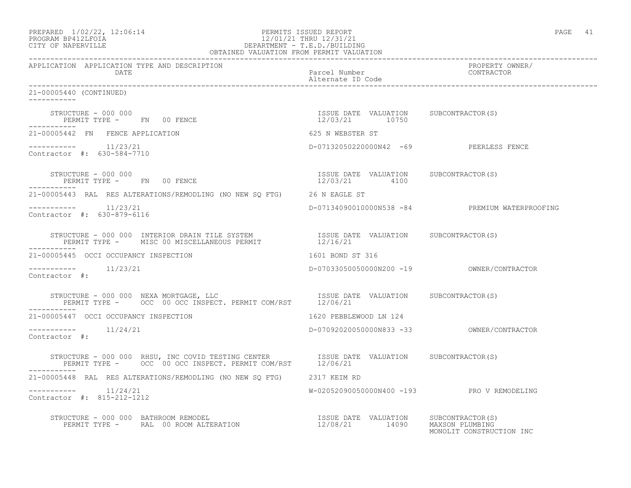| PREPARED            | $1/02/22$ , $12:06:14$ |  |
|---------------------|------------------------|--|
| DDACDAM BDA12T FATA |                        |  |

### PERMITS ISSUED REPORT FOR THE PAGE 41 PAGE 41 PROGRAM BP412LFOIA 12/01/21 THRU 12/31/21 CITY OF NAPERVILLE DEPARTMENT - T.E.D./BUILDING OBTAINED VALUATION FROM PERMIT VALUATION

------------------------------------------------------------------------------------------------------------------------------------ APPLICATION APPLICATION TYPE AND DESCRIPTION PROPERTY OWNER/ DATE Parcel Number Alternate ID Code ------------------------------------------------------------------------------------------------------------------------------------ 21-00005440 (CONTINUED) ----------- STRUCTURE - 000 000 ISSUE DATE VALUATION SUBCONTRACTOR(S) PERMIT TYPE - FN 00 FENCE ----------- 21-00005442 FN FENCE APPLICATION 625 N WEBSTER ST ----------- 11/23/21 D-07132050220000N42 -69 PEERLESS FENCE Contractor #: 630-584-7710 STRUCTURE - 000 000 ISSUE DATE VALUATION SUBCONTRACTOR(S) PERMIT TYPE - FN 00 FENCE 12/03/21 4100 ----------- 21-00005443 RAL RES ALTERATIONS/REMODLING (NO NEW SQ FTG) 26 N EAGLE ST ----------- 11/23/21 D-07134090010000N538 -84 PREMIUM WATERPROOFING Contractor #: 630-879-6116 STRUCTURE - 000 000 INTERIOR DRAIN TILE SYSTEM ISSUE DATE VALUATION SUBCONTRACTOR(S) PERMIT TYPE - MISC 00 MISCELLANEOUS PERMIT 12/16/21 ----------- 21-00005445 OCCI OCCUPANCY INSPECTION 1601 CONDENSE 1601 BOND ST 316 ----------- 11/23/21 D-07033050050000N200 -19 OWNER/CONTRACTOR Contractor #: STRUCTURE - 000 000 NEXA MORTGAGE, LLC ISSUE DATE VALUATION SUBCONTRACTOR(S) PERMIT TYPE - OCC 00 OCC INSPECT. PERMIT COM/RST 12/06/21 ----------- 21-00005447 OCCI OCCUPANCY INSPECTION 1888 1620 PEBBLEWOOD LN 124 ----------- 11/24/21 D-07092020050000N833 -33 OWNER/CONTRACTOR Contractor #: STRUCTURE - 000 000 RHSU, INC COVID TESTING CENTER ISSUE DATE VALUATION SUBCONTRACTOR(S) PERMIT TYPE - OCC 00 OCC INSPECT. PERMIT COM/RST 12/06/21 ----------- 21-00005448 RAL RES ALTERATIONS/REMODLING (NO NEW SQ FTG) 2317 KEIM RD ----------- 11/24/21 W-02052090050000N400 -193 PRO V REMODELING Contractor #: 815-212-1212 STRUCTURE - 000 000 BATHROOM REMODEL ISSUE DATE VALUATION SUBCONTRACTOR(S) PERMIT TYPE - RAL 00 ROOM ALTERATION 12/08/21 14090 MAXSON PLUMBING

MONOLIT CONSTRUCTION INC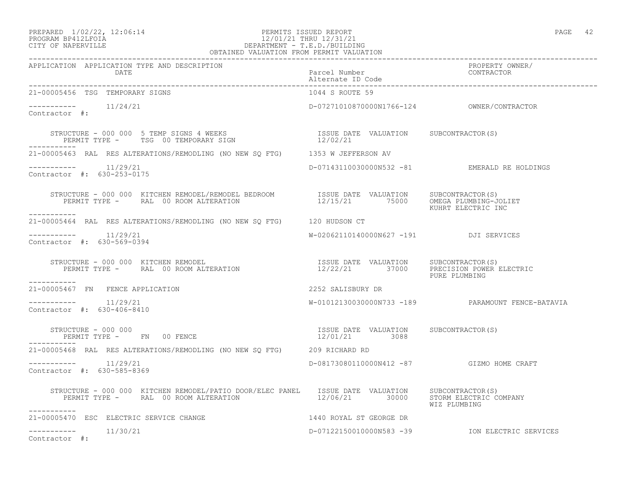## PREPARED 1/02/22, 12:06:14 PERMITS ISSUED REPORT<br>PROGRAM BP412LFOIA PAGE 42<br>12/01/21 THRU 12/31/21 PROGRAM BP412LFOIA  $12/01/21$  THRU  $12/31/21$  CITY OF NAPERVILLE CITY OF NAPERVILLE DEPARTMENT - T.E.D./BUILDING OBTAINED VALUATION FROM PERMIT VALUATION ------------------------------------------------------------------------------------------------------------------------------------

| APPLICATION APPLICATION TYPE AND DESCRIPTION<br>DATE                                                                                                                                                                                                                                                         | Parcel Number<br>Alternate ID Code                     | PROPERTY OWNER/<br>CONTRACTOR                     |
|--------------------------------------------------------------------------------------------------------------------------------------------------------------------------------------------------------------------------------------------------------------------------------------------------------------|--------------------------------------------------------|---------------------------------------------------|
| 21-00005456 TSG TEMPORARY SIGNS                                                                                                                                                                                                                                                                              | 1044 S ROUTE 59                                        |                                                   |
| $--------- 11/24/21$<br>Contractor #:                                                                                                                                                                                                                                                                        |                                                        |                                                   |
| -----------                                                                                                                                                                                                                                                                                                  |                                                        |                                                   |
| 21-00005463 RAL RES ALTERATIONS/REMODLING (NO NEW SQ FTG) 1353 W JEFFERSON AV                                                                                                                                                                                                                                |                                                        |                                                   |
| $--------- 11/29/21$<br>Contractor #: 630-253-0175                                                                                                                                                                                                                                                           |                                                        | D-07143110030000N532 -81 EMERALD RE HOLDINGS      |
| STRUCTURE - 000 000 KITCHEN REMODEL/REMODEL BEDROOM            ISSUE DATE VALUATION     SUBCONTRACTOR(S)<br>PERMIT TYPE -      RAL 00 ROOM ALTERATION                        12/15/21        75000     OMEGA PLUMBING-JOLIET                                                                                 |                                                        | KUHRT ELECTRIC INC                                |
| 21-00005464 RAL RES ALTERATIONS/REMODLING (NO NEW SQ FTG) 120 HUDSON CT                                                                                                                                                                                                                                      |                                                        |                                                   |
| -----------    11/29/21<br>Contractor #: 630-569-0394                                                                                                                                                                                                                                                        | W-02062110140000N627 -191 DJI SERVICES                 |                                                   |
| $\begin{array}{cccc} \texttt{STRUCTURE} - 000 000 & \texttt{KITCHEN REMOPEL} & \texttt{ISSUE DATE} & \texttt{VALUATION} & \texttt{SUBCONTRACTOR(S)} \\ \texttt{PERMIT TYPE} - & \texttt{RAL} & 00 ROM ALTERATION & \texttt{12/22/21} & 37000 & \texttt{PRECISION POWER ELECTRIC} \end{array}$<br>----------- |                                                        | PURE PLUMBING                                     |
| 21-00005467 FN FENCE APPLICATION                                                                                                                                                                                                                                                                             | 2252 SALISBURY DR                                      |                                                   |
| $--------- 11/29/21$<br>Contractor #: 630-406-8410                                                                                                                                                                                                                                                           |                                                        | W-01012130030000N733 -189 PARAMOUNT FENCE-BATAVIA |
| STRUCTURE - 000 000 $_{\text{FN}}$ 00 FENCE                                                                                                                                                                                                                                                                  | ISSUE DATE VALUATION SUBCONTRACTOR(S)<br>12/01/21 3088 |                                                   |
| 21-00005468 RAL RES ALTERATIONS/REMODLING (NO NEW SQ FTG) 209 RICHARD RD                                                                                                                                                                                                                                     |                                                        |                                                   |
| $--------$ 11/29/21<br>Contractor #: 630-585-8369                                                                                                                                                                                                                                                            | D-08173080110000N412 -87 GIZMO HOME CRAFT              |                                                   |
| STRUCTURE - 000 000 KITCHEN REMODEL/PATIO DOOR/ELEC PANEL ISSUE DATE VALUATION SUBCONTRACTOR(S)<br>PERMIT TYPE - RAL 00 ROOM ALTERATION<br>------------                                                                                                                                                      | 12/06/21 30000                                         | STORM ELECTRIC COMPANY<br>WIZ PLUMBING            |
| 21-00005470 ESC ELECTRIC SERVICE CHANGE                                                                                                                                                                                                                                                                      | 1440 ROYAL ST GEORGE DR                                |                                                   |
| $--------- 11/30/21$<br>Contractor #:                                                                                                                                                                                                                                                                        |                                                        |                                                   |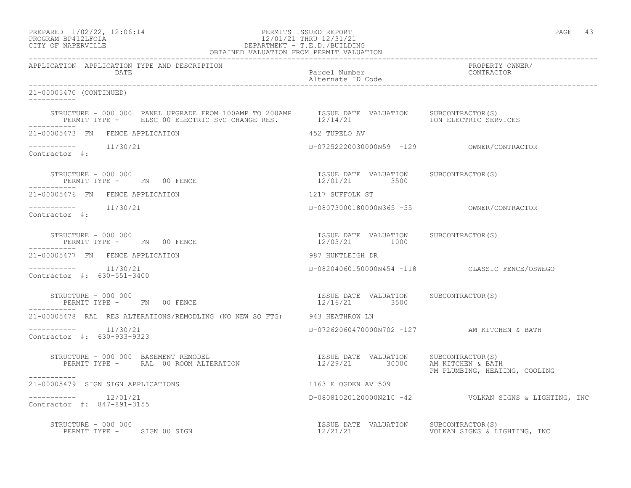### PREPARED  $1/02/22$ ,  $12:06:14$  PERMITS ISSUED REPORT PAGE 43 PROGRAM BP412LFOIA 12/01/21 THRU 12/31/21 CITY OF NAPERVILLE DEPARTMENT - T.E.D./BUILDING OBTAINED VALUATION FROM PERMIT VALUATION

| APPLICATION APPLICATION TYPE AND DESCRIPTION<br>DATE                                                                                                                                          | Parcel Number<br>Alternate ID Code                      | PROPERTY OWNER/<br>CONTRACTOR                            |
|-----------------------------------------------------------------------------------------------------------------------------------------------------------------------------------------------|---------------------------------------------------------|----------------------------------------------------------|
| 21-00005470 (CONTINUED)                                                                                                                                                                       |                                                         |                                                          |
| STRUCTURE - 000 000 PANEL UPGRADE FROM 100AMP TO 200AMP ISSUE DATE VALUATION SUBCONTRACTOR(S)<br>PERMIT TYPE - ELSC 00 ELECTRIC SVC CHANGE RES. 12/14/21 1211 1211 1211 100 ELECTRIC SERVICES |                                                         |                                                          |
| 21-00005473 FN FENCE APPLICATION                                                                                                                                                              | 452 TUPELO AV                                           |                                                          |
| $11/30/21$<br>Contractor #:                                                                                                                                                                   |                                                         |                                                          |
| STRUCTURE - 000 000<br>PERMIT TYPE - FN 00 FENCE<br>-----------                                                                                                                               | ISSUE DATE VALUATION SUBCONTRACTOR(S)<br>12/01/21 3500  |                                                          |
| 21-00005476 FN FENCE APPLICATION                                                                                                                                                              | 1217 SUFFOLK ST                                         |                                                          |
| $--------$ 11/30/21<br>Contractor #:                                                                                                                                                          |                                                         |                                                          |
| STRUCTURE - 000 000<br>PERMIT TYPE - FN 00 FENCE                                                                                                                                              | ISSUE DATE VALUATION SUBCONTRACTOR(S)<br>12/03/21 1000  |                                                          |
| 21-00005477 FN FENCE APPLICATION                                                                                                                                                              | 987 HUNTLEIGH DR                                        |                                                          |
| -----------    11/30/21<br>Contractor #: 630-551-3400                                                                                                                                         |                                                         | D-08204060150000N454 -118 CLASSIC FENCE/OSWEGO           |
| STRUCTURE - 000 000<br>PERMIT TYPE - FN 00 FENCE<br>-----------                                                                                                                               | ISSUE DATE VALUATION SUBCONTRACTOR (S)<br>12/16/21 3500 |                                                          |
| 21-00005478 RAL RES ALTERATIONS/REMODLING (NO NEW SQ FTG) 943 HEATHROW LN                                                                                                                     |                                                         |                                                          |
| -----------    11/30/21<br>Contractor #: 630-933-9323                                                                                                                                         | D-07262060470000N702 -127 AM KITCHEN & BATH             |                                                          |
| STRUCTURE - 000 000 BASEMENT REMODEL<br>------------                                                                                                                                          |                                                         | PM PLUMBING, HEATING, COOLING                            |
| 21-00005479 SIGN SIGN APPLICATIONS                                                                                                                                                            | 1163 E OGDEN AV 509                                     |                                                          |
| $--------- 12/01/21$<br>Contractor #: 847-891-3155                                                                                                                                            |                                                         | D-08081020120000N210 -42    VOLKAN SIGNS & LIGHTING, INC |
| STRUCTURE - 000 000<br>PERMIT TYPE - SIGN 00 SIGN                                                                                                                                             | ISSUE DATE VALUATION SUBCONTRACTOR (S)                  |                                                          |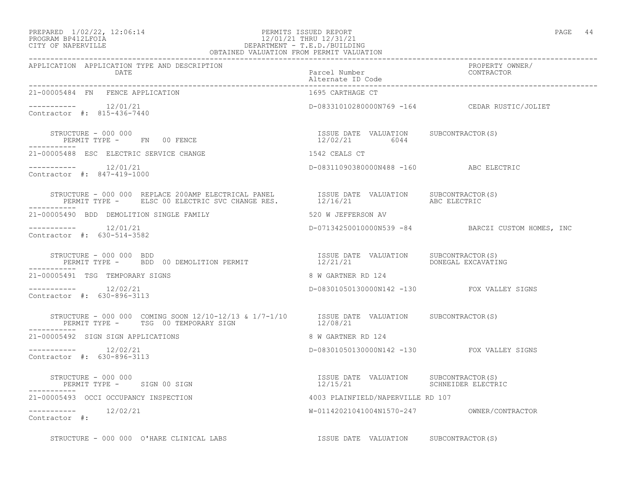### PREPARED  $1/02/22$ ,  $12:06:14$  PERMITS ISSUED REPORT PAGE 44 PROGRAM BP412LFOIA 12/01/21 THRU 12/31/21 CITY OF NAPERVILLE DEPARTMENT - T.E.D./BUILDING DEPARTMENT - T.E.D./BUILDING<br>OBTAINED VALUATION FROM PERMIT VALUATION

| APPLICATION APPLICATION TYPE AND DESCRIPTION<br>DATE                                                                                    | PROPERTY OWNER/<br>Parcel Number<br>Alternate ID Code<br>------------ |                                                   |
|-----------------------------------------------------------------------------------------------------------------------------------------|-----------------------------------------------------------------------|---------------------------------------------------|
| 21-00005484 FN FENCE APPLICATION                                                                                                        | 1695 CARTHAGE CT                                                      |                                                   |
| $--------- 12/01/21$<br>Contractor #: 815-436-7440                                                                                      |                                                                       | D-08331010280000N769 -164 CEDAR RUSTIC/JOLIET     |
| STRUCTURE - 000 000<br>PERMIT TYPE - FN 00 FENCE                                                                                        | ISSUE DATE VALUATION SUBCONTRACTOR(S)<br>12/02/21 6044                |                                                   |
| 21-00005488 ESC ELECTRIC SERVICE CHANGE                                                                                                 | 1542 CEALS CT                                                         |                                                   |
| $--------- 12/01/21$<br>Contractor #: 847-419-1000                                                                                      | D-08311090380000N488 -160 ABC ELECTRIC                                |                                                   |
|                                                                                                                                         |                                                                       |                                                   |
| 21-00005490 BDD DEMOLITION SINGLE FAMILY                                                                                                | 520 W JEFFERSON AV                                                    |                                                   |
| $--------- 12/01/21$<br>Contractor #: 630-514-3582                                                                                      |                                                                       | D-07134250010000N539 -84 BARCZI CUSTOM HOMES, INC |
| STRUCTURE - 000 000 BDD<br>PERMIT TYPE -     BDD 00 DEMOLITION PERMIT                         12/21/21           DONEGAL EXCAVATING     |                                                                       |                                                   |
| 21-00005491 TSG TEMPORARY SIGNS                                                                                                         | 8 W GARTNER RD 124                                                    |                                                   |
| $--------- 12/02/21$<br>Contractor #: 630-896-3113                                                                                      | D-08301050130000N142 -130 FOX VALLEY SIGNS                            |                                                   |
| STRUCTURE - 000 000 COMING SOON $12/10-12/13$ & $1/7-1/10$ ISSUE DATE VALUATION SUBCONTRACTOR(S)<br>PERMIT TYPE - TSG 00 TEMPORARY SIGN | 12/08/21                                                              |                                                   |
| 21-00005492 SIGN SIGN APPLICATIONS                                                                                                      | 8 W GARTNER RD 124                                                    |                                                   |
| $--------- 12/02/21$<br>Contractor #: 630-896-3113                                                                                      | D-08301050130000N142 -130 FOX VALLEY SIGNS                            |                                                   |
| STRUCTURE - 000 000<br>PERMIT TYPE - SIGN 00 SIGN                                                                                       | ISSUE DATE VALUATION SUBCONTRACTOR(S)                                 |                                                   |
| 21-00005493 OCCI OCCUPANCY INSPECTION                                                                                                   | 4003 PLAINFIELD/NAPERVILLE RD 107                                     |                                                   |
| $--------- 12/02/21$<br>Contractor #:                                                                                                   |                                                                       |                                                   |
| STRUCTURE - 000 000 O'HARE CLINICAL LABS TESSUE DATE VALUATION SUBCONTRACTOR(S)                                                         |                                                                       |                                                   |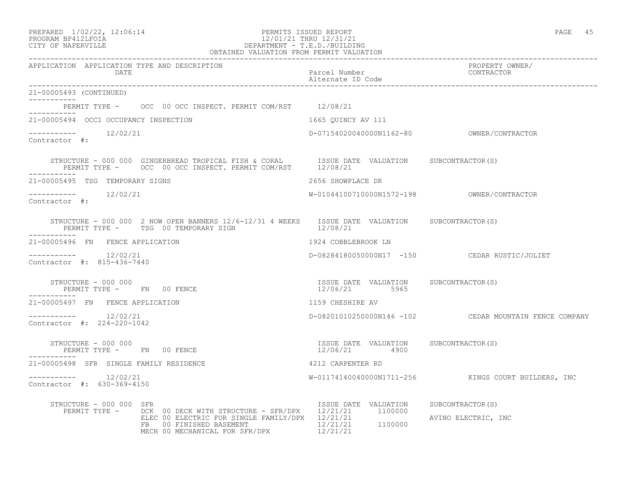### PREPARED  $1/02/22$ ,  $12:06:14$  PERMITS ISSUED REPORT PAGE 45 PROGRAM BP412LFOIA 12/01/21 THRU 12/31/21 CITY OF NAPERVILLE DEPARTMENT - T.E.D./BUILDING OBTAINED VALUATION FROM PERMIT VALUATION

------------------------------------------------------------------------------------------------------------------------------------ APPLICATION APPLICATION TYPE AND DESCRIPTION PROPERTY OWNER/ DATE PARTICLE IN PARTICLE IN THE PARTICLE IN THE PARTICLE IN THE PARTICLE IN THE PARTICLE IN THE PARTICLE IN THE PARTICLE IN THE PARTICLE IN THE PARTICLE IN THE PARTICLE IN THE PARTICLE IN THE PARTICLE IN THE PARTICLE IN T Alternate ID Code ------------------------------------------------------------------------------------------------------------------------------------ 21-00005493 (CONTINUED) ----------- PERMIT TYPE - OCC 00 OCC INSPECT. PERMIT COM/RST 12/08/21 ----------- 21-00005494 OCCI OCCUPANCY INSPECTION 1665 QUINCY AV 111 ----------- 12/02/21 D-07154020040000N1162-80 OWNER/CONTRACTOR Contractor #: STRUCTURE - 000 000 GINGERBREAD TROPICAL FISH & CORAL ISSUE DATE VALUATION SUBCONTRACTOR(S) PERMIT TYPE - OCC 00 OCC INSPECT. PERMIT COM/RST 12/08/21 ----------- 21-00005495 TSG TEMPORARY SIGNS 2656 SHOWPLACE DR ----------- 12/02/21 W-01044100710000N1572-198 OWNER/CONTRACTOR Contractor #: STRUCTURE - 000 000 2 NOW OPEN BANNERS 12/6-12/31 4 WEEKS ISSUE DATE VALUATION SUBCONTRACTOR(S)<br>PERMIT TYPE - TSG 00 TEMPORARY SIGN 12/08/21 PERMIT TYPE - TSG 00 TEMPORARY SIGN ----------- 21-00005496 FN FENCE APPLICATION 1924 COBBLEBROOK LN ----------- 12/02/21 D-08284180050000N17 -150 CEDAR RUSTIC/JOLIET Contractor #: 815-436-7440 STRUCTURE - 000 000 ISSUE DATE VALUATION SUBCONTRACTOR(S) PERMIT TYPE - FN 00 FENCE ----------- 21-00005497 FN FENCE APPLICATION 1159 CHESHIRE AV ----------- 12/02/21 D-08201010250000N146 -102 CEDAR MOUNTAIN FENCE COMPANY Contractor #: 224-220-1042 STRUCTURE - 000 000 ISSUE DATE VALUATION SUBCONTRACTOR(S) PERMIT TYPE - FN 00 FENCE ----------- 21-00005498 SFR SINGLE FAMILY RESIDENCE 4212 CARPENTER RD ----------- 12/02/21 W-01174140040000N1711-256 KINGS COURT BUILDERS, INC Contractor #: 630-369-4150 STRUCTURE - 000 000 SFR **ISSUE DATE VALUATION** SUBCONTRACTOR(S) PERMIT TYPE - DCK 00 DECK WITH STRUCTURE - SFR/DPX 12/21/21 1100000 ELEC 00 ELECTRIC FOR SINGLE FAMILY/DPX 12/21/21 AVINO ELECTRIC, INC FB 00 FINISHED BASEMENT 12/21/21 1100000 MECH 00 MECHANICAL FOR SFR/DPX 12/21/21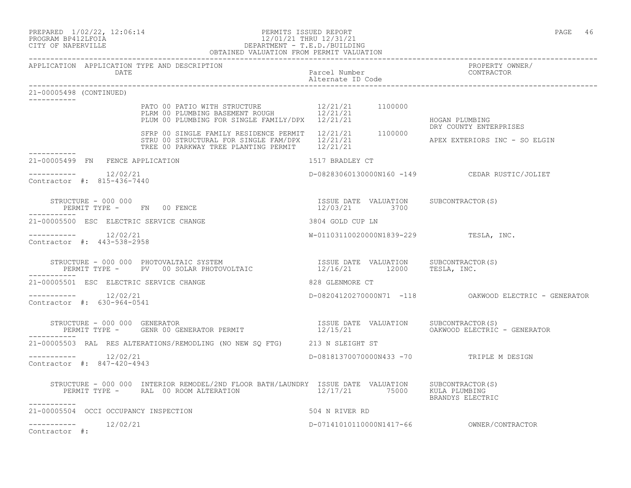### PREPARED  $1/02/22$ ,  $12:06:14$  PERMITS ISSUED REPORT PAGE 46 PROGRAM BP412LFOIA 12/01/21 THRU 12/31/21 CITY OF NAPERVILLE DEPARTMENT - T.E.D./BUILDING OBTAINED VALUATION FROM PERMIT VALUATION

------------------------------------------------------------------------------------------------------------------------------------

APPLICATION APPLICATION TYPE AND DESCRIPTION PROPERTY OWNER/ Parcel Number Alternate ID Code ------------------------------------------------------------------------------------------------------------------------------------ 21-00005498 (CONTINUED) ----------- PATO 00 PATIO WITH STRUCTURE  $12/21/21$  1100000 PLRM 00 PLUMBING BASEMENT ROUGH 12/21/21 PLUM 00 PLUMBING FOR SINGLE FAMILY/DPX 12/21/21 HOGAN PLUMBING DRY COUNTY ENTERPRISES SFRP 00 SINGLE FAMILY RESIDENCE PERMIT 12/21/21 1100000 STRU 00 STRUCTURAL FOR SINGLE FAM/DPX  $12/21/21$  PHEX EXTERIORS INC - SO ELGIN TREE 00 PARKWAY TREE PLANTING PERMIT 12/21/21 ----------- 21-00005499 FN FENCE APPLICATION 1517 BRADLEY CT  $--------- 12/02/21$ ----------- 12/02/21 D-08283060130000N160 -149 CEDAR RUSTIC/JOLIET Contractor #: 815-436-7440 STRUCTURE - 000 000 ISSUE DATE VALUATION SUBCONTRACTOR(S) PERMIT TYPE - FN 00 FENCE 12/03/21 3700 ----------- 21-00005500 ESC ELECTRIC SERVICE CHANGE 3804 GOLD CUP LN ----------- 12/02/21 W-01103110020000N1839-229 TESLA, INC. Contractor #: 443-538-2958 STRUCTURE - 000 000 PHOTOVALTAIC SYSTEM ISSUE DATE VALUATION SUBCONTRACTOR(S) PERMIT TYPE - PV 00 SOLAR PHOTOVOLTAIC  $12/16/21$  12000 TESLA, INC. ----------- 21-00005501 ESC ELECTRIC SERVICE CHANGE 828 GLENMORE CT ----------- 12/02/21 D-08204120270000N71 -118 OAKWOOD ELECTRIC - GENERATOR Contractor #: 630-964-0541 STRUCTURE - 000 000 GENERATOR ISSUE DATE VALUATION SUBCONTRACTOR(S) PERMIT TYPE - GENR 00 GENERATOR PERMIT 12/15/21 OAKWOOD ELECTRIC - GENERATOR ----------- 21-00005503 RAL RES ALTERATIONS/REMODLING (NO NEW SQ FTG) 213 N SLEIGHT ST ----------- 12/02/21 D-08181370070000N433 -70 TRIPLE M DESIGN Contractor #: 847-420-4943 STRUCTURE - 000 000 INTERIOR REMODEL/2ND FLOOR BATH/LAUNDRY ISSUE DATE VALUATION SUBCONTRACTOR(S) PERMIT TYPE - RAL 00 ROOM ALTERATION 12/17/21 75000 KULA PLUMBING BRANDYS ELECTRIC ----------- 21-00005504 OCCI OCCUPANCY INSPECTION 504 N RIVER RD  $--------- 12/02/21$ ----------- 12/02/21 D-07141010110000N1417-66 OWNER/CONTRACTOR

Contractor #: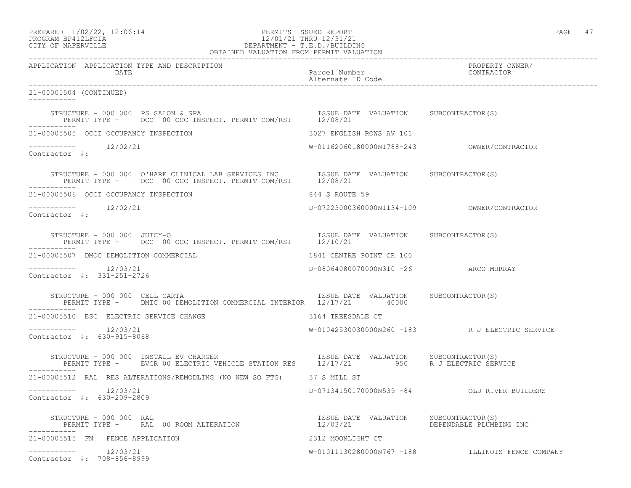## PREPARED  $1/02/22$ ,  $12:06:14$  PERMITS ISSUED REPORT PAGE 47 PROGRAM BP412LFOIA 12/01/21 THRU 12/31/21 CITY OF NAPERVILLE DEPARTMENT - T.E.D./BUILDING

| OBTAINED VALUATION FROM PERMIT VALUATION              |                                                                                                                                                                                                                      |                                    |  |                                                  |  |
|-------------------------------------------------------|----------------------------------------------------------------------------------------------------------------------------------------------------------------------------------------------------------------------|------------------------------------|--|--------------------------------------------------|--|
| APPLICATION APPLICATION TYPE AND DESCRIPTION<br>DATE  |                                                                                                                                                                                                                      | Parcel Number<br>Alternate ID Code |  | PROPERTY OWNER/<br>CONTRACTOR                    |  |
| 21-00005504 (CONTINUED)                               |                                                                                                                                                                                                                      |                                    |  |                                                  |  |
| STRUCTURE - 000 000 PS SALON & SPA                    | TRUCTURE – 000 000 PS SALON & SPA<br>PERMIT TYPE – OCC 00 OCC INSPECT. PERMIT COM/RST 12/08/21                                                                                                                       |                                    |  |                                                  |  |
| 21-00005505 OCCI OCCUPANCY INSPECTION                 |                                                                                                                                                                                                                      | 3027 ENGLISH ROWS AV 101           |  |                                                  |  |
| -----------    12/02/21<br>Contractor #:              |                                                                                                                                                                                                                      |                                    |  |                                                  |  |
|                                                       | STRUCTURE - 000 000 O'HARE CLINICAL LAB SERVICES INC      ISSUE DATE VALUATION     SUBCONTRACTOR(S)     PERMIT TYPE -     OCC 00 OCC INSPECT. PERMIT COM/RST     12/08/21                                            |                                    |  |                                                  |  |
| 21-00005506 OCCI OCCUPANCY INSPECTION                 |                                                                                                                                                                                                                      | 844 S ROUTE 59                     |  |                                                  |  |
| -----------    12/02/21<br>Contractor #:              |                                                                                                                                                                                                                      |                                    |  |                                                  |  |
| STRUCTURE - 000 000 JUICY-O                           | PERMIT TYPE - OCC 00 OCC INSPECT. PERMIT COM/RST 12/10/21                                                                                                                                                            |                                    |  | ISSUE DATE VALUATION SUBCONTRACTOR(S)            |  |
| 21-00005507 DMOC DEMOLITION COMMERCIAL                |                                                                                                                                                                                                                      | 1841 CENTRE POINT CR 100           |  |                                                  |  |
| 12/03/21<br>---------<br>Contractor #: 331-251-2726   |                                                                                                                                                                                                                      |                                    |  | D-08064080070000N310 -26 ARCO MURRAY             |  |
| STRUCTURE - 000 000 CELL CARTA                        | ISSUE DATE VALUATION SUBCONTRACTOR(S)<br>PERMIT TYPE - DMIC 00 DEMOLITION COMMERCIAL INTERIOR 12/17/21 40000                                                                                                         |                                    |  |                                                  |  |
| 21-00005510 ESC ELECTRIC SERVICE CHANGE               |                                                                                                                                                                                                                      | 3164 TREESDALE CT                  |  |                                                  |  |
| Contractor #: 630-915-8068                            |                                                                                                                                                                                                                      |                                    |  | W-01042530030000N260 -183 R J ELECTRIC SERVICE   |  |
| -----------                                           | STRUCTURE - 000 000 INSTALL EV CHARGER                         ISSUE DATE VALUATION     SUBCONTRACTOR(S)<br>PERMIT TYPE -     EVCR 00 ELECTRIC VEHICLE STATION RES     12/17/21         950     R J ELECTRIC SERVICE |                                    |  |                                                  |  |
|                                                       | 21-00005512 RAL RES ALTERATIONS/REMODLING (NO NEW SO FTG) 37 S MILL ST                                                                                                                                               |                                    |  |                                                  |  |
| -----------    12/03/21<br>Contractor #: 630-209-2809 |                                                                                                                                                                                                                      |                                    |  | D-07134150170000N539 -84 OLD RIVER BUILDERS      |  |
|                                                       | STRUCTURE – 000 000 RAL (STRUCTURE – 1999) STRUCTURE – 1999 RALUATION SUBCONTRACTOR<br>PERMIT TYPE – RAL 00 ROOM ALTERATION (STRUCTURE 12/03/21) DEPENDABLE PLUMBING INC                                             |                                    |  |                                                  |  |
| 21-00005515 FN FENCE APPLICATION                      |                                                                                                                                                                                                                      | 2312 MOONLIGHT CT                  |  |                                                  |  |
| $--------$ 12/03/21<br>Contractor #: 708-856-8999     |                                                                                                                                                                                                                      |                                    |  | W-01011130280000N767 -188 ILLINOIS FENCE COMPANY |  |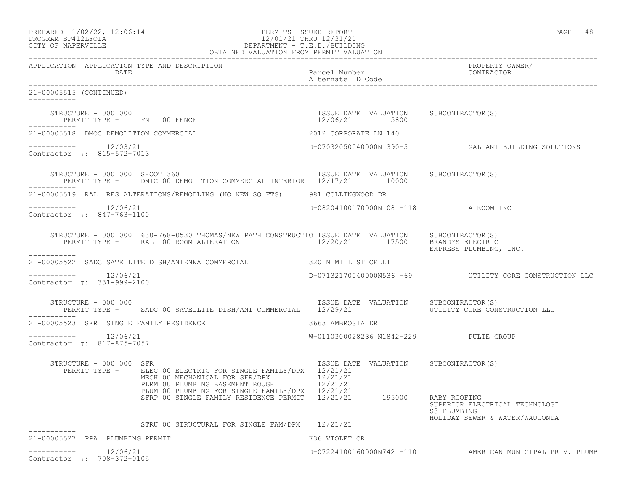| PREPARED | $1/02/22$ , $12:06:14$ |  |
|----------|------------------------|--|
|          | PROGRAM RP412LFOIA     |  |

### PERMITS ISSUED REPORT **PAGE 48** PROGRAM BP412LFOIA 12/01/21 THRU 12/31/21<br>CITY OF NAPERVILLE DEPARTMENT - T.E.D./BUILDIN CITY OF NAPERVILLE DEPARTMENT - T.E.D./BUILDING OBTAINED VALUATION FROM PERMIT VALUATION

| APPLICATION APPLICATION TYPE AND DESCRIPTION<br><b>DATE</b> |                                                                                                                                                                             | Parcel Number<br>Alternate ID Code                     | PROPERTY OWNER/<br>CONTRACTOR                                                   |
|-------------------------------------------------------------|-----------------------------------------------------------------------------------------------------------------------------------------------------------------------------|--------------------------------------------------------|---------------------------------------------------------------------------------|
| 21-00005515 (CONTINUED)                                     |                                                                                                                                                                             |                                                        |                                                                                 |
| STRUCTURE - 000 000<br>PERMIT TYPE - FN 00 FENCE            |                                                                                                                                                                             | ISSUE DATE VALUATION SUBCONTRACTOR(S)<br>12/06/21 5800 |                                                                                 |
| 21-00005518 DMOC DEMOLITION COMMERCIAL                      |                                                                                                                                                                             | 2012 CORPORATE LN 140                                  |                                                                                 |
| $--------$ 12/03/21<br>Contractor #: 815-572-7013           |                                                                                                                                                                             |                                                        | D-07032050040000N1390-5   GALLANT BUILDING SOLUTIONS                            |
| STRUCTURE - 000 000 SHOOT 360                               | PERMIT TYPE - DMIC 00 DEMOLITION COMMERCIAL INTERIOR 12/17/21 10000                                                                                                         | ISSUE DATE VALUATION SUBCONTRACTOR(S)                  |                                                                                 |
|                                                             | 21-00005519 RAL RES ALTERATIONS/REMODLING (NO NEW SQ FTG) 981 COLLINGWOOD DR                                                                                                |                                                        |                                                                                 |
| $--------- 12/06/21$<br>Contractor #: 847-763-1100          |                                                                                                                                                                             | D-08204100170000N108 -118 AIROOM INC                   |                                                                                 |
| -----------                                                 | STRUCTURE - 000 000 630-768-8530 THOMAS/NEW PATH CONSTRUCTIO ISSUE DATE VALUATION SUBCONTRACTOR(S)<br>PERMIT TYPE - RAL 00 ROOM ALTERATION 12/20/21 117500 BRANDYS ELECTRIC |                                                        | EXPRESS PLUMBING, INC.                                                          |
|                                                             | 21-00005522 SADC SATELLITE DISH/ANTENNA COMMERCIAL 320 N MILL ST CELL1                                                                                                      |                                                        |                                                                                 |
| $--------- 12/06/21$<br>Contractor #: 331-999-2100          |                                                                                                                                                                             |                                                        | D-07132170040000N536 -69  UTILITY CORE CONSTRUCTION LLC                         |
| STRUCTURE - 000 000                                         | PERMIT TYPE - SADC 00 SATELLITE DISH/ANT COMMERCIAL 12/29/21                                                                                                                | ISSUE DATE VALUATION SUBCONTRACTOR(S)                  | UTILITY CORE CONSTRUCTION LLC                                                   |
| 21-00005523 SFR SINGLE FAMILY RESIDENCE                     |                                                                                                                                                                             | 3663 AMBROSIA DR                                       |                                                                                 |
| $--------$ 12/06/21<br>Contractor #: 817-875-7057           |                                                                                                                                                                             | W-0110300028236 N1842-229 PULTE GROUP                  |                                                                                 |
| STRUCTURE - 000 000 SFR                                     | PERMIT TYPE - ELEC 00 ELECTRIC FOR SINGLE FAMILY/DPX 12/21/21<br>MECH 00 MECHANICAL FOR SFR/DPX 12/21/21<br>PLRM 00 PLUMBING BASEMENT ROUGH 12/21/21                        | ISSUE DATE VALUATION SUBCONTRACTOR(S)                  |                                                                                 |
|                                                             | PLUM 00 PLUMBING FOR SINGLE FAMILY/DPX 12/21/21<br>SFRP 00 SINGLE FAMILY RESIDENCE PERMIT 12/21/21 195000 RABY ROOFING                                                      |                                                        | SUPERIOR ELECTRICAL TECHNOLOGI<br>S3 PLUMBING<br>HOLIDAY SEWER & WATER/WAUCONDA |
|                                                             | STRU 00 STRUCTURAL FOR SINGLE FAM/DPX 12/21/21                                                                                                                              |                                                        |                                                                                 |
| 21-00005527 PPA PLUMBING PERMIT                             |                                                                                                                                                                             | 736 VIOLET CR                                          |                                                                                 |
| $--------$ 12/06/21<br>Contractor #: 708-372-0105           |                                                                                                                                                                             |                                                        | D-07224100160000N742 -110 AMERICAN MUNICIPAL PRIV. PLUMB                        |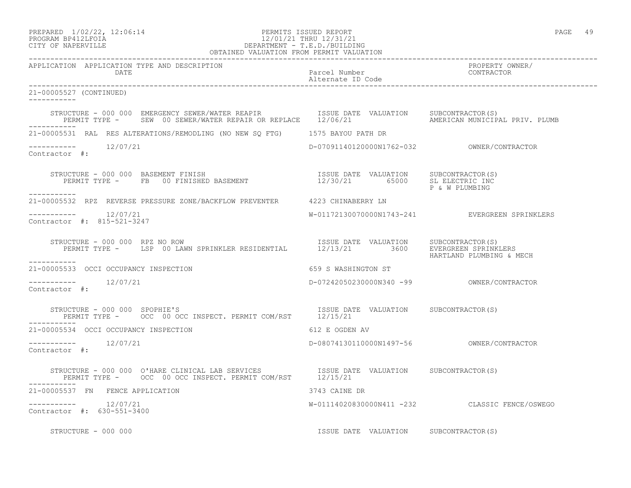## PREPARED 1/02/22, 12:06:14 PERMITS ISSUED REPORT<br>PROGRAM BP412LFOIA PAGE 49 PROGRAM BP412LFOIA 12/01/21 THRU 12/31/21 CITY OF NAPERVILLE DEPARTMENT - T.E.D./BUILDING

| OBTAINED VALUATION FROM PERMIT VALUATION                                                                                                                                                                                       |                                       |                                                |  |
|--------------------------------------------------------------------------------------------------------------------------------------------------------------------------------------------------------------------------------|---------------------------------------|------------------------------------------------|--|
| APPLICATION APPLICATION TYPE AND DESCRIPTION<br>DATE                                                                                                                                                                           | Parcel Number<br>Alternate ID Code    | PROPERTY OWNER/<br>CONTRACTOR                  |  |
| 21-00005527 (CONTINUED)<br>-----------                                                                                                                                                                                         |                                       |                                                |  |
| STRUCTURE - 000 000 EMERGENCY SEWER/WATER REAPIR             ISSUE DATE VALUATION     SUBCONTRACTOR(S)<br>PERMIT TYPE -     SEW 00 SEWER/WATER REPAIR OR REPLACE    12/06/21                       AMERICAN MUNICIPAL PRIV. PL |                                       | AMERICAN MUNICIPAL PRIV. PLUMB                 |  |
| 21-00005531 RAL RES ALTERATIONS/REMODLING (NO NEW SQ FTG) 1575 BAYOU PATH DR                                                                                                                                                   |                                       |                                                |  |
| $--------- 12/07/21$<br>Contractor #:                                                                                                                                                                                          |                                       |                                                |  |
| -----------                                                                                                                                                                                                                    |                                       | P & W PLUMBING                                 |  |
| 21-00005532 RPZ REVERSE PRESSURE ZONE/BACKFLOW PREVENTER 4223 CHINABERRY LN                                                                                                                                                    |                                       |                                                |  |
| -----------    12/07/21<br>Contractor #: 815-521-3247                                                                                                                                                                          |                                       | W-01172130070000N1743-241 EVERGREEN SPRINKLERS |  |
| TRUCTURE - 000 000 RPZ NO ROW <b>EXAMPLE SECULE SECULE SECULE EXALUATION</b> SUBCONTRACTOR(S)<br>PERMIT TYPE - LSP 00 LAWN SPRINKLER RESIDENTIAL 12/13/21 3600 EVERGREEN SPRINKLERS<br>STRUCTURE - 000 000 RPZ NO ROW          |                                       | HARTLAND PLUMBING & MECH                       |  |
| -----------<br>21-00005533 OCCI OCCUPANCY INSPECTION                                                                                                                                                                           | 659 S WASHINGTON ST                   |                                                |  |
| $--------- 12/07/21$<br>Contractor #:                                                                                                                                                                                          |                                       |                                                |  |
| STRUCTURE - 000 000 SPOPHIE'S<br>PERMIT TYPE - OCC 00 OCC INSPECT. PERMIT COM/RST 12/15/21                                                                                                                                     |                                       |                                                |  |
| 21-00005534 OCCI OCCUPANCY INSPECTION                                                                                                                                                                                          | 612 E OGDEN AV                        |                                                |  |
| -----------    12/07/21<br>Contractor #:                                                                                                                                                                                       |                                       |                                                |  |
| STRUCTURE - 000 000 O'HARE CLINICAL LAB SERVICES TSSUE DATE VALUATION SUBCONTRACTOR(S)<br>PERMIT TYPE - OCC 00 OCC INSPECT. PERMIT COM/RST 12/15/21                                                                            |                                       |                                                |  |
| 21-00005537 FN FENCE APPLICATION                                                                                                                                                                                               | 3743 CAINE DR                         |                                                |  |
| $--------- 12/07/21$<br>Contractor #: 630-551-3400                                                                                                                                                                             |                                       | W-01114020830000N411 -232 CLASSIC FENCE/OSWEGO |  |
| STRUCTURE - 000 000                                                                                                                                                                                                            | ISSUE DATE VALUATION SUBCONTRACTOR(S) |                                                |  |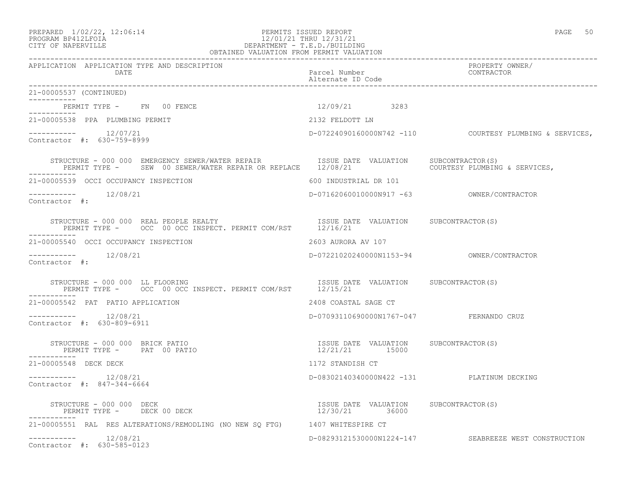## PROGRAM BP412LFOIA 12/01/21 THRU 12/31/21 CITY OF NAPERVILLE DEPARTMENT - T.E.D./BUILDING OBTAINED VALUATION FROM PERMIT VALUATION

| APPLICATION APPLICATION TYPE AND DESCRIPTION<br><b>DATE</b>                                                                                                        | Parcel Number<br>Alternate ID Code                      | PROPERTY OWNER/<br>CONTRACTOR                           |
|--------------------------------------------------------------------------------------------------------------------------------------------------------------------|---------------------------------------------------------|---------------------------------------------------------|
| 21-00005537 (CONTINUED)                                                                                                                                            |                                                         |                                                         |
| PERMIT TYPE - FN 00 FENCE<br>-----------                                                                                                                           | 12/09/21 3283                                           |                                                         |
| 21-00005538 PPA PLUMBING PERMIT                                                                                                                                    | 2132 FELDOTT LN                                         |                                                         |
| Contractor #: 630-759-8999                                                                                                                                         |                                                         | D-07224090160000N742 -110 COURTESY PLUMBING & SERVICES, |
|                                                                                                                                                                    |                                                         |                                                         |
| 21-00005539 OCCI OCCUPANCY INSPECTION                                                                                                                              | 600 INDUSTRIAL DR 101                                   |                                                         |
| Contractor #:                                                                                                                                                      |                                                         |                                                         |
| STRUCTURE - 000 000 REAL PEOPLE REALTY <b>1990 Example 2010</b> ISSUE DATE VALUATION SUBCONTRACTOR(S)<br>PERMIT TYPE - OCC 00 OCC INSPECT. PERMIT COM/RST 12/16/21 |                                                         |                                                         |
| 21-00005540 OCCI OCCUPANCY INSPECTION                                                                                                                              | 2603 AURORA AV 107                                      |                                                         |
| Contractor #:                                                                                                                                                      |                                                         |                                                         |
| STRUCTURE - 000 000 LL FLOORING<br>PERMIT TYPE - OCC 00 OCC INSPECT. PERMIT COM/RST 12/15/21<br>STRUCTURE - 000 000 LL FLOORING                                    |                                                         |                                                         |
| 21-00005542 PAT PATIO APPLICATION                                                                                                                                  | 2408 COASTAL SAGE CT                                    |                                                         |
| $--------- 12/08/21$<br>Contractor #: 630-809-6911                                                                                                                 | D-07093110690000N1767-047 FERNANDO CRUZ                 |                                                         |
| STRUCTURE - 000 000 BRICK PATIO<br>PERMIT TYPE - PAT 00 PATIO                                                                                                      | ISSUE DATE VALUATION SUBCONTRACTOR(S)<br>12/21/21 15000 |                                                         |
| 21-00005548 DECK DECK                                                                                                                                              | 1172 STANDISH CT                                        |                                                         |
| Contractor #: 847-344-6664                                                                                                                                         | D-08302140340000N422 -131 PLATINUM DECKING              |                                                         |
| STRUCTURE - 000 000 DECK<br>PERMIT TYPE - DECK 00 DECK                                                                                                             | ISSUE DATE VALUATION SUBCONTRACTOR(S)<br>12/30/21 36000 |                                                         |
| 21-00005551 RAL RES ALTERATIONS/REMODLING (NO NEW SQ FTG) 1407 WHITESPIRE CT                                                                                       |                                                         |                                                         |
| $--------- 12/08/21$<br>Contractor #: 630-585-0123                                                                                                                 |                                                         | D-08293121530000N1224-147 SEABREEZE WEST CONSTRUCTION   |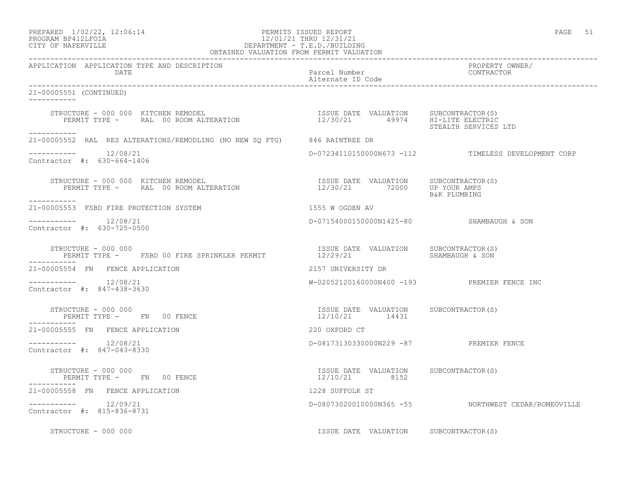## PREPARED  $1/02/22$ ,  $12:06:14$  PERMITS ISSUED REPORT PAGE 51 PROGRAM BP412LFOIA 12/01/21 THRU 12/31/21 CITY OF NAPERVILLE DEPARTMENT - T.E.D./BUILDING

| OBTAINED VALUATION FROM PERMIT VALUATION                                                                                                                                                                                                                                                                                                                         |                                                        |                                                     |  |
|------------------------------------------------------------------------------------------------------------------------------------------------------------------------------------------------------------------------------------------------------------------------------------------------------------------------------------------------------------------|--------------------------------------------------------|-----------------------------------------------------|--|
| APPLICATION APPLICATION TYPE AND DESCRIPTION<br>DATE                                                                                                                                                                                                                                                                                                             | Parcel Number<br>Alternate ID Code                     | PROPERTY OWNER/<br>CONTRACTOR                       |  |
| 21-00005551 (CONTINUED)<br>___________                                                                                                                                                                                                                                                                                                                           |                                                        |                                                     |  |
| STRUCTURE – 000 000 KITCHEN REMODEL<br>PERMIT TYPE – RAL 00 ROOM ALTERATION 12/30/21 49974 HI-LITE ELECTRIC                                                                                                                                                                                                                                                      |                                                        | STEALTH SERVICES LTD                                |  |
| -----------<br>21-00005552 RAL RES ALTERATIONS/REMODLING (NO NEW SQ FTG) 846 RAINTREE DR                                                                                                                                                                                                                                                                         |                                                        |                                                     |  |
| Contractor #: 630-664-1406                                                                                                                                                                                                                                                                                                                                       |                                                        | D-07234110150000N673 -112 TIMELESS DEVELOPMENT CORP |  |
| STRUCTURE – 000 000 KITCHEN REMODEL<br>PERMIT TYPE – RAL 00 ROOM ALTERATION 12/30/21 72000 UP YOUR ALTER<br>------------                                                                                                                                                                                                                                         |                                                        | B&K PLUMBING                                        |  |
| 21-00005553 FSBD FIRE PROTECTION SYSTEM                                                                                                                                                                                                                                                                                                                          | 1555 W OGDEN AV                                        |                                                     |  |
| $--------- 12/08/21$<br>Contractor #: 630-725-0500                                                                                                                                                                                                                                                                                                               | D-07154000150000N1425-80 SHAMBAUGH & SON               |                                                     |  |
|                                                                                                                                                                                                                                                                                                                                                                  | ISSUE DATE VALUATION SUBCONTRACTOR(S)                  |                                                     |  |
| 21-00005554 FN FENCE APPLICATION                                                                                                                                                                                                                                                                                                                                 | 2157 UNIVERSITY DR                                     |                                                     |  |
| -----------    12/08/21<br>Contractor #: 847-438-3630                                                                                                                                                                                                                                                                                                            | W-02052120160000N400 -193 PREMIER FENCE INC            |                                                     |  |
| $\begin{array}{cccc} \texttt{STRUCTURE} & - & 000 & 000 \\ \texttt{PERMIT} & \texttt{YPE} & - & \texttt{FN} \\ \end{array} \qquad \begin{array}{cccc} \texttt{OSUE} & \texttt{DATE} & \texttt{VALUATION} \\ & \texttt{12/10/21} & \texttt{14431} \\ \end{array} \qquad \begin{array}{cccc} \texttt{SUECOMTRACTOR(S)} & \texttt{SUECONTRACTOR(S)} \\ \end{array}$ |                                                        |                                                     |  |
| 21-00005555 FN FENCE APPLICATION                                                                                                                                                                                                                                                                                                                                 | 220 OXFORD CT                                          |                                                     |  |
| $--------- 12/08/21$<br>Contractor #: 847-043-8330                                                                                                                                                                                                                                                                                                               | D-08173130330000N229 -87 PREMIER FENCE                 |                                                     |  |
| STRUCTURE - 000 000<br>PERMIT TYPE -      FN    00 FENCE                                                                                                                                                                                                                                                                                                         | ISSUE DATE VALUATION SUBCONTRACTOR(S)<br>12/10/21 8152 |                                                     |  |
| 21-00005558 FN FENCE APPLICATION                                                                                                                                                                                                                                                                                                                                 | 1228 SUFFOLK ST                                        |                                                     |  |
| $--------- 12/09/21$<br>Contractor #: 815-836-8731                                                                                                                                                                                                                                                                                                               |                                                        | D-08073020010000N365 -55 NORTHWEST CEDAR/ROMEOVILLE |  |
| STRUCTURE - 000 000                                                                                                                                                                                                                                                                                                                                              | ISSUE DATE VALUATION SUBCONTRACTOR(S)                  |                                                     |  |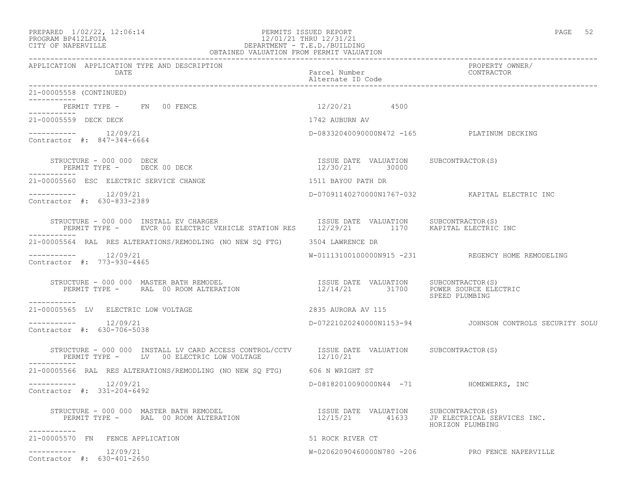## PREPARED  $1/02/22$ ,  $12:06:14$  PERMITS ISSUED REPORT PAGE 52 PROGRAM BP412LFOIA 12/01/21 THRU 12/31/21 CITY OF NAPERVILLE DEPARTMENT - T.E.D./BUILDING

| OBTAINED VALUATION FROM PERMIT VALUATION                                                                                                                                                                                                                                 |                                            |                                                         |  |
|--------------------------------------------------------------------------------------------------------------------------------------------------------------------------------------------------------------------------------------------------------------------------|--------------------------------------------|---------------------------------------------------------|--|
| APPLICATION APPLICATION TYPE AND DESCRIPTION<br>DATE                                                                                                                                                                                                                     | Parcel Number<br>Alternate ID Code         | PROPERTY OWNER/<br>CONTRACTOR                           |  |
| 21-00005558 (CONTINUED)<br>___________                                                                                                                                                                                                                                   |                                            |                                                         |  |
| PERMIT TYPE - FN 00 FENCE<br>------------                                                                                                                                                                                                                                | $12/20/21$ 4500                            |                                                         |  |
| 21-00005559 DECK DECK                                                                                                                                                                                                                                                    | 1742 AUBURN AV                             |                                                         |  |
| $--------- 12/09/21$<br>Contractor #: 847-344-6664                                                                                                                                                                                                                       | D-08332040090000N472 -165 PLATINUM DECKING |                                                         |  |
|                                                                                                                                                                                                                                                                          | ISSUE DATE VALUATION SUBCONTRACTOR(S)      |                                                         |  |
| 21-00005560 ESC ELECTRIC SERVICE CHANGE                                                                                                                                                                                                                                  | 1511 BAYOU PATH DR                         |                                                         |  |
| $--------- 12/09/21$<br>Contractor #: 630-833-2389                                                                                                                                                                                                                       |                                            | D-07091140270000N1767-032 KAPITAL ELECTRIC INC          |  |
| STRUCTURE - 000 000 INSTALL EV CHARGER<br>STRUCTURE – 000 000 INSTALL EV CHARGER                                ISSUE DATE VALUATION     SUBCONTRACTOR(S)<br>PERMIT TYPE –      EVCR 00 ELECTRIC VEHICLE STATION RES      12/29/21         1170     KAPITAL ELECTRIC INC |                                            |                                                         |  |
| 21-00005564 RAL RES ALTERATIONS/REMODLING (NO NEW SQ FTG) 3504 LAWRENCE DR                                                                                                                                                                                               |                                            |                                                         |  |
| $--------- 12/09/21$<br>Contractor #: 773-930-4465                                                                                                                                                                                                                       |                                            | W-01113100100000N915 -231 REGENCY HOME REMODELING       |  |
| $\begin{array}{cccc} \texttt{STRUCTURE} & - & 000 & 000 & \texttt{MASTER BATH REMODEL} \\ \texttt{PERMIT TYPE} & - & \texttt{RAL} & 00\texttt{ ROM ALTERATION} & \texttt{SUSUR} & 12/14/21 & 31700 & \texttt{POWER SOURCE ELECTRIC} \end{array}$<br>___________          |                                            | SPEED PLUMBING                                          |  |
| 21-00005565 LV ELECTRIC LOW VOLTAGE                                                                                                                                                                                                                                      | 2835 AURORA AV 115                         |                                                         |  |
| $--------$ 12/09/21<br>Contractor #: 630-706-5038                                                                                                                                                                                                                        |                                            | D-07221020240000N1153-94 JOHNSON CONTROLS SECURITY SOLU |  |
| STRUCTURE – 000 000 INSTALL LV CARD ACCESS CONTROL/CCTV      ISSUE DATE VALUATION     SUBCONTRACTOR(S)     PERMIT TYPE –     LV   00 ELECTRIC LOW VOLTAGE        12/10/21                                                                                                |                                            |                                                         |  |
| 21-00005566 RAL RES ALTERATIONS/REMODLING (NO NEW SQ FTG) 606 N WRIGHT ST                                                                                                                                                                                                |                                            |                                                         |  |
| 12/09/21<br>Contractor #: 331-204-6492                                                                                                                                                                                                                                   | D-08182010090000N44 -71 HOMEWERKS, INC     |                                                         |  |
| STRUCTURE – 000 000 MASTER BATH REMODEL<br>PERMIT TYPE –     RAL 00 ROOM ALTERATION                          12/15/21      41633    JP ELECTRICAL SERVICES INC.<br>STRUCTURE - 000 000 MASTER BATH REMODEL                                                               |                                            | HORIZON PLUMBING                                        |  |
| 21-00005570 FN FENCE APPLICATION                                                                                                                                                                                                                                         | 51 ROCK RIVER CT                           |                                                         |  |
| 12/09/21<br>___________<br>Contractor #: 630-401-2650                                                                                                                                                                                                                    |                                            | W-02062090460000N780 -206 PRO FENCE NAPERVILLE          |  |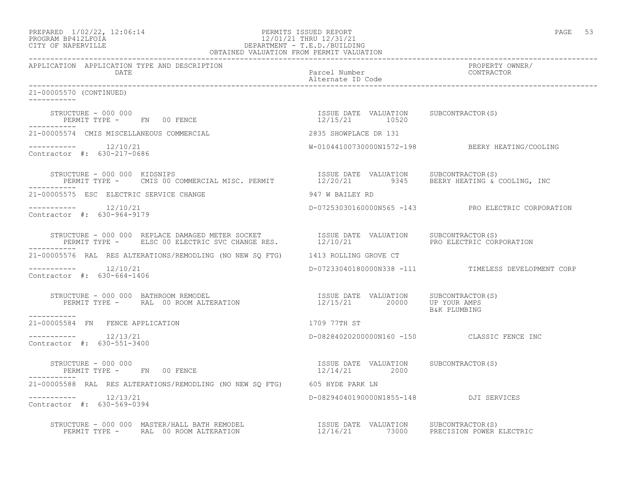### PREPARED  $1/02/22$ ,  $12:06:14$  PERMITS ISSUED REPORT PAGE 53 PROGRAM BP412LFOIA 12/01/21 THRU 12/31/21 CITY OF NAPERVILLE DEPARTMENT - T.E.D./BUILDING OBTAINED VALUATION FROM PERMIT VALUATION

------------------------------------------------------------------------------------------------------------------------------------ APPLICATION APPLICATION TYPE AND DESCRIPTION PROPERTY OWNER/ Parcel Number Alternate ID Code ------------------------------------------------------------------------------------------------------------------------------------ 21-00005570 (CONTINUED) ----------- STRUCTURE - 000 000 ISSUE DATE VALUATION SUBCONTRACTOR(S) PERMIT TYPE - FN 00 FENCE ----------- 21-00005574 CMIS MISCELLANEOUS COMMERCIAL 2835 SHOWPLACE DR 131 ----------- 12/10/21 12/10/21 M-01044100730000N1572-198 BEERY HEATING/COOLING Contractor #: 630-217-0686 STRUCTURE - 000 000 KIDSNIPS ISSUE DATE VALUATION SUBCONTRACTOR(S) PERMIT TYPE - CMIS 00 COMMERCIAL MISC. PERMIT 12/20/21 9345 BEERY HEATING & COOLING, INC ----------- 21-00005575 ESC ELECTRIC SERVICE CHANGE 947 W BAILEY RD ----------- 12/10/21 D-07253030160000N565 -143 PRO ELECTRIC CORPORATION Contractor #: 630-964-9179 STRUCTURE - 000 000 REPLACE DAMAGED METER SOCKET ISSUE DATE VALUATION SUBCONTRACTOR(S) PERMIT TYPE - ELSC 00 ELECTRIC SVC CHANGE RES.  $12/10/21$  PRO ELECTRIC CORPORATION ----------- 21-00005576 RAL RES ALTERATIONS/REMODLING (NO NEW SQ FTG) 1413 ROLLING GROVE CT ----------- 12/10/21 D-07233040180000N338 -111 TIMELESS DEVELOPMENT CORP Contractor #: 630-664-1406 STRUCTURE - 000 000 BATHROOM REMODEL ISSUE DATE VALUATION SUBCONTRACTOR(S) PERMIT TYPE - RAL 00 ROOM ALTERATION 12/15/21 20000 UP YOUR AMPS B&K PLUMBING ----------- 21-00005584 FN FENCE APPLICATION 1709 77TH ST  $--------- 12/13/21$ ----------- 12/13/21 D-08284020200000N160 -150 CLASSIC FENCE INC Contractor #: 630-551-3400 STRUCTURE - 000 000 ISSUE DATE VALUATION SUBCONTRACTOR(S) PERMIT TYPE - FN 00 FENCE ----------- 21-00005588 RAL RES ALTERATIONS/REMODLING (NO NEW SQ FTG) 605 HYDE PARK LN ----------- 12/13/21 D-08294040190000N1855-148 DJI SERVICES Contractor #: 630-569-0394 STRUCTURE - 000 000 MASTER/HALL BATH REMODEL ISSUE DATE VALUATION SUBCONTRACTOR(S) PERMIT TYPE - RAL 00 ROOM ALTERATION 12/16/21 73000 PRECISION POWER ELECTRIC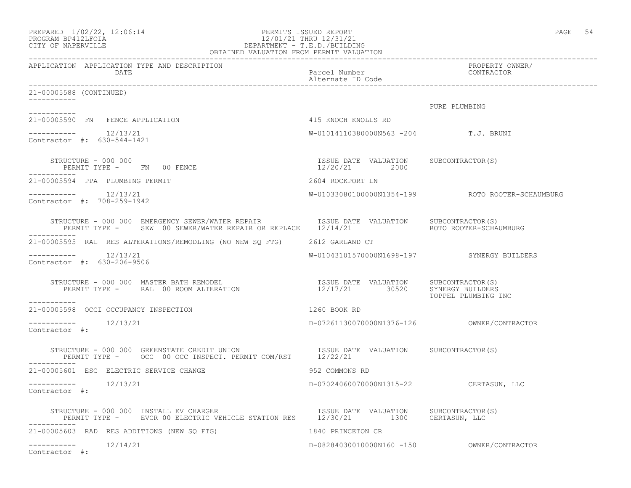| PREPARED | $1/02/22$ , $12:06:14$ |  |
|----------|------------------------|--|
|          | PROGRAM BP412LFOIA     |  |

### PERMITS ISSUED REPORT **PAGE 102:06:22, 12:06:22:06:22:06:22:06:22:06:22:06:22:06:06:06:06:06:06:06:06:06:06:06:0** PROGRAM BP412LFOIA  $12/01/21$  THRU  $12/31/21$  CITY OF NAPERVILLE DEPARTMENT - T.E.D./BUILDING OBTAINED VALUATION FROM PERMIT VALUATION

------------------------------------------------------------------------------------------------------------------------------------

APPLICATION APPLICATION TYPE AND DESCRIPTION PROPERTY OWNER/ DATE **Parcel Number** Parcel Number Alternate ID Code ------------------------------------------------------------------------------------------------------------------------------------ 21-00005588 (CONTINUED) ----------- PURE PLUMBING ----------- 21-00005590 FN FENCE APPLICATION 415 KNOCH KNOLLS RD  $--------- 12/13/21$ W-01014110380000N563 -204 T.J. BRUNI Contractor #: 630-544-1421 STRUCTURE - 000 000 ISSUE DATE VALUATION SUBCONTRACTOR(S) PERMIT TYPE - FN 00 FENCE ----------- 21-00005594 PPA PLUMBING PERMIT 2604 ROCKPORT LN ----------- 12/13/21 W-01033080100000N1354-199 ROTO ROOTER-SCHAUMBURG Contractor #: 708-259-1942 STRUCTURE - 000 000 EMERGENCY SEWER/WATER REPAIR ISSUE DATE VALUATION SUBCONTRACTOR(S) PERMIT TYPE - SEW 00 SEWER/WATER REPAIR OR REPLACE 12/14/21 ----------- 21-00005595 RAL RES ALTERATIONS/REMODLING (NO NEW SQ FTG) 2612 GARLAND CT ----------- 12/13/21 W-01043101570000N1698-197 SYNERGY BUILDERS Contractor #: 630-206-9506 STRUCTURE - 000 000 MASTER BATH REMODEL ISSUE DATE VALUATION SUBCONTRACTOR(S) PERMIT TYPE - RAL 00 ROOM ALTERATION 12/17/21 30520 SYNERGY BUILDERS TOPPEL PLUMBING INC ----------- 21-00005598 OCCI OCCUPANCY INSPECTION 1260 BOOK RD  $--------- 12/13/21$ ----------- 12/13/21 D-07261130070000N1376-126 OWNER/CONTRACTOR Contractor #: STRUCTURE - 000 000 GREENSTATE CREDIT UNION **ISSUE DATE** VALUATION SUBCONTRACTOR(S) PERMIT TYPE - OCC 00 OCC INSPECT. PERMIT COM/RST 12/22/21 ----------- 21-00005601 ESC ELECTRIC SERVICE CHANGE 952 COMMONS RD ----------- 12/13/21 D-07024060070000N1315-22 CERTASUN, LLC Contractor #: STRUCTURE - 000 000 INSTALL EV CHARGER ISSUE DATE VALUATION SUBCONTRACTOR(S) PERMIT TYPE - EVCR 00 ELECTRIC VEHICLE STATION RES 12/30/21 1300 CERTASUN, LLC ----------- 21-00005603 RAD RES ADDITIONS (NEW SQ FTG) 1840 PRINCETON CR ----------- 12/14/21 D-08284030010000N160 -150 OWNER/CONTRACTOR Contractor #: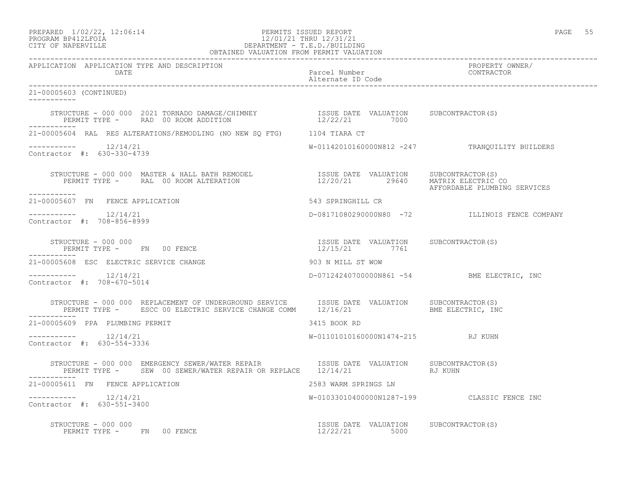## PREPARED  $1/02/22$ ,  $12:06:14$  PERMITS ISSUED REPORT PAGE 55 PROGRAM BP412LFOIA 12/01/21 THRU 12/31/21 CITY OF NAPERVILLE DEPARTMENT - T.E.D./BUILDING

| OBTAINED VALUATION FROM PERMIT VALUATION                                                                                                                                                                                                   |                                                        |                                                |  |
|--------------------------------------------------------------------------------------------------------------------------------------------------------------------------------------------------------------------------------------------|--------------------------------------------------------|------------------------------------------------|--|
| APPLICATION APPLICATION TYPE AND DESCRIPTION<br>DATE                                                                                                                                                                                       | Parcel Number<br>Alternate ID Code                     | PROPERTY OWNER/<br>CONTRACTOR                  |  |
| 21-00005603 (CONTINUED)<br>___________                                                                                                                                                                                                     |                                                        |                                                |  |
|                                                                                                                                                                                                                                            |                                                        |                                                |  |
| 21-00005604 RAL RES ALTERATIONS/REMODLING (NO NEW SQ FTG) 1104 TIARA CT                                                                                                                                                                    |                                                        |                                                |  |
| $--------$ 12/14/21<br>Contractor #: 630-330-4739                                                                                                                                                                                          |                                                        | W-01142010160000N812 -247 TRANQUILITY BUILDERS |  |
| STRUCTURE - 000 000 MASTER & HALL BATH REMODEL                  ISSUE DATE VALUATION     SUBCONTRACTOR(S)<br>PERMIT TYPE -      RAL  00 ROOM ALTERATION                        12/20/21        29640    MATRIX ELECTRIC CO<br>------------ |                                                        | AFFORDABLE PLUMBING SERVICES                   |  |
| 21-00005607 FN FENCE APPLICATION                                                                                                                                                                                                           | 543 SPRINGHILL CR                                      |                                                |  |
| Contractor #: 708-856-8999                                                                                                                                                                                                                 |                                                        | D-08171080290000N80 -72 ILLINOIS FENCE COMPANY |  |
| STRUCTURE - 000 000<br>PERMIT TYPE - FN 00 FENCE                                                                                                                                                                                           | ISSUE DATE VALUATION SUBCONTRACTOR(S)<br>12/15/21 7761 |                                                |  |
| 21-00005608 ESC ELECTRIC SERVICE CHANGE                                                                                                                                                                                                    | 903 N MILL ST WOW                                      |                                                |  |
| Contractor #: 708-670-5014                                                                                                                                                                                                                 |                                                        | D-07124240700000N861 -54 BME ELECTRIC, INC     |  |
|                                                                                                                                                                                                                                            |                                                        |                                                |  |
| 21-00005609 PPA PLUMBING PERMIT                                                                                                                                                                                                            | 3415 BOOK RD                                           |                                                |  |
| $--------- 12/14/21$<br>Contractor #: 630-554-3336                                                                                                                                                                                         | W-01101010160000N1474-215 RJ KUHN                      |                                                |  |
| STRUCTURE - 000 000 EMERGENCY SEWER/WATER REPAIR TSSUE DATE VALUATION SUBCONTRACTOR(S)<br>PERMIT TYPE - SEW 00 SEWER/WATER REPAIR OR REPLACE 12/14/21 RJ KUHN                                                                              |                                                        |                                                |  |
| 21-00005611 FN FENCE APPLICATION                                                                                                                                                                                                           | 2583 WARM SPRINGS LN                                   |                                                |  |
| $--------$ 12/14/21<br>Contractor #: 630-551-3400                                                                                                                                                                                          |                                                        | W-01033010400000N1287-199 CLASSIC FENCE INC    |  |
| STRUCTURE - 000 000<br>RUCTURE - 000 000<br>PERMIT TYPE -     FN   00 FENCE                                                                                                                                                                | ISSUE DATE VALUATION SUBCONTRACTOR(S)<br>12/22/21 5000 |                                                |  |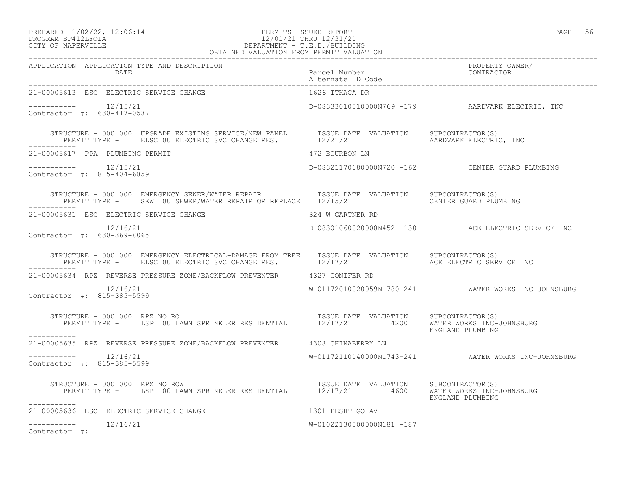### PREPARED  $1/02/22$ ,  $12:06:14$  PERMITS ISSUED REPORT PAGE 56 PROGRAM BP412LFOIA 12/01/21 THRU 12/31/21 CITY OF NAPERVILLE DEPARTMENT - T.E.D./BUILDING OBTAINED VALUATION FROM PERMIT VALUATION

| 21-00005613 ESC ELECTRIC SERVICE CHANGE                                                                                                                                                         | 1626 ITHACA DR            |                                                     |
|-------------------------------------------------------------------------------------------------------------------------------------------------------------------------------------------------|---------------------------|-----------------------------------------------------|
| Contractor #: 630-417-0537                                                                                                                                                                      |                           | D-08333010510000N769 -179 AARDVARK ELECTRIC, INC    |
| STRUCTURE - 000 000 UPGRADE EXISTING SERVICE/NEW PANEL ISSUE DATE VALUATION SUBCONTRACTOR(S)<br>PERMIT TYPE - ELSC 00 ELECTRIC SVC CHANGE RES. 12/21/21 AARDVARK ELECTRIC, INC                  |                           |                                                     |
| 21-00005617 PPA PLUMBING PERMIT                                                                                                                                                                 | 472 BOURBON LN            |                                                     |
| $--------- 12/15/21$<br>Contractor #: 815-404-6859                                                                                                                                              |                           | D-08321170180000N720 -162 CENTER GUARD PLUMBING     |
|                                                                                                                                                                                                 |                           |                                                     |
| 21-00005631 ESC ELECTRIC SERVICE CHANGE                                                                                                                                                         | 324 W GARTNER RD          |                                                     |
| $--------- 12/16/21$<br>Contractor #: 630-369-8065                                                                                                                                              |                           | D-08301060020000N452 -130 ACE ELECTRIC SERVICE INC  |
| STRUCTURE - 000 000 EMERGENCY ELECTRICAL-DAMAGE FROM TREE ISSUE DATE VALUATION SUBCONTRACTOR(S)<br>PERMIT TYPE - ELSC 00 ELECTRIC SVC CHANGE RES. 12/17/21 ACE ELECTRIC SERVICE INC             |                           |                                                     |
| 21-00005634 RPZ REVERSE PRESSURE ZONE/BACKFLOW PREVENTER 4327 CONIFER RD                                                                                                                        |                           |                                                     |
| -----------    12/16/21<br>Contractor #: 815-385-5599                                                                                                                                           |                           | W-01172010020059N1780-241 WATER WORKS INC-JOHNSBURG |
| RUCTURE - 000 000 RPZ NO RO<br>PERMIT TYPE - LSP 00 LAWN SPRINKLER RESIDENTIAL 12/17/21 4200 WALUATION SUBCONTRACTOR(S)<br>STRUCTURE - 000 000 RPZ NO RO<br>-----------                         |                           | ENGLAND PLUMBING                                    |
| 21-00005635 RPZ REVERSE PRESSURE ZONE/BACKFLOW PREVENTER 4308 CHINABERRY LN                                                                                                                     |                           |                                                     |
| $--------- 12/16/21$<br>Contractor #: 815-385-5599                                                                                                                                              |                           | W-01172110140000N1743-241 WATER WORKS INC-JOHNSBURG |
| STRUCTURE - 000 000 RPZ NO ROW<br>PERMIT TYPE - LSP 00 LAWN SPRINKLER RESIDENTIAL 12/17/21 4600 WATER WORKS INC-JOHNSBURG<br>ENGLAND PLUMBING<br>STRUCTURE - 000 000 RPZ NO ROW<br>------------ |                           |                                                     |
| 1301 PESHTIGO AV<br>21-00005636 ESC ELECTRIC SERVICE CHANGE                                                                                                                                     |                           |                                                     |
| $--------- 12/16/21$<br>Contractor #:                                                                                                                                                           | W-01022130500000N181 -187 |                                                     |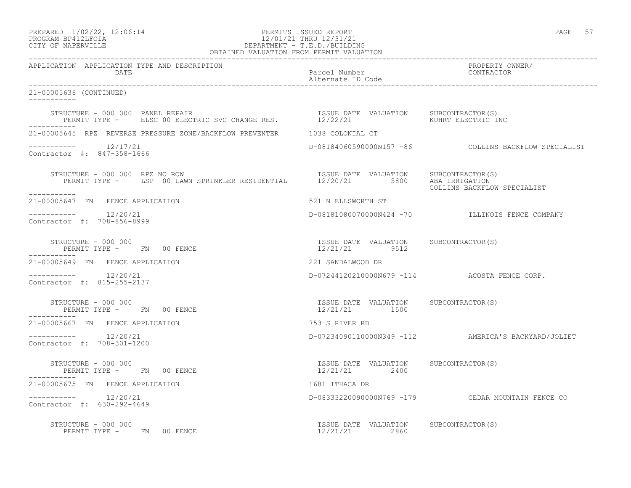### PREPARED  $1/02/22$ ,  $12:06:14$  PERMITS ISSUED REPORT PAGE 57 PROGRAM BP412LFOIA 12/01/21 THRU 12/31/21 CITY OF NAPERVILLE DEPARTMENT - T.E.D./BUILDING OBTAINED VALUATION FROM PERMIT VALUATION

------------------------------------------------------------------------------------------------------------------------------------ APPLICATION APPLICATION TYPE AND DESCRIPTION PROPERTY OWNER/ DATE Parcel Number Contractor Contractor Contractor Contractor Contractor Contractor Contractor Contractor Contractor Contractor Contractor Contractor Contractor Contractor Contractor Contractor Contractor Contractor Contr Alternate ID Code ------------------------------------------------------------------------------------------------------------------------------------ 21-00005636 (CONTINUED) ----------- STRUCTURE - 000 000 PANEL REPAIR ISSUE DATE VALUATION SUBCONTRACTOR(S) PERMIT TYPE - ELSC 00 ELECTRIC SVC CHANGE RES. 12/22/21 6 6 6 6 6 6 6 6 6 6 6 6 6 6 6 6 6 6 7 6 6 7 7 8 7 7 8 7 7 8 7 7 8 7 7 8 7 7 8 7 7 8 7 7 8 7 7 8 7 7 8 7 7 8 7 7 8 7 7 8 7 7 8 7 7 8 7 7 8 7 7 8 7 7 8 7 7 8 7 7 8 7 7 ----------- 21-00005645 RPZ REVERSE PRESSURE ZONE/BACKFLOW PREVENTER 1038 COLONIAL CT ----------- 12/17/21 D-08184060590000N157 -86 COLLINS BACKFLOW SPECIALIST Contractor #: 847-358-1666 STRUCTURE - 000 000 RPZ NO ROW ISSUE DATE VALUATION SUBCONTRACTOR(S) PERMIT TYPE - LSP 00 LAWN SPRINKLER RESIDENTIAL 12/20/21 5800 ABA IRRIGATION COLLINS BACKFLOW SPECIALIST ----------- 21-00005647 FN FENCE APPLICATION 521 N ELLSWORTH ST ---------------------- 12/20/21 D-08181080070000N424 -70 ILLINOIS FENCE COMPANY Contractor #: 708-856-8999 STRUCTURE - 000 000 ISSUE DATE VALUATION SUBCONTRACTOR(S) PERMIT TYPE - FN 00 FENCE ----------- 21-00005649 FN FENCE APPLICATION 221 SANDALWOOD DR ----------- 12/20/21 D-07244120210000N679 -114 ACOSTA FENCE CORP. Contractor #: 815-255-2137 STRUCTURE - 000 000 ISSUE DATE VALUATION SUBCONTRACTOR(S) PERMIT TYPE - FN 00 FENCE ----------- 21-00005667 FN FENCE APPLICATION 753 S RIVER RD ----------- 12/20/21 D-07234090110000N349 -112 AMERICA'S BACKYARD/JOLIET Contractor #: 708-301-1200 STRUCTURE - 000 000 ISSUE DATE VALUATION SUBCONTRACTOR(S) PERMIT TYPE - FN 00 FENCE ----------- 21-00005675 FN FENCE APPLICATION 1681 ITHACA DR ----------- 12/20/21 D-08333220090000N769 -179 CEDAR MOUNTAIN FENCE CO Contractor #: 630-292-4649 STRUCTURE - 000 000 ISSUE DATE VALUATION SUBCONTRACTOR(S) PERMIT TYPE - FN 00 FENCE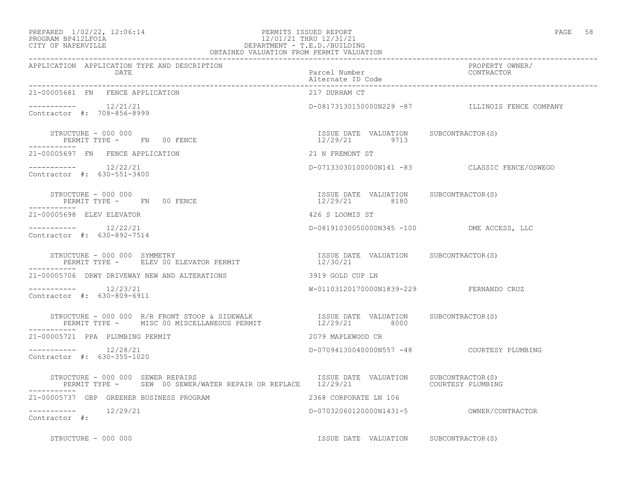### PREPARED  $1/02/22$ ,  $12:06:14$  PERMITS ISSUED REPORT PAGE 58 PROGRAM BP412LFOIA 12/01/21 THRU 12/31/21 CITY OF NAPERVILLE DEPARTMENT - T.E.D./BUILDING OBTAINED VALUATION FROM PERMIT VALUATION

| APPLICATION APPLICATION TYPE AND DESCRIPTION<br>DATE                                                                                                                                                | PROPERTY OWNER/<br>Parcel Number<br>Alternate ID Code<br>-----------   |                                                 |
|-----------------------------------------------------------------------------------------------------------------------------------------------------------------------------------------------------|------------------------------------------------------------------------|-------------------------------------------------|
| 21-00005681 FN FENCE APPLICATION                                                                                                                                                                    | 217 DURHAM CT                                                          |                                                 |
| $--------- 12/21/21$<br>Contractor #: 708-856-8999                                                                                                                                                  |                                                                        | D-08173130150000N229 -87 ILLINOIS FENCE COMPANY |
| STRUCTURE - 000 000<br>PERMIT TYPE - FN 00 FENCE                                                                                                                                                    | ISSUE DATE VALUATION SUBCONTRACTOR(S)<br>$\frac{15552}{12/29/21}$ 9713 |                                                 |
| 21-00005697 FN FENCE APPLICATION                                                                                                                                                                    | 21 N FREMONT ST                                                        |                                                 |
| $--------- 12/22/21$<br>Contractor #: 630-551-3400                                                                                                                                                  |                                                                        | D-07133030100000N141 -83 CLASSIC FENCE/OSWEGO   |
| STRUCTURE - 000 000<br>PERMIT TYPE - FN 00 FENCE                                                                                                                                                    | ISSUE DATE VALUATION SUBCONTRACTOR(S)<br>12/29/21 8180                 |                                                 |
| 21-00005698 ELEV ELEVATOR                                                                                                                                                                           | 426 S LOOMIS ST                                                        |                                                 |
| $--------- 12/22/21$<br>Contractor #: 630-892-7514                                                                                                                                                  | D-08191030050000N345 -100 DME ACCESS, LLC                              |                                                 |
| STRUCTURE - 000 000 SYMMETRY                                                                                                                                                                        |                                                                        |                                                 |
| 21-00005706 DRWY DRIVEWAY NEW AND ALTERATIONS                                                                                                                                                       | 3919 GOLD CUP LN                                                       |                                                 |
| $--------- 12/23/21$<br>Contractor #: 630-809-6911                                                                                                                                                  | W-01103120170000N1839-229 FERNANDO CRUZ                                |                                                 |
| STRUCTURE - 000 000 R/R FRONT STOOP & SIDEWALK                  ISSUE DATE VALUATION     SUBCONTRACTOR(S)<br>PERMIT TYPE -     MISC 00 MISCELLANEOUS PERMIT                   12/29/21         8000 |                                                                        |                                                 |
| 21-00005721 PPA PLUMBING PERMIT                                                                                                                                                                     | 2079 MAPLEWOOD CR                                                      |                                                 |
| $--------- 12/28/21$<br>Contractor #: 630-355-1020                                                                                                                                                  | D-07094130040000N557 -48 COURTESY PLUMBING                             |                                                 |
| STRUCTURE - 000 000 SEWER REPAIRS STRUCTURE TO THE VALUATION SUBCONTRACTOR(S)<br>PERMIT TYPE - SEW 00 SEWER/WATER REPAIR OR REPLACE 12/29/21                                                        |                                                                        | COURTESY PLUMBING                               |
| 21-00005737 GBP GREENER BUSINESS PROGRAM                                                                                                                                                            | 2368 CORPORATE LN 106                                                  |                                                 |
| $--------- 12/29/21$<br>Contractor #:                                                                                                                                                               |                                                                        |                                                 |
| STRUCTURE - 000 000                                                                                                                                                                                 | ISSUE DATE VALUATION SUBCONTRACTOR(S)                                  |                                                 |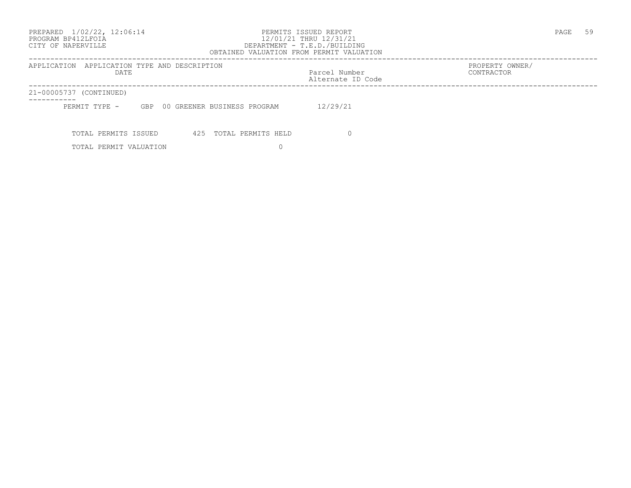# PROGRAM BP412LFOIA 12/01/21 THRU 12/31/21 CITY OF NAPERVILLE DEPARTMENT - T.E.D./BUILDING

 OBTAINED VALUATION FROM PERMIT VALUATION ------------------------------------------------------------------------------------------------------------------------------------ APPLICATION APPLICATION TYPE AND DESCRIPTION<br>DATE DATE DATE DATE DATE DATE DATE Parcel Number CONTRACTOR Alternate ID Code ------------------------------------------------------------------------------------------------------------------------------------ 21-00005737 (CONTINUED) ----------- PERMIT TYPE - GBP 00 GREENER BUSINESS PROGRAM 12/29/21 TOTAL PERMITS ISSUED 425 TOTAL PERMITS HELD 0 TOTAL PERMIT VALUATION 0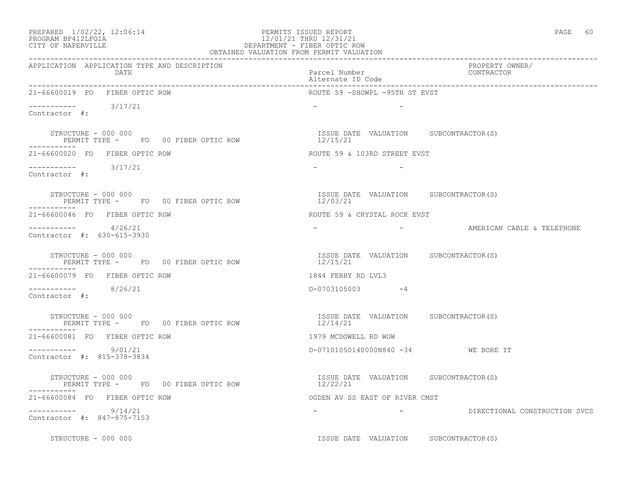# PROGRAM BP412LFOIA 12/01/21 THRU 12/31/21 CITY OF NAPERVILLE DEPARTMENT - FIBER OPTIC ROW

|                                                                            | OBTAINED VALUATION FROM PERMIT VALUATION           |                                 |
|----------------------------------------------------------------------------|----------------------------------------------------|---------------------------------|
| APPLICATION APPLICATION TYPE AND DESCRIPTION<br>DATE                       | Parcel Number<br>Alternate ID Code                 | PROPERTY OWNER/<br>CONTRACTOR   |
| 21-66600019 FO FIBER OPTIC ROW                                             | ROUTE 59 -SHOWPL -95TH ST EVST                     |                                 |
| $--------- 3/17/21$<br>Contractor #:                                       |                                                    |                                 |
| STRUCTURE - 000 000                                                        | ISSUE DATE VALUATION SUBCONTRACTOR(S)              |                                 |
| 21-66600020 FO FIBER OPTIC ROW                                             | ROUTE 59 & 103RD STREET EVST                       |                                 |
| $--------- 3/17/21$<br>Contractor #:                                       | $ -$<br>$\sim$ $-$                                 |                                 |
| STRUCTURE - 000 000<br>PERMIT TYPE - FO 00 FIBER OPTIC ROW<br>-----------  | ISSUE DATE VALUATION SUBCONTRACTOR(S)<br>12/03/21  |                                 |
| 21-66600046 FO FIBER OPTIC ROW                                             | ROUTE 59 & CRYSTAL ROCK EVST                       |                                 |
| $       4/26/21$<br>Contractor #: 630-615-3930                             |                                                    | - AMERICAN CABLE & TELEPHONE    |
| STRUCTURE - 000 000<br>PERMIT TYPE - FOOO FIBER OPTIC ROW                  | ISSUE DATE VALUATION SUBCONTRACTOR(S)<br>12/15/21  |                                 |
| 21-66600079 FO FIBER OPTIC ROW                                             | 1844 FERRY RD LVL3                                 |                                 |
| $--------- 8/26/21$<br>Contractor #:                                       | D-0703105003 -4                                    |                                 |
| STRUCTURE - 000 000<br>PERMIT TYPE - FO 00 FIBER OPTIC ROW<br>------------ | ISSUE DATE VALUATION SUBCONTRACTOR(S)<br>12/14/21  |                                 |
| 21-66600081 FO FIBER OPTIC ROW                                             | 1979 MCDOWELL RD WOW                               |                                 |
| $--------- 9/01/21$<br>Contractor #: 815-378-3834                          | D-07101050140000N840 -34 WE BORE IT                |                                 |
| STRUCTURE - 000 000<br>PERMIT TYPE - FO 00 FIBER OPTIC ROW                 | ISSUE DATE VALUATION SUBCONTRACTOR (S)<br>12/22/21 |                                 |
| 21-66600084 FO FIBER OPTIC ROW                                             | OGDEN AV SS EAST OF RIVER CMST                     |                                 |
| 9/14/21<br>Contractor #: 847-875-7153                                      |                                                    | - BIRECTIONAL CONSTRUCTION SVCS |
| STRUCTURE - 000 000                                                        | ISSUE DATE VALUATION SUBCONTRACTOR(S)              |                                 |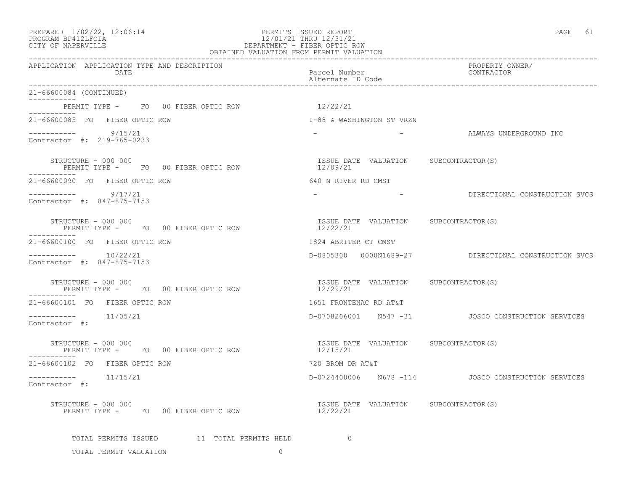### PREPARED  $1/02/22$ ,  $12:06:14$  PERMITS ISSUED REPORT PAGE 61 PROGRAM BP412LFOIA 12/01/21 THRU 12/31/21 CITY OF NAPERVILLE DEPARTMENT - FIBER OPTIC ROW OBTAINED VALUATION FROM PERMIT VALUATION

| APPLICATION APPLICATION TYPE AND DESCRIPTION<br>DATE                               | Parcel Number<br>Alternate ID Code                | PROPERTY OWNER/<br>CONTRACTOR                              |
|------------------------------------------------------------------------------------|---------------------------------------------------|------------------------------------------------------------|
| 21-66600084 (CONTINUED)                                                            |                                                   |                                                            |
| PERMIT TYPE - FO 00 FIBER OPTIC ROW 12/22/21                                       |                                                   |                                                            |
| 21-66600085 FO FIBER OPTIC ROW                                                     | I-88 & WASHINGTON ST VRZN                         |                                                            |
| $--------- 9/15/21$<br>Contractor #: 219-765-0233                                  |                                                   | -                                   ALWAYS UNDERGROUND INC |
| STRUCTURE - 000 000<br>PERMIT TYPE - FO 00 FIBER OPTIC ROW                         | ISSUE DATE VALUATION SUBCONTRACTOR(S)<br>12/09/21 |                                                            |
| 21-66600090 FO FIBER OPTIC ROW                                                     | 640 N RIVER RD CMST                               |                                                            |
| $--------- 9/17/21$<br>Contractor #: 847-875-7153                                  |                                                   | DIRECTIONAL CONSTRUCTION SVCS                              |
| STRUCTURE - 000 000<br>PERMIT TYPE - FO 00 FIBER OPTIC ROW<br>-----------          | ISSUE DATE VALUATION SUBCONTRACTOR(S)<br>12/22/21 |                                                            |
| 21-66600100 FO FIBER OPTIC ROW                                                     | 1824 ABRITER CT CMST                              |                                                            |
| $--------- 10/22/21$<br>Contractor #: 847-875-7153                                 |                                                   | D-0805300  0000N1689-27  DIRECTIONAL CONSTRUCTION SVCS     |
| STRUCTURE - 000 000<br>PERMIT TYPE - FO 00 FIBER OPTIC ROW<br>۲EK<br>------------  | ISSUE DATE VALUATION SUBCONTRACTOR(S)<br>12/29/21 |                                                            |
| 21-66600101 FO FIBER OPTIC ROW                                                     | 1651 FRONTENAC RD AT&T                            |                                                            |
| $--------- 11/05/21$<br>Contractor #:                                              |                                                   | D-0708206001 N547 -31 JOSCO CONSTRUCTION SERVICES          |
| STRUCTURE - 000 000<br>PERMIT TYPE - FO 00 FIBER OPTIC ROW                         | ISSUE DATE VALUATION SUBCONTRACTOR(S)<br>12/15/21 |                                                            |
| 21-66600102 FO FIBER OPTIC ROW                                                     | 720 BROM DR AT&T                                  |                                                            |
| $------- 11/15/21$<br>Contractor $\#$ :                                            |                                                   | D-0724400006 N678 -114 JOSCO CONSTRUCTION SERVICES         |
| STRUCTURE - 000 000<br>PERMIT TYPE - FO 00 FIBER OPTIC ROW                         | ISSUE DATE VALUATION SUBCONTRACTOR(S)<br>12/22/21 |                                                            |
| TOTAL PERMITS ISSUED 11 TOTAL PERMITS HELD 0<br>TOTAL PERMIT VALUATION<br>$\Omega$ |                                                   |                                                            |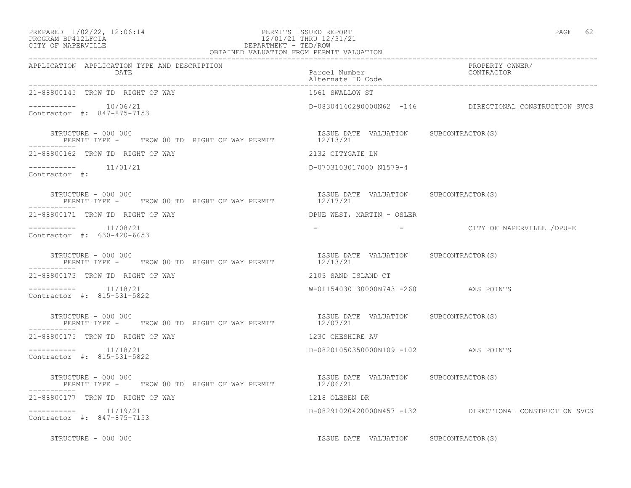| PREPARED | $1/02/22$ , $12:06:14$ |  |
|----------|------------------------|--|
|          |                        |  |

### PREPARED 1/02/22, 12:06:14 PERMITS ISSUED REPORT<br>PROGRAM BP412LFOIA PAGE 62<br>12/01/21 THRU 12/31/21 PROGRAM BP412LFOIA 12/01/21 THRU 12/31/21 CITY OF NAPERVILLE (1999) 2008 2012 2021 2022 2023 2024 2024 2025 20 DEPARTMENT - TED/ROW

| OBTAINED VALUATION FROM PERMIT VALUATION                                       |                                                   |                                                         |
|--------------------------------------------------------------------------------|---------------------------------------------------|---------------------------------------------------------|
| APPLICATION APPLICATION TYPE AND DESCRIPTION<br><b>DATE</b>                    | Parcel Number<br>Alternate ID Code                | PROPERTY OWNER/<br>CONTRACTOR                           |
| 21-88800145 TROW TD RIGHT OF WAY                                               | 1561 SWALLOW ST                                   |                                                         |
| Contractor #: 847-875-7153                                                     |                                                   | D-08304140290000N62 -146 DIRECTIONAL CONSTRUCTION SVCS  |
| STRUCTURE - 000 000                                                            | ISSUE DATE VALUATION SUBCONTRACTOR(S)             |                                                         |
| 21-88800162 TROW TD RIGHT OF WAY                                               | 2132 CITYGATE LN                                  |                                                         |
| $--------- 11/01/21$<br>Contractor #:                                          | D-0703103017000 N1579-4                           |                                                         |
| STRUCTURE - 000 000<br>PERMIT TYPE - TROW 00 TD RIGHT OF WAY PERMIT 12/17/21   | ISSUE DATE VALUATION SUBCONTRACTOR(S)             |                                                         |
| 21-88800171 TROW TD RIGHT OF WAY                                               | DPUE WEST, MARTIN - OSLER                         |                                                         |
| Contractor #: 630-420-6653                                                     |                                                   | - CITY OF NAPERVILLE /DPU-E                             |
| STRUCTURE - 000 000<br>PERMIT TYPE -     TROW 00 TD RIGHT OF WAY PERMIT        | ISSUE DATE VALUATION SUBCONTRACTOR(S)<br>12/13/21 |                                                         |
| 21-88800173 TROW TD RIGHT OF WAY                                               | 2103 SAND ISLAND CT                               |                                                         |
| $--------- 11/18/21$<br>Contractor #: 815-531-5822                             | W-01154030130000N743 -260 AXS POINTS              |                                                         |
| STRUCTURE - 000 000<br>PERMIT TYPE - TROW 00 TD RIGHT OF WAY PERMIT $12/07/21$ | ISSUE DATE VALUATION SUBCONTRACTOR(S)             |                                                         |
| 21-88800175 TROW TD RIGHT OF WAY                                               | 1230 CHESHIRE AV                                  |                                                         |
| $------- 11/18/21$<br>Contractor #: 815-531-5822                               | D-08201050350000N109 -102 AXS POINTS              |                                                         |
| STRUCTURE - 000 000<br>PERMIT TYPE - TROW 00 TD RIGHT OF WAY PERMIT 12/06/21   | ISSUE DATE VALUATION SUBCONTRACTOR(S)             |                                                         |
| 21-88800177 TROW TD RIGHT OF WAY                                               | 1218 OLESEN DR                                    |                                                         |
| -----------    11/19/21<br>Contractor #: 847-875-7153                          |                                                   | D-08291020420000N457 -132 DIRECTIONAL CONSTRUCTION SVCS |
| STRUCTURE - 000 000                                                            | ISSUE DATE VALUATION SUBCONTRACTOR(S)             |                                                         |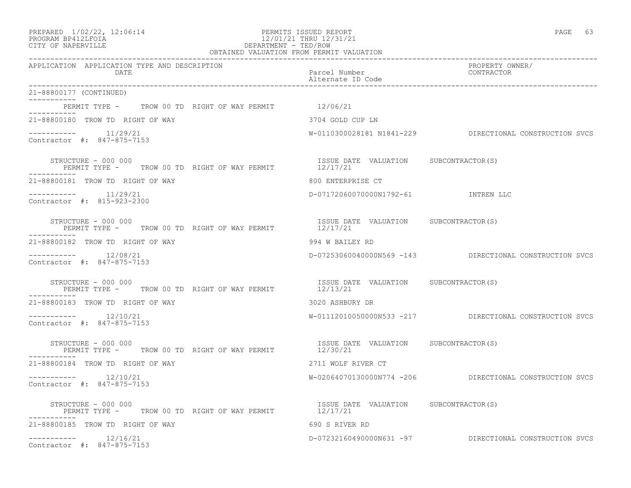| PREPARED | $1/02/22$ , $12:06:14$ |  |
|----------|------------------------|--|
|          |                        |  |

## PREPARED 1/02/22, 12:06:14 PERMITS ISSUED REPORT<br>PROGRAM BP412LFOIA PAGE 63<br>12/01/21 THRU 12/31/21 PROGRAM BP412LFOIA 12/01/21 THRU 12/31/21 CITY OF NAPERVILLE CITY OF NAPERVILLE **Example 20** and the contract of the DEPARTMENT - TED/ROW

|                                                                                                     | OBTAINED VALUATION FROM PERMIT VALUATION          |                                                         |
|-----------------------------------------------------------------------------------------------------|---------------------------------------------------|---------------------------------------------------------|
| APPLICATION APPLICATION TYPE AND DESCRIPTION<br>DATE                                                | Parcel Number<br>Alternate ID Code                | PROPERTY OWNER/<br>CONTRACTOR                           |
| 21-88800177 (CONTINUED)                                                                             |                                                   |                                                         |
| PERMIT TYPE - TROW 00 TD RIGHT OF WAY PERMIT 12/06/21                                               |                                                   |                                                         |
| 21-88800180 TROW TD RIGHT OF WAY                                                                    | 3704 GOLD CUP LN                                  |                                                         |
| $--------- 11/29/21$<br>Contractor #: 847-875-7153                                                  |                                                   | W-0110300028181 N1841-229 DIRECTIONAL CONSTRUCTION SVCS |
| STRUCTURE - 000 000<br>PERMIT TYPE - TROW 00 TD RIGHT OF WAY PERMIT 12/17/21                        | ISSUE DATE VALUATION SUBCONTRACTOR(S)             |                                                         |
| 21-88800181 TROW TD RIGHT OF WAY                                                                    | 800 ENTERPRISE CT                                 |                                                         |
| $--------$ 11/29/21<br>Contractor #: 815-923-2300                                                   | D-07172060070000N1792-61 INTREN LLC               |                                                         |
| STRUCTURE - 000 000<br>STRUCTURE - 000 000<br>PERMIT TYPE - TROW 00 TD RIGHT OF WAY PERMIT 12/17/21 | ISSUE DATE VALUATION SUBCONTRACTOR(S)             |                                                         |
| 21-88800182 TROW TD RIGHT OF WAY                                                                    | 994 W BAILEY RD                                   |                                                         |
| $--------- 12/08/21$<br>Contractor #: 847-875-7153                                                  |                                                   | D-07253060040000N569 -143 DIRECTIONAL CONSTRUCTION SVCS |
| STRUCTURE - 000 000<br>PERMIT TYPE - TROW 00 TD RIGHT OF WAY PERMIT                                 | ISSUE DATE VALUATION SUBCONTRACTOR(S)<br>12/13/21 |                                                         |
| 21-88800183 TROW TD RIGHT OF WAY                                                                    | 3020 ASHBURY DR                                   |                                                         |
| $--------- 12/10/21$<br>Contractor #: 847-875-7153                                                  |                                                   | W-01112010050000N533 -217 DIRECTIONAL CONSTRUCTION SVCS |
| STRUCTURE - 000 000<br>THE PERMIT TYPE - TROW 00 TD RIGHT OF WAY PERMIT 12/30/21                    | ISSUE DATE VALUATION SUBCONTRACTOR(S)             |                                                         |
| 21-88800184 TROW TD RIGHT OF WAY                                                                    | 2711 WOLF RIVER CT                                |                                                         |
| $--------- 12/10/21$<br>Contractor #: 847-875-7153                                                  |                                                   | W-02064070130000N774 -206 DIRECTIONAL CONSTRUCTION SVCS |
| STRUCTURE - 000 000<br>PERMIT TYPE - TROW 00 TD RIGHT OF WAY PERMIT 12/17/21                        |                                                   |                                                         |
| 21-88800185 TROW TD RIGHT OF WAY                                                                    | 690 S RIVER RD                                    |                                                         |
| $--------$ 12/16/21<br>Contractor #: 847-875-7153                                                   |                                                   | D-07232160490000N631 -97 DIRECTIONAL CONSTRUCTION SVCS  |